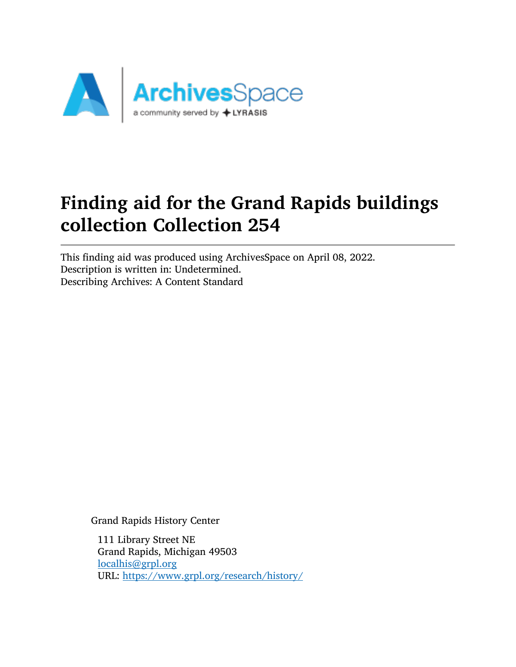

# Finding aid for the Grand Rapids buildings collection Collection 254

This finding aid was produced using ArchivesSpace on April 08, 2022. Description is written in: Undetermined. Describing Archives: A Content Standard

Grand Rapids History Center

111 Library Street NE Grand Rapids, Michigan 49503 [localhis@grpl.org](mailto:localhis@grpl.org) URL: <https://www.grpl.org/research/history/>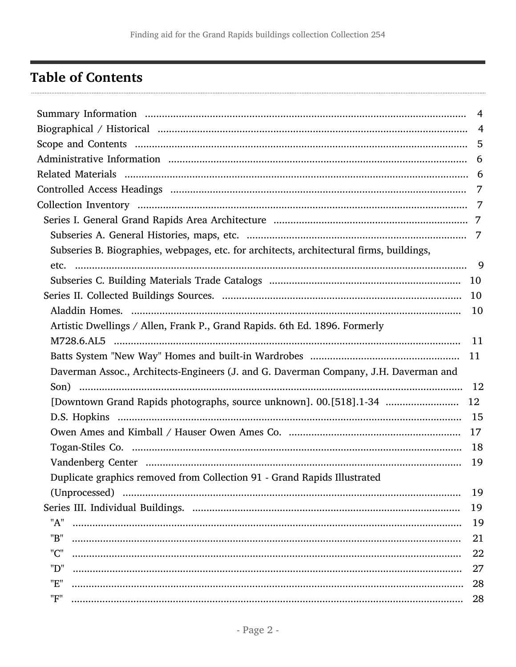# <span id="page-1-0"></span>**Table of Contents**

|                                                                                          | $\overline{4}$ |
|------------------------------------------------------------------------------------------|----------------|
|                                                                                          |                |
|                                                                                          |                |
|                                                                                          |                |
|                                                                                          |                |
|                                                                                          |                |
|                                                                                          |                |
|                                                                                          |                |
|                                                                                          |                |
| Subseries B. Biographies, webpages, etc. for architects, architectural firms, buildings, |                |
|                                                                                          |                |
|                                                                                          |                |
|                                                                                          |                |
|                                                                                          |                |
| Artistic Dwellings / Allen, Frank P., Grand Rapids. 6th Ed. 1896. Formerly               |                |
|                                                                                          |                |
|                                                                                          | 11             |
| Daverman Assoc., Architects-Engineers (J. and G. Daverman Company, J.H. Daverman and     |                |
|                                                                                          |                |
| [Downtown Grand Rapids photographs, source unknown]. 00.[518].1-34                       | 12             |
|                                                                                          |                |
|                                                                                          |                |
|                                                                                          |                |
|                                                                                          | 19             |
| Duplicate graphics removed from Collection 91 - Grand Rapids Illustrated                 |                |
|                                                                                          | 19             |
|                                                                                          | 19             |
| "A"                                                                                      | 19             |
| "B"                                                                                      | 21             |
| "C"                                                                                      | 22             |
| "D"                                                                                      | 27             |
| "E"                                                                                      | 28             |
| "F"                                                                                      | 28             |
|                                                                                          |                |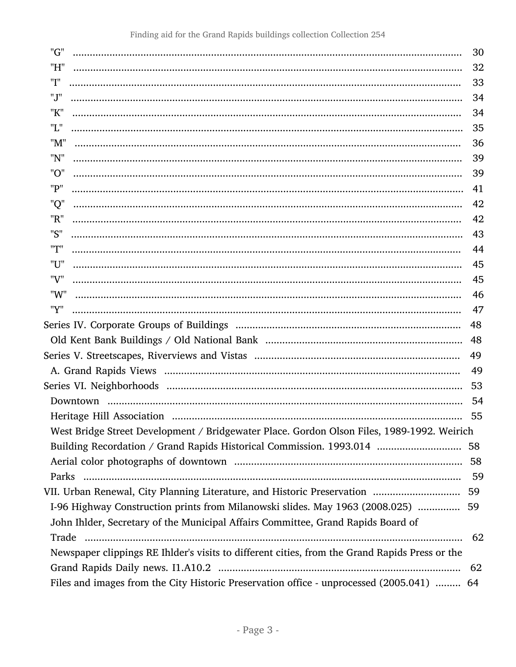| "G"                                                                                            | 30 |
|------------------------------------------------------------------------------------------------|----|
| "H"                                                                                            | 32 |
| "I"                                                                                            | 33 |
| "J"                                                                                            | 34 |
| "K"                                                                                            | 34 |
| "L"                                                                                            | 35 |
| "M"                                                                                            | 36 |
| "N"                                                                                            | 39 |
| "O"                                                                                            | 39 |
| "P"                                                                                            | 41 |
| "Q"                                                                                            | 42 |
| "R"                                                                                            | 42 |
| "S"                                                                                            | 43 |
| "T"                                                                                            | 44 |
| "U"                                                                                            | 45 |
| "V"                                                                                            | 45 |
| "W"                                                                                            | 46 |
| "Y"                                                                                            | 47 |
|                                                                                                | 48 |
|                                                                                                | 48 |
|                                                                                                | 49 |
|                                                                                                | 49 |
|                                                                                                | 53 |
|                                                                                                | 54 |
|                                                                                                | 55 |
| West Bridge Street Development / Bridgewater Place. Gordon Olson Files, 1989-1992. Weirich     |    |
| Building Recordation / Grand Rapids Historical Commission. 1993.014  58                        |    |
|                                                                                                |    |
|                                                                                                |    |
|                                                                                                | 59 |
| I-96 Highway Construction prints from Milanowski slides. May 1963 (2008.025)  59               |    |
| John Ihlder, Secretary of the Municipal Affairs Committee, Grand Rapids Board of               |    |
|                                                                                                | 62 |
| Newspaper clippings RE Ihlder's visits to different cities, from the Grand Rapids Press or the |    |
|                                                                                                |    |
| Files and images from the City Historic Preservation office - unprocessed (2005.041)  64       |    |
|                                                                                                |    |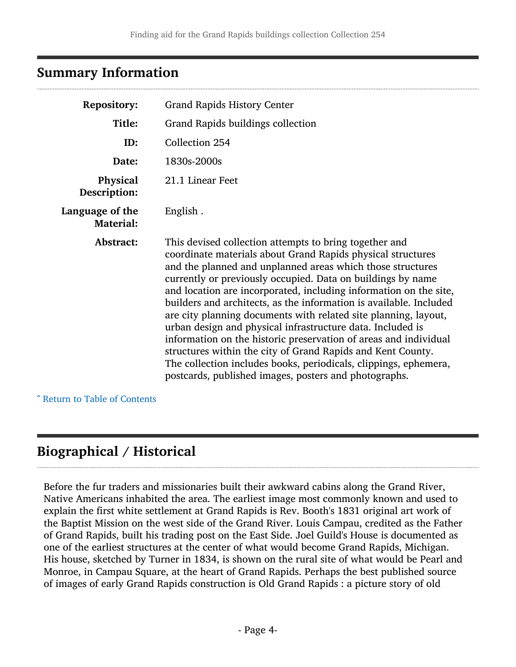## <span id="page-3-0"></span>Summary Information

| <b>Repository:</b>                  | <b>Grand Rapids History Center</b>                                                                                                                                                                                                                                                                                                                                                                                                                                                                                                                                                                                                                                                                                                                                                             |  |
|-------------------------------------|------------------------------------------------------------------------------------------------------------------------------------------------------------------------------------------------------------------------------------------------------------------------------------------------------------------------------------------------------------------------------------------------------------------------------------------------------------------------------------------------------------------------------------------------------------------------------------------------------------------------------------------------------------------------------------------------------------------------------------------------------------------------------------------------|--|
| Title:                              | Grand Rapids buildings collection                                                                                                                                                                                                                                                                                                                                                                                                                                                                                                                                                                                                                                                                                                                                                              |  |
| ID:                                 | Collection 254                                                                                                                                                                                                                                                                                                                                                                                                                                                                                                                                                                                                                                                                                                                                                                                 |  |
| Date:                               | 1830s-2000s                                                                                                                                                                                                                                                                                                                                                                                                                                                                                                                                                                                                                                                                                                                                                                                    |  |
| Physical<br>Description:            | 21.1 Linear Feet                                                                                                                                                                                                                                                                                                                                                                                                                                                                                                                                                                                                                                                                                                                                                                               |  |
| Language of the<br><b>Material:</b> | English.                                                                                                                                                                                                                                                                                                                                                                                                                                                                                                                                                                                                                                                                                                                                                                                       |  |
| Abstract:                           | This devised collection attempts to bring together and<br>coordinate materials about Grand Rapids physical structures<br>and the planned and unplanned areas which those structures<br>currently or previously occupied. Data on buildings by name<br>and location are incorporated, including information on the site,<br>builders and architects, as the information is available. Included<br>are city planning documents with related site planning, layout,<br>urban design and physical infrastructure data. Included is<br>information on the historic preservation of areas and individual<br>structures within the city of Grand Rapids and Kent County.<br>The collection includes books, periodicals, clippings, ephemera,<br>postcards, published images, posters and photographs. |  |

^ [Return to Table of Contents](#page-1-0)

## <span id="page-3-1"></span>Biographical / Historical

Before the fur traders and missionaries built their awkward cabins along the Grand River, Native Americans inhabited the area. The earliest image most commonly known and used to explain the first white settlement at Grand Rapids is Rev. Booth's 1831 original art work of the Baptist Mission on the west side of the Grand River. Louis Campau, credited as the Father of Grand Rapids, built his trading post on the East Side. Joel Guild's House is documented as one of the earliest structures at the center of what would become Grand Rapids, Michigan. His house, sketched by Turner in 1834, is shown on the rural site of what would be Pearl and Monroe, in Campau Square, at the heart of Grand Rapids. Perhaps the best published source of images of early Grand Rapids construction is Old Grand Rapids : a picture story of old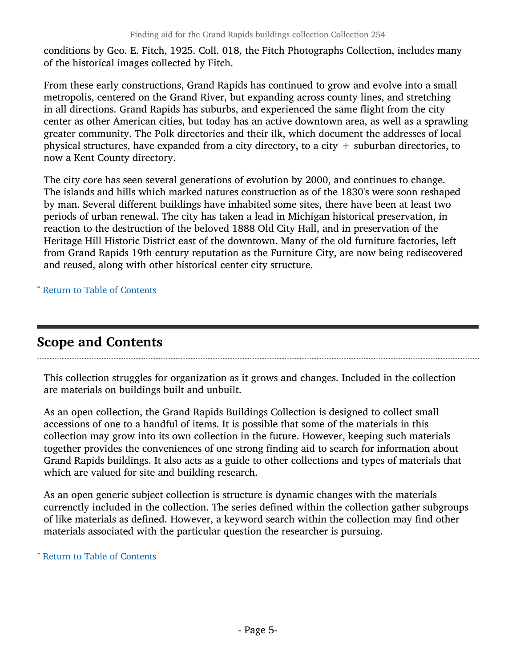conditions by Geo. E. Fitch, 1925. Coll. 018, the Fitch Photographs Collection, includes many of the historical images collected by Fitch.

From these early constructions, Grand Rapids has continued to grow and evolve into a small metropolis, centered on the Grand River, but expanding across county lines, and stretching in all directions. Grand Rapids has suburbs, and experienced the same flight from the city center as other American cities, but today has an active downtown area, as well as a sprawling greater community. The Polk directories and their ilk, which document the addresses of local physical structures, have expanded from a city directory, to a city  $+$  suburban directories, to now a Kent County directory.

The city core has seen several generations of evolution by 2000, and continues to change. The islands and hills which marked natures construction as of the 1830's were soon reshaped by man. Several different buildings have inhabited some sites, there have been at least two periods of urban renewal. The city has taken a lead in Michigan historical preservation, in reaction to the destruction of the beloved 1888 Old City Hall, and in preservation of the Heritage Hill Historic District east of the downtown. Many of the old furniture factories, left from Grand Rapids 19th century reputation as the Furniture City, are now being rediscovered and reused, along with other historical center city structure.

^ [Return to Table of Contents](#page-1-0)

## <span id="page-4-0"></span>Scope and Contents

This collection struggles for organization as it grows and changes. Included in the collection are materials on buildings built and unbuilt.

As an open collection, the Grand Rapids Buildings Collection is designed to collect small accessions of one to a handful of items. It is possible that some of the materials in this collection may grow into its own collection in the future. However, keeping such materials together provides the conveniences of one strong finding aid to search for information about Grand Rapids buildings. It also acts as a guide to other collections and types of materials that which are valued for site and building research.

As an open generic subject collection is structure is dynamic changes with the materials currenctly included in the collection. The series defined within the collection gather subgroups of like materials as defined. However, a keyword search within the collection may find other materials associated with the particular question the researcher is pursuing.

^ [Return to Table of Contents](#page-1-0)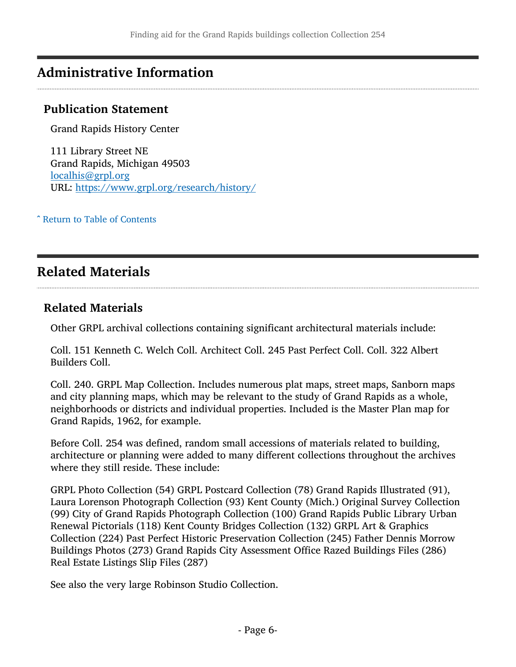## <span id="page-5-0"></span>Administrative Information

### Publication Statement

Grand Rapids History Center

111 Library Street NE Grand Rapids, Michigan 49503 [localhis@grpl.org](mailto:localhis@grpl.org) URL: <https://www.grpl.org/research/history/>

^ [Return to Table of Contents](#page-1-0)

## <span id="page-5-1"></span>Related Materials

#### Related Materials

Other GRPL archival collections containing significant architectural materials include:

Coll. 151 Kenneth C. Welch Coll. Architect Coll. 245 Past Perfect Coll. Coll. 322 Albert Builders Coll.

Coll. 240. GRPL Map Collection. Includes numerous plat maps, street maps, Sanborn maps and city planning maps, which may be relevant to the study of Grand Rapids as a whole, neighborhoods or districts and individual properties. Included is the Master Plan map for Grand Rapids, 1962, for example.

Before Coll. 254 was defined, random small accessions of materials related to building, architecture or planning were added to many different collections throughout the archives where they still reside. These include:

GRPL Photo Collection (54) GRPL Postcard Collection (78) Grand Rapids Illustrated (91), Laura Lorenson Photograph Collection (93) Kent County (Mich.) Original Survey Collection (99) City of Grand Rapids Photograph Collection (100) Grand Rapids Public Library Urban Renewal Pictorials (118) Kent County Bridges Collection (132) GRPL Art & Graphics Collection (224) Past Perfect Historic Preservation Collection (245) Father Dennis Morrow Buildings Photos (273) Grand Rapids City Assessment Office Razed Buildings Files (286) Real Estate Listings Slip Files (287)

See also the very large Robinson Studio Collection.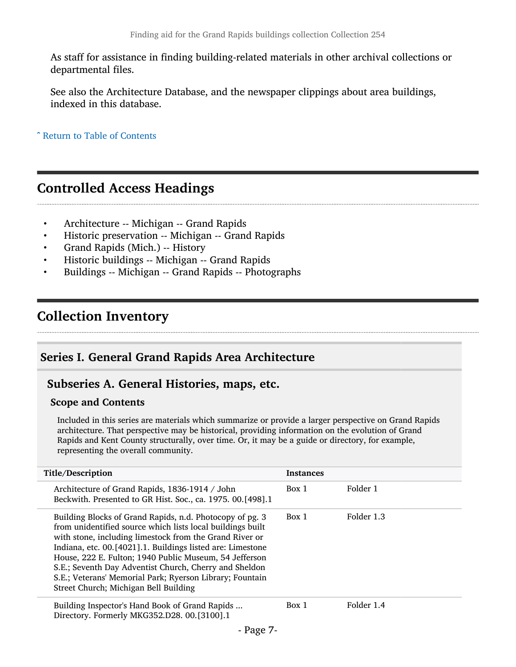As staff for assistance in finding building-related materials in other archival collections or departmental files.

See also the Architecture Database, and the newspaper clippings about area buildings, indexed in this database.

^ [Return to Table of Contents](#page-1-0)

## <span id="page-6-0"></span>Controlled Access Headings

- Architecture -- Michigan -- Grand Rapids
- Historic preservation -- Michigan -- Grand Rapids
- Grand Rapids (Mich.) -- History
- Historic buildings -- Michigan -- Grand Rapids
- Buildings -- Michigan -- Grand Rapids -- Photographs

## <span id="page-6-1"></span>Collection Inventory

### <span id="page-6-2"></span>Series I. General Grand Rapids Area Architecture

#### <span id="page-6-3"></span>Subseries A. General Histories, maps, etc.

#### Scope and Contents

Included in this series are materials which summarize or provide a larger perspective on Grand Rapids architecture. That perspective may be historical, providing information on the evolution of Grand Rapids and Kent County structurally, over time. Or, it may be a guide or directory, for example, representing the overall community.

| Title/Description                                                                                                                                                                                                                                                                                                                                                                                                                                                         | <b>Instances</b> |            |
|---------------------------------------------------------------------------------------------------------------------------------------------------------------------------------------------------------------------------------------------------------------------------------------------------------------------------------------------------------------------------------------------------------------------------------------------------------------------------|------------------|------------|
| Architecture of Grand Rapids, 1836-1914 / John<br>Beckwith. Presented to GR Hist. Soc., ca. 1975. 00. [498].1                                                                                                                                                                                                                                                                                                                                                             | Box 1            | Folder 1   |
| Building Blocks of Grand Rapids, n.d. Photocopy of pg. 3<br>from unidentified source which lists local buildings built<br>with stone, including limestock from the Grand River or<br>Indiana, etc. 00. [4021].1. Buildings listed are: Limestone<br>House, 222 E. Fulton; 1940 Public Museum, 54 Jefferson<br>S.E.; Seventh Day Adventist Church, Cherry and Sheldon<br>S.E.; Veterans' Memorial Park; Ryerson Library; Fountain<br>Street Church; Michigan Bell Building | Box 1            | Folder 1.3 |
| Building Inspector's Hand Book of Grand Rapids<br>Directory. Formerly MKG352.D28. 00.[3100].1                                                                                                                                                                                                                                                                                                                                                                             | Box 1            | Folder 1.4 |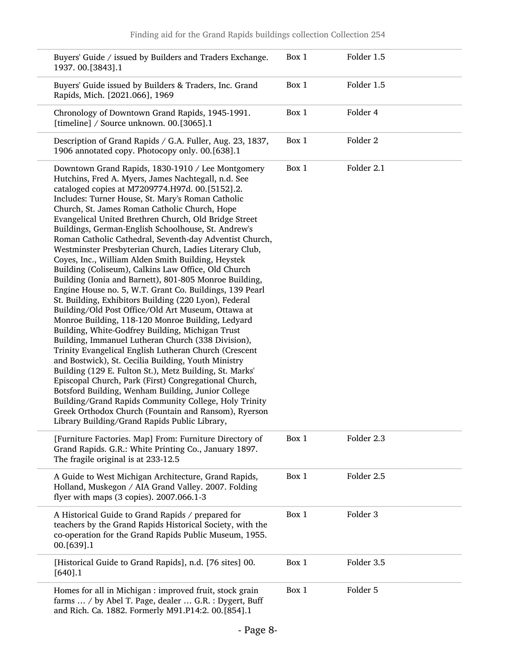| Buyers' Guide / issued by Builders and Traders Exchange.<br>1937.00.[3843].1                                                                                                                                                                                                                                                                                                                                                                                                                                                                                                                                                                                                                                                                                                                                                                                                                                                                                                                                                                                                                                                                                                                                                                                                                                                                                                                                                                                                       | Box 1 | Folder 1.5 |
|------------------------------------------------------------------------------------------------------------------------------------------------------------------------------------------------------------------------------------------------------------------------------------------------------------------------------------------------------------------------------------------------------------------------------------------------------------------------------------------------------------------------------------------------------------------------------------------------------------------------------------------------------------------------------------------------------------------------------------------------------------------------------------------------------------------------------------------------------------------------------------------------------------------------------------------------------------------------------------------------------------------------------------------------------------------------------------------------------------------------------------------------------------------------------------------------------------------------------------------------------------------------------------------------------------------------------------------------------------------------------------------------------------------------------------------------------------------------------------|-------|------------|
| Buyers' Guide issued by Builders & Traders, Inc. Grand<br>Rapids, Mich. [2021.066], 1969                                                                                                                                                                                                                                                                                                                                                                                                                                                                                                                                                                                                                                                                                                                                                                                                                                                                                                                                                                                                                                                                                                                                                                                                                                                                                                                                                                                           | Box 1 | Folder 1.5 |
| Chronology of Downtown Grand Rapids, 1945-1991.<br>[timeline] / Source unknown. 00.[3065].1                                                                                                                                                                                                                                                                                                                                                                                                                                                                                                                                                                                                                                                                                                                                                                                                                                                                                                                                                                                                                                                                                                                                                                                                                                                                                                                                                                                        | Box 1 | Folder 4   |
| Description of Grand Rapids / G.A. Fuller, Aug. 23, 1837,<br>1906 annotated copy. Photocopy only. 00.[638].1                                                                                                                                                                                                                                                                                                                                                                                                                                                                                                                                                                                                                                                                                                                                                                                                                                                                                                                                                                                                                                                                                                                                                                                                                                                                                                                                                                       | Box 1 | Folder 2   |
| Downtown Grand Rapids, 1830-1910 / Lee Montgomery<br>Hutchins, Fred A. Myers, James Nachtegall, n.d. See<br>cataloged copies at M7209774.H97d. 00.[5152].2.<br>Includes: Turner House, St. Mary's Roman Catholic<br>Church, St. James Roman Catholic Church, Hope<br>Evangelical United Brethren Church, Old Bridge Street<br>Buildings, German-English Schoolhouse, St. Andrew's<br>Roman Catholic Cathedral, Seventh-day Adventist Church,<br>Westminster Presbyterian Church, Ladies Literary Club,<br>Coyes, Inc., William Alden Smith Building, Heystek<br>Building (Coliseum), Calkins Law Office, Old Church<br>Building (Ionia and Barnett), 801-805 Monroe Building,<br>Engine House no. 5, W.T. Grant Co. Buildings, 139 Pearl<br>St. Building, Exhibitors Building (220 Lyon), Federal<br>Building/Old Post Office/Old Art Museum, Ottawa at<br>Monroe Building, 118-120 Monroe Building, Ledyard<br>Building, White-Godfrey Building, Michigan Trust<br>Building, Immanuel Lutheran Church (338 Division),<br>Trinity Evangelical English Lutheran Church (Crescent<br>and Bostwick), St. Cecilia Building, Youth Ministry<br>Building (129 E. Fulton St.), Metz Building, St. Marks'<br>Episcopal Church, Park (First) Congregational Church,<br>Botsford Building, Wenham Building, Junior College<br>Building/Grand Rapids Community College, Holy Trinity<br>Greek Orthodox Church (Fountain and Ransom), Ryerson<br>Library Building/Grand Rapids Public Library, | Box 1 | Folder 2.1 |
| [Furniture Factories. Map] From: Furniture Directory of<br>Grand Rapids. G.R.: White Printing Co., January 1897.<br>The fragile original is at 233-12.5                                                                                                                                                                                                                                                                                                                                                                                                                                                                                                                                                                                                                                                                                                                                                                                                                                                                                                                                                                                                                                                                                                                                                                                                                                                                                                                            | Box 1 | Folder 2.3 |
| A Guide to West Michigan Architecture, Grand Rapids,<br>Holland, Muskegon / AIA Grand Valley. 2007. Folding<br>flyer with maps (3 copies). 2007.066.1-3                                                                                                                                                                                                                                                                                                                                                                                                                                                                                                                                                                                                                                                                                                                                                                                                                                                                                                                                                                                                                                                                                                                                                                                                                                                                                                                            | Box 1 | Folder 2.5 |
| A Historical Guide to Grand Rapids / prepared for<br>teachers by the Grand Rapids Historical Society, with the<br>co-operation for the Grand Rapids Public Museum, 1955.<br>00.[639].1                                                                                                                                                                                                                                                                                                                                                                                                                                                                                                                                                                                                                                                                                                                                                                                                                                                                                                                                                                                                                                                                                                                                                                                                                                                                                             | Box 1 | Folder 3   |
| [Historical Guide to Grand Rapids], n.d. [76 sites] 00.<br>$[640]$ .1                                                                                                                                                                                                                                                                                                                                                                                                                                                                                                                                                                                                                                                                                                                                                                                                                                                                                                                                                                                                                                                                                                                                                                                                                                                                                                                                                                                                              | Box 1 | Folder 3.5 |
| Homes for all in Michigan : improved fruit, stock grain<br>farms  / by Abel T. Page, dealer  G.R. : Dygert, Buff<br>and Rich. Ca. 1882. Formerly M91.P14:2. 00.[854].1                                                                                                                                                                                                                                                                                                                                                                                                                                                                                                                                                                                                                                                                                                                                                                                                                                                                                                                                                                                                                                                                                                                                                                                                                                                                                                             | Box 1 | Folder 5   |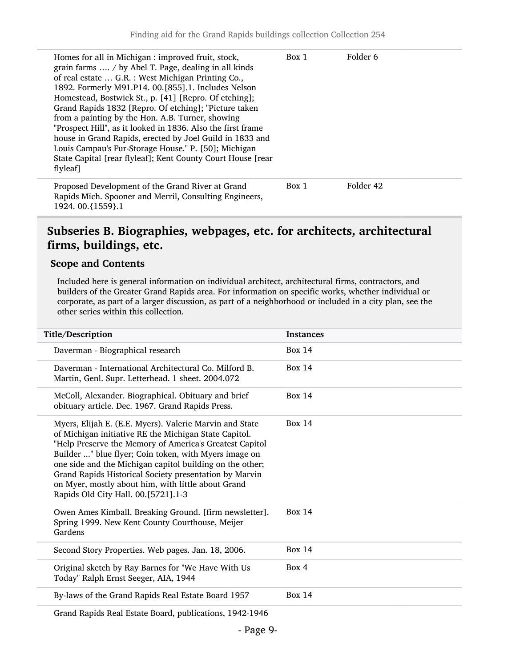| Homes for all in Michigan : improved fruit, stock,<br>grain farms  / by Abel T. Page, dealing in all kinds<br>of real estate  G.R. : West Michigan Printing Co.,<br>1892. Formerly M91.P14. 00.[855].1. Includes Nelson<br>Homestead, Bostwick St., p. [41] [Repro. Of etching];<br>Grand Rapids 1832 [Repro. Of etching]; "Picture taken<br>from a painting by the Hon. A.B. Turner, showing<br>"Prospect Hill", as it looked in 1836. Also the first frame<br>house in Grand Rapids, erected by Joel Guild in 1833 and<br>Louis Campau's Fur-Storage House." P. [50]; Michigan<br>State Capital [rear flyleaf]; Kent County Court House [rear<br>flyleaf] | Box 1 | Folder 6  |
|-------------------------------------------------------------------------------------------------------------------------------------------------------------------------------------------------------------------------------------------------------------------------------------------------------------------------------------------------------------------------------------------------------------------------------------------------------------------------------------------------------------------------------------------------------------------------------------------------------------------------------------------------------------|-------|-----------|
| Proposed Development of the Grand River at Grand<br>Rapids Mich. Spooner and Merril, Consulting Engineers,<br>1924. 00. {1559}. 1                                                                                                                                                                                                                                                                                                                                                                                                                                                                                                                           | Box 1 | Folder 42 |

### <span id="page-8-0"></span>Subseries B. Biographies, webpages, etc. for architects, architectural firms, buildings, etc.

#### Scope and Contents

Included here is general information on individual architect, architectural firms, contractors, and builders of the Greater Grand Rapids area. For information on specific works, whether individual or corporate, as part of a larger discussion, as part of a neighborhood or included in a city plan, see the other series within this collection.

| Title/Description                                                                                                                                                                                                                                                                                                                                                                                                                                       | <b>Instances</b> |
|---------------------------------------------------------------------------------------------------------------------------------------------------------------------------------------------------------------------------------------------------------------------------------------------------------------------------------------------------------------------------------------------------------------------------------------------------------|------------------|
| Daverman - Biographical research                                                                                                                                                                                                                                                                                                                                                                                                                        | <b>Box 14</b>    |
| Daverman - International Architectural Co. Milford B.<br>Martin, Genl. Supr. Letterhead. 1 sheet. 2004.072                                                                                                                                                                                                                                                                                                                                              | Box $14$         |
| McColl, Alexander. Biographical. Obituary and brief<br>obituary article. Dec. 1967. Grand Rapids Press.                                                                                                                                                                                                                                                                                                                                                 | <b>Box 14</b>    |
| Myers, Elijah E. (E.E. Myers). Valerie Marvin and State<br>of Michigan initiative RE the Michigan State Capitol.<br>"Help Preserve the Memory of America's Greatest Capitol<br>Builder " blue flyer; Coin token, with Myers image on<br>one side and the Michigan capitol building on the other;<br>Grand Rapids Historical Society presentation by Marvin<br>on Myer, mostly about him, with little about Grand<br>Rapids Old City Hall. 00.[5721].1-3 | Box $14$         |
| Owen Ames Kimball. Breaking Ground. [firm newsletter].<br>Spring 1999. New Kent County Courthouse, Meijer<br>Gardens                                                                                                                                                                                                                                                                                                                                    | Box $14$         |
| Second Story Properties. Web pages. Jan. 18, 2006.                                                                                                                                                                                                                                                                                                                                                                                                      | Box $14$         |
| Original sketch by Ray Barnes for "We Have With Us<br>Today" Ralph Ernst Seeger, AIA, 1944                                                                                                                                                                                                                                                                                                                                                              | Box 4            |
| By-laws of the Grand Rapids Real Estate Board 1957                                                                                                                                                                                                                                                                                                                                                                                                      | Box $14$         |
|                                                                                                                                                                                                                                                                                                                                                                                                                                                         |                  |

Grand Rapids Real Estate Board, publications, 1942-1946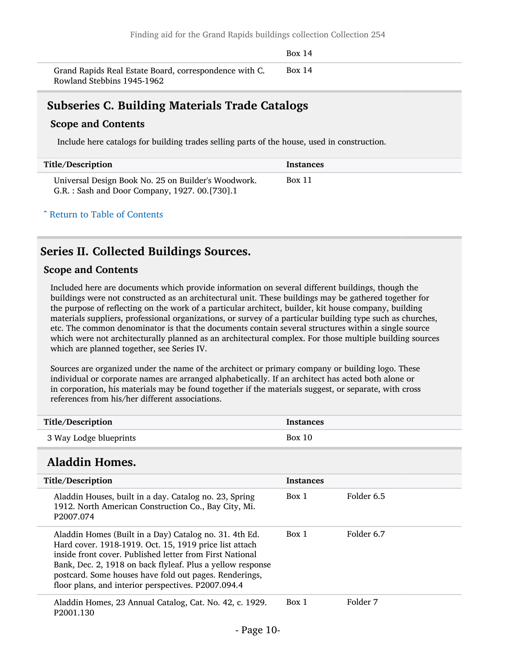Box 14

Grand Rapids Real Estate Board, correspondence with C. Rowland Stebbins 1945-1962 Box 14

### <span id="page-9-0"></span>Subseries C. Building Materials Trade Catalogs

#### Scope and Contents

Include here catalogs for building trades selling parts of the house, used in construction.

| Title/Description                                                                                    | Instances |
|------------------------------------------------------------------------------------------------------|-----------|
| Universal Design Book No. 25 on Builder's Woodwork.<br>G.R.: Sash and Door Company, 1927. 00.[730].1 | Box 11    |

^ [Return to Table of Contents](#page-1-0)

### <span id="page-9-1"></span>Series II. Collected Buildings Sources.

#### Scope and Contents

Included here are documents which provide information on several different buildings, though the buildings were not constructed as an architectural unit. These buildings may be gathered together for the purpose of reflecting on the work of a particular architect, builder, kit house company, building materials suppliers, professional organizations, or survey of a particular building type such as churches, etc. The common denominator is that the documents contain several structures within a single source which were not architecturally planned as an architectural complex. For those multiple building sources which are planned together, see Series IV.

Sources are organized under the name of the architect or primary company or building logo. These individual or corporate names are arranged alphabetically. If an architect has acted both alone or in corporation, his materials may be found together if the materials suggest, or separate, with cross references from his/her different associations.

<span id="page-9-2"></span>

| Title/Description                                                                                                                                                                                                                                                                                                                                           | <b>Instances</b> |            |
|-------------------------------------------------------------------------------------------------------------------------------------------------------------------------------------------------------------------------------------------------------------------------------------------------------------------------------------------------------------|------------------|------------|
| 3 Way Lodge blueprints                                                                                                                                                                                                                                                                                                                                      | Box 10           |            |
| <b>Aladdin Homes.</b>                                                                                                                                                                                                                                                                                                                                       |                  |            |
| Title/Description                                                                                                                                                                                                                                                                                                                                           | <b>Instances</b> |            |
| Aladdin Houses, built in a day. Catalog no. 23, Spring<br>1912. North American Construction Co., Bay City, Mi.<br>P <sub>2007.074</sub>                                                                                                                                                                                                                     | Box 1            | Folder 6.5 |
| Aladdin Homes (Built in a Day) Catalog no. 31. 4th Ed.<br>Hard cover. 1918-1919. Oct. 15, 1919 price list attach<br>inside front cover. Published letter from First National<br>Bank, Dec. 2, 1918 on back flyleaf. Plus a yellow response<br>postcard. Some houses have fold out pages. Renderings,<br>floor plans, and interior perspectives. P2007.094.4 | Box 1            | Folder 6.7 |
| Aladdin Homes, 23 Annual Catalog, Cat. No. 42, c. 1929.<br>P2001.130                                                                                                                                                                                                                                                                                        | Box 1            | Folder 7   |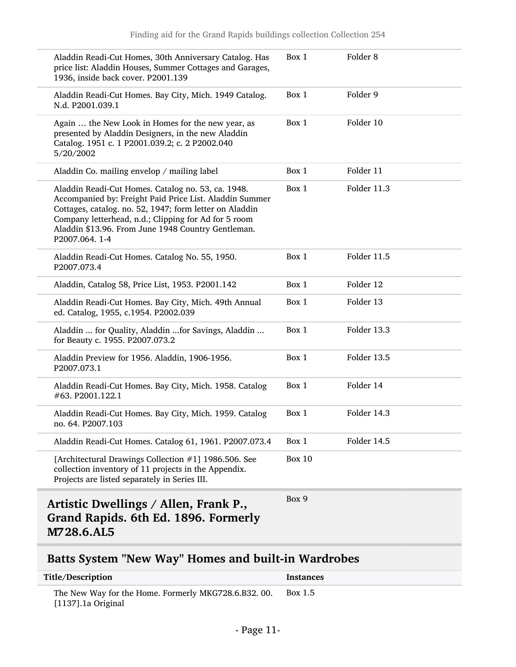| Aladdin Readi-Cut Homes, 30th Anniversary Catalog. Has<br>price list: Aladdin Houses, Summer Cottages and Garages,<br>1936, inside back cover. P2001.139                                                                                                                                                | Box 1         | Folder <sub>8</sub> |
|---------------------------------------------------------------------------------------------------------------------------------------------------------------------------------------------------------------------------------------------------------------------------------------------------------|---------------|---------------------|
| Aladdin Readi-Cut Homes. Bay City, Mich. 1949 Catalog.<br>N.d. P2001.039.1                                                                                                                                                                                                                              | Box 1         | Folder 9            |
| Again  the New Look in Homes for the new year, as<br>presented by Aladdin Designers, in the new Aladdin<br>Catalog. 1951 c. 1 P2001.039.2; c. 2 P2002.040<br>5/20/2002                                                                                                                                  | Box 1         | Folder 10           |
| Aladdin Co. mailing envelop / mailing label                                                                                                                                                                                                                                                             | Box 1         | Folder 11           |
| Aladdin Readi-Cut Homes. Catalog no. 53, ca. 1948.<br>Accompanied by: Freight Paid Price List. Aladdin Summer<br>Cottages, catalog. no. 52, 1947; form letter on Aladdin<br>Company letterhead, n.d.; Clipping for Ad for 5 room<br>Aladdin \$13.96. From June 1948 Country Gentleman.<br>P2007.064.1-4 | Box 1         | Folder 11.3         |
| Aladdin Readi-Cut Homes. Catalog No. 55, 1950.<br>P2007.073.4                                                                                                                                                                                                                                           | Box 1         | Folder 11.5         |
| Aladdin, Catalog 58, Price List, 1953. P2001.142                                                                                                                                                                                                                                                        | Box 1         | Folder 12           |
| Aladdin Readi-Cut Homes. Bay City, Mich. 49th Annual<br>ed. Catalog, 1955, c.1954. P2002.039                                                                                                                                                                                                            | Box 1         | Folder 13           |
| Aladdin  for Quality, Aladdin  for Savings, Aladdin<br>for Beauty c. 1955. P2007.073.2                                                                                                                                                                                                                  | Box 1         | Folder 13.3         |
| Aladdin Preview for 1956. Aladdin, 1906-1956.<br>P2007.073.1                                                                                                                                                                                                                                            | Box 1         | Folder 13.5         |
| Aladdin Readi-Cut Homes. Bay City, Mich. 1958. Catalog<br>#63. P2001.122.1                                                                                                                                                                                                                              | Box 1         | Folder 14           |
| Aladdin Readi-Cut Homes. Bay City, Mich. 1959. Catalog<br>no. 64. P2007.103                                                                                                                                                                                                                             | Box 1         | Folder 14.3         |
| Aladdin Readi-Cut Homes. Catalog 61, 1961. P2007.073.4                                                                                                                                                                                                                                                  | Box 1         | Folder 14.5         |
| [Architectural Drawings Collection #1] 1986.506. See<br>collection inventory of 11 projects in the Appendix.<br>Projects are listed separately in Series III.                                                                                                                                           | <b>Box 10</b> |                     |
| Artistic Dwellings / Allen, Frank P.,<br>Grand Rapids. 6th Ed. 1896. Formerly<br>M728.6.AL5                                                                                                                                                                                                             | Box 9         |                     |

## <span id="page-10-1"></span><span id="page-10-0"></span>Batts System "New Way" Homes and built-in Wardrobes

| Title/Description                                                            | Instances |
|------------------------------------------------------------------------------|-----------|
| The New Way for the Home. Formerly MKG728.6.B32.00.<br>$[1137]$ .1a Original | Box 1.5   |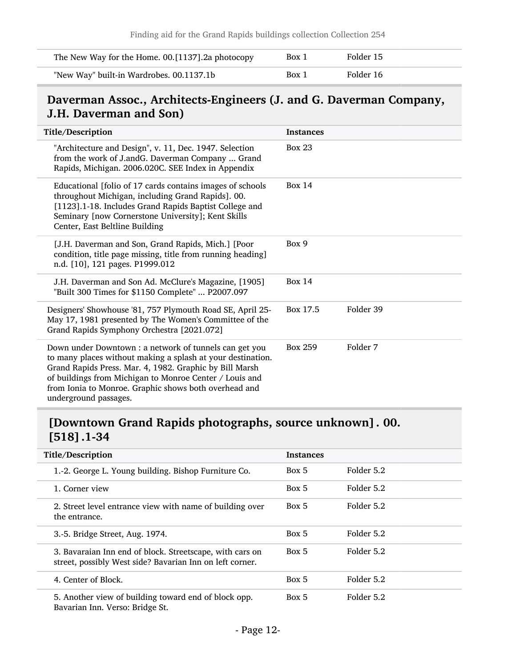| The New Way for the Home. 00.[1137].2a photocopy | Box 1 | Folder 15 |
|--------------------------------------------------|-------|-----------|
| "New Way" built-in Wardrobes. 00.1137.1b         | Box 1 | Folder 16 |

## <span id="page-11-0"></span>Daverman Assoc., Architects-Engineers (J. and G. Daverman Company, J.H. Daverman and Son)

| Title/Description                                                                                                                                                                                                                                                                                                             | <b>Instances</b> |           |
|-------------------------------------------------------------------------------------------------------------------------------------------------------------------------------------------------------------------------------------------------------------------------------------------------------------------------------|------------------|-----------|
| "Architecture and Design", v. 11, Dec. 1947. Selection<br>from the work of J.andG. Daverman Company  Grand<br>Rapids, Michigan. 2006.020C. SEE Index in Appendix                                                                                                                                                              | <b>Box 23</b>    |           |
| Educational [folio of 17 cards contains images of schools<br>throughout Michigan, including Grand Rapids]. 00.<br>[1123].1-18. Includes Grand Rapids Baptist College and<br>Seminary [now Cornerstone University]; Kent Skills<br>Center, East Beltline Building                                                              | <b>Box 14</b>    |           |
| [J.H. Daverman and Son, Grand Rapids, Mich.] [Poor<br>condition, title page missing, title from running heading]<br>n.d. [10], 121 pages. P1999.012                                                                                                                                                                           | Box 9            |           |
| J.H. Daverman and Son Ad. McClure's Magazine, [1905]<br>"Built 300 Times for \$1150 Complete"  P2007.097                                                                                                                                                                                                                      | <b>Box 14</b>    |           |
| Designers' Showhouse '81, 757 Plymouth Road SE, April 25-<br>May 17, 1981 presented by The Women's Committee of the<br>Grand Rapids Symphony Orchestra [2021.072]                                                                                                                                                             | Box 17.5         | Folder 39 |
| Down under Downtown : a network of tunnels can get you<br>to many places without making a splash at your destination.<br>Grand Rapids Press. Mar. 4, 1982. Graphic by Bill Marsh<br>of buildings from Michigan to Monroe Center / Louis and<br>from Ionia to Monroe. Graphic shows both overhead and<br>underground passages. | Box 259          | Folder 7  |

## <span id="page-11-1"></span>[Downtown Grand Rapids photographs, source unknown]. 00. [518].1-34

| Title/Description               |                                                                                                                      | <b>Instances</b> |            |
|---------------------------------|----------------------------------------------------------------------------------------------------------------------|------------------|------------|
|                                 | 1.-2. George L. Young building. Bishop Furniture Co.                                                                 | Box 5            | Folder 5.2 |
| 1. Corner view                  |                                                                                                                      | Box 5            | Folder 5.2 |
| the entrance.                   | 2. Street level entrance view with name of building over                                                             | Box 5            | Folder 5.2 |
| 3.-5. Bridge Street, Aug. 1974. |                                                                                                                      | Box 5            | Folder 5.2 |
|                                 | 3. Bavaraian Inn end of block. Streetscape, with cars on<br>street, possibly West side? Bavarian Inn on left corner. | Box 5            | Folder 5.2 |
| 4. Center of Block.             |                                                                                                                      | Box 5            | Folder 5.2 |
| Bavarian Inn. Verso: Bridge St. | 5. Another view of building toward end of block opp.                                                                 | Box 5            | Folder 5.2 |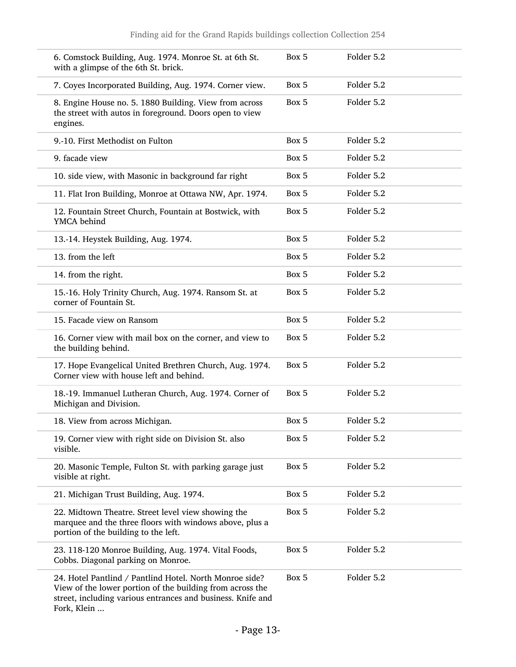|                   | 6. Comstock Building, Aug. 1974. Monroe St. at 6th St.<br>with a glimpse of the 6th St. brick.                                                                                      | Box 5 | Folder 5.2 |  |
|-------------------|-------------------------------------------------------------------------------------------------------------------------------------------------------------------------------------|-------|------------|--|
|                   | 7. Coyes Incorporated Building, Aug. 1974. Corner view.                                                                                                                             | Box 5 | Folder 5.2 |  |
| engines.          | 8. Engine House no. 5. 1880 Building. View from across<br>the street with autos in foreground. Doors open to view                                                                   | Box 5 | Folder 5.2 |  |
|                   | 9.-10. First Methodist on Fulton                                                                                                                                                    | Box 5 | Folder 5.2 |  |
| 9. facade view    |                                                                                                                                                                                     | Box 5 | Folder 5.2 |  |
|                   | 10. side view, with Masonic in background far right                                                                                                                                 | Box 5 | Folder 5.2 |  |
|                   | 11. Flat Iron Building, Monroe at Ottawa NW, Apr. 1974.                                                                                                                             | Box 5 | Folder 5.2 |  |
| YMCA behind       | 12. Fountain Street Church, Fountain at Bostwick, with                                                                                                                              | Box 5 | Folder 5.2 |  |
|                   | 13.-14. Heystek Building, Aug. 1974.                                                                                                                                                | Box 5 | Folder 5.2 |  |
| 13. from the left |                                                                                                                                                                                     | Box 5 | Folder 5.2 |  |
|                   | 14. from the right.                                                                                                                                                                 | Box 5 | Folder 5.2 |  |
|                   | 15.-16. Holy Trinity Church, Aug. 1974. Ransom St. at<br>corner of Fountain St.                                                                                                     | Box 5 | Folder 5.2 |  |
|                   | 15. Facade view on Ransom                                                                                                                                                           | Box 5 | Folder 5.2 |  |
|                   | 16. Corner view with mail box on the corner, and view to<br>the building behind.                                                                                                    | Box 5 | Folder 5.2 |  |
|                   | 17. Hope Evangelical United Brethren Church, Aug. 1974.<br>Corner view with house left and behind.                                                                                  | Box 5 | Folder 5.2 |  |
|                   | 18.-19. Immanuel Lutheran Church, Aug. 1974. Corner of<br>Michigan and Division.                                                                                                    | Box 5 | Folder 5.2 |  |
|                   | 18. View from across Michigan.                                                                                                                                                      | Box 5 | Folder 5.2 |  |
| visible.          | 19. Corner view with right side on Division St. also                                                                                                                                | Box 5 | Folder 5.2 |  |
| visible at right. | 20. Masonic Temple, Fulton St. with parking garage just                                                                                                                             | Box 5 | Folder 5.2 |  |
|                   | 21. Michigan Trust Building, Aug. 1974.                                                                                                                                             | Box 5 | Folder 5.2 |  |
|                   | 22. Midtown Theatre. Street level view showing the<br>marquee and the three floors with windows above, plus a<br>portion of the building to the left.                               | Box 5 | Folder 5.2 |  |
|                   | 23. 118-120 Monroe Building, Aug. 1974. Vital Foods,<br>Cobbs. Diagonal parking on Monroe.                                                                                          | Box 5 | Folder 5.2 |  |
| Fork, Klein       | 24. Hotel Pantlind / Pantlind Hotel. North Monroe side?<br>View of the lower portion of the building from across the<br>street, including various entrances and business. Knife and | Box 5 | Folder 5.2 |  |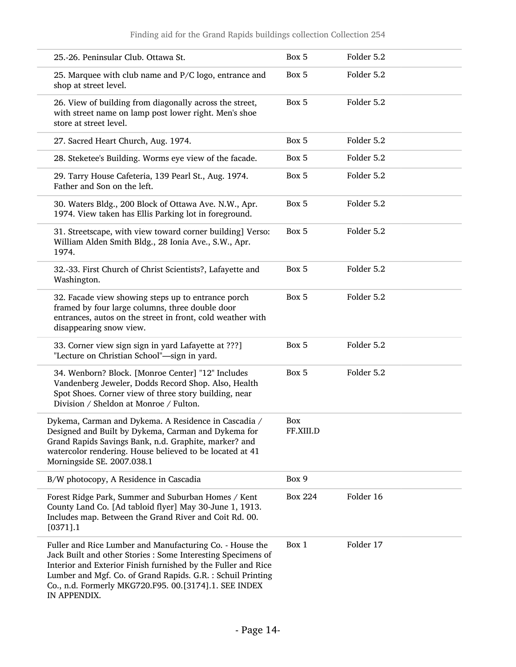| 25.-26. Peninsular Club. Ottawa St.                                                                                                                                                                                                                                                                                               | Box 5            | Folder 5.2 |
|-----------------------------------------------------------------------------------------------------------------------------------------------------------------------------------------------------------------------------------------------------------------------------------------------------------------------------------|------------------|------------|
| 25. Marquee with club name and P/C logo, entrance and<br>shop at street level.                                                                                                                                                                                                                                                    | Box 5            | Folder 5.2 |
| 26. View of building from diagonally across the street,<br>with street name on lamp post lower right. Men's shoe<br>store at street level.                                                                                                                                                                                        | Box 5            | Folder 5.2 |
| 27. Sacred Heart Church, Aug. 1974.                                                                                                                                                                                                                                                                                               | Box 5            | Folder 5.2 |
| 28. Steketee's Building. Worms eye view of the facade.                                                                                                                                                                                                                                                                            | Box 5            | Folder 5.2 |
| 29. Tarry House Cafeteria, 139 Pearl St., Aug. 1974.<br>Father and Son on the left.                                                                                                                                                                                                                                               | Box 5            | Folder 5.2 |
| 30. Waters Bldg., 200 Block of Ottawa Ave. N.W., Apr.<br>1974. View taken has Ellis Parking lot in foreground.                                                                                                                                                                                                                    | Box 5            | Folder 5.2 |
| 31. Streetscape, with view toward corner building] Verso:<br>William Alden Smith Bldg., 28 Ionia Ave., S.W., Apr.<br>1974.                                                                                                                                                                                                        | Box 5            | Folder 5.2 |
| 32.-33. First Church of Christ Scientists?, Lafayette and<br>Washington.                                                                                                                                                                                                                                                          | Box 5            | Folder 5.2 |
| 32. Facade view showing steps up to entrance porch<br>framed by four large columns, three double door<br>entrances, autos on the street in front, cold weather with<br>disappearing snow view.                                                                                                                                    | Box 5            | Folder 5.2 |
| 33. Corner view sign sign in yard Lafayette at ???]<br>"Lecture on Christian School"-sign in yard.                                                                                                                                                                                                                                | Box 5            | Folder 5.2 |
| 34. Wenborn? Block. [Monroe Center] "12" Includes<br>Vandenberg Jeweler, Dodds Record Shop. Also, Health<br>Spot Shoes. Corner view of three story building, near<br>Division / Sheldon at Monroe / Fulton.                                                                                                                       | Box 5            | Folder 5.2 |
| Dykema, Carman and Dykema. A Residence in Cascadia /<br>Designed and Built by Dykema, Carman and Dykema for<br>Grand Rapids Savings Bank, n.d. Graphite, marker? and<br>watercolor rendering. House believed to be located at 41<br>Morningside SE. 2007.038.1                                                                    | Box<br>FF.XIII.D |            |
| B/W photocopy, A Residence in Cascadia                                                                                                                                                                                                                                                                                            | Box 9            |            |
| Forest Ridge Park, Summer and Suburban Homes / Kent<br>County Land Co. [Ad tabloid flyer] May 30-June 1, 1913.<br>Includes map. Between the Grand River and Coit Rd. 00.<br>$[0371]$ .1                                                                                                                                           | <b>Box 224</b>   | Folder 16  |
| Fuller and Rice Lumber and Manufacturing Co. - House the<br>Jack Built and other Stories : Some Interesting Specimens of<br>Interior and Exterior Finish furnished by the Fuller and Rice<br>Lumber and Mgf. Co. of Grand Rapids. G.R. : Schuil Printing<br>Co., n.d. Formerly MKG720.F95. 00.[3174].1. SEE INDEX<br>IN APPENDIX. | Box 1            | Folder 17  |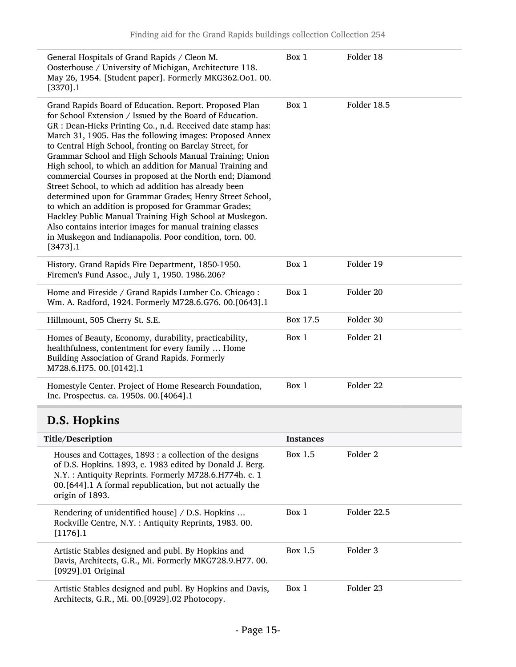| General Hospitals of Grand Rapids / Cleon M.<br>Oosterhouse / University of Michigan, Architecture 118.<br>May 26, 1954. [Student paper]. Formerly MKG362.Oo1. 00.<br>$[3370]$ .1                                                                                                                                                                                                                                                                                                                                                                                                                                                                                                                                                                                                                                                                                         | Box 1            | Folder 18           |
|---------------------------------------------------------------------------------------------------------------------------------------------------------------------------------------------------------------------------------------------------------------------------------------------------------------------------------------------------------------------------------------------------------------------------------------------------------------------------------------------------------------------------------------------------------------------------------------------------------------------------------------------------------------------------------------------------------------------------------------------------------------------------------------------------------------------------------------------------------------------------|------------------|---------------------|
| Grand Rapids Board of Education. Report. Proposed Plan<br>for School Extension / Issued by the Board of Education.<br>GR : Dean-Hicks Printing Co., n.d. Received date stamp has:<br>March 31, 1905. Has the following images: Proposed Annex<br>to Central High School, fronting on Barclay Street, for<br>Grammar School and High Schools Manual Training; Union<br>High school, to which an addition for Manual Training and<br>commercial Courses in proposed at the North end; Diamond<br>Street School, to which ad addition has already been<br>determined upon for Grammar Grades; Henry Street School,<br>to which an addition is proposed for Grammar Grades;<br>Hackley Public Manual Training High School at Muskegon.<br>Also contains interior images for manual training classes<br>in Muskegon and Indianapolis. Poor condition, torn. 00.<br>$[3473]$ .1 | Box 1            | Folder 18.5         |
| History. Grand Rapids Fire Department, 1850-1950.<br>Firemen's Fund Assoc., July 1, 1950. 1986.206?                                                                                                                                                                                                                                                                                                                                                                                                                                                                                                                                                                                                                                                                                                                                                                       | Box 1            | Folder 19           |
| Home and Fireside / Grand Rapids Lumber Co. Chicago:<br>Wm. A. Radford, 1924. Formerly M728.6.G76. 00.[0643].1                                                                                                                                                                                                                                                                                                                                                                                                                                                                                                                                                                                                                                                                                                                                                            | Box 1            | Folder 20           |
| Hillmount, 505 Cherry St. S.E.                                                                                                                                                                                                                                                                                                                                                                                                                                                                                                                                                                                                                                                                                                                                                                                                                                            | Box 17.5         | Folder 30           |
| Homes of Beauty, Economy, durability, practicability,<br>healthfulness, contentment for every family  Home<br>Building Association of Grand Rapids. Formerly<br>M728.6.H75. 00.[0142].1                                                                                                                                                                                                                                                                                                                                                                                                                                                                                                                                                                                                                                                                                   | Box 1            | Folder 21           |
| Homestyle Center. Project of Home Research Foundation,<br>Inc. Prospectus. ca. 1950s. 00.[4064].1                                                                                                                                                                                                                                                                                                                                                                                                                                                                                                                                                                                                                                                                                                                                                                         | Box 1            | Folder 22           |
| D.S. Hopkins                                                                                                                                                                                                                                                                                                                                                                                                                                                                                                                                                                                                                                                                                                                                                                                                                                                              |                  |                     |
| Title/Description                                                                                                                                                                                                                                                                                                                                                                                                                                                                                                                                                                                                                                                                                                                                                                                                                                                         | <b>Instances</b> |                     |
| Houses and Cottages, 1893 : a collection of the designs<br>of $D \in$ Hopking 1902 a 1092 odited by Donald I Para                                                                                                                                                                                                                                                                                                                                                                                                                                                                                                                                                                                                                                                                                                                                                         | Box 1.5          | Folder <sub>2</sub> |

<span id="page-14-0"></span>

| of D.S. Hopkins. 1893, c. 1983 edited by Donald J. Berg.<br>N.Y.: Antiquity Reprints. Formerly M728.6.H774h. c. 1<br>00.[644].1 A formal republication, but not actually the<br>origin of 1893. |         |             |
|-------------------------------------------------------------------------------------------------------------------------------------------------------------------------------------------------|---------|-------------|
| Rendering of unidentified house] / D.S. Hopkins<br>Rockville Centre, N.Y.: Antiquity Reprints, 1983. 00.<br>$[1176]$ .1                                                                         | Box 1   | Folder 22.5 |
| Artistic Stables designed and publ. By Hopkins and<br>Davis, Architects, G.R., Mi. Formerly MKG728.9.H77. 00.<br>$[0929]$ .01 Original                                                          | Box 1.5 | Folder 3    |
| Artistic Stables designed and publ. By Hopkins and Davis,<br>Architects, G.R., Mi. 00.[0929].02 Photocopy.                                                                                      | Box 1   | Folder 23   |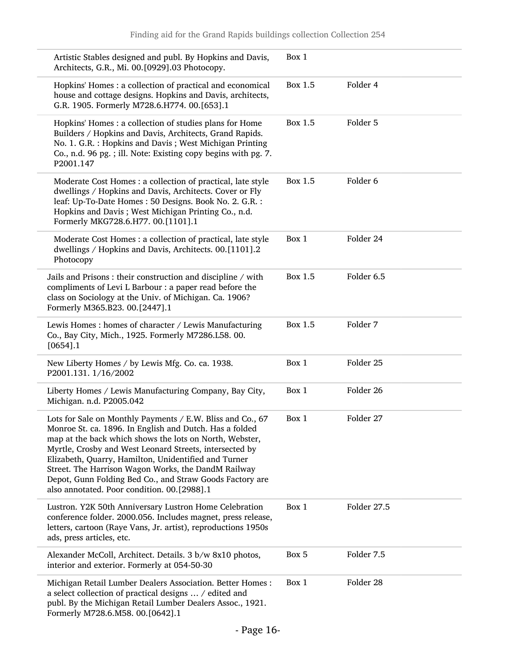| Artistic Stables designed and publ. By Hopkins and Davis,<br>Architects, G.R., Mi. 00.[0929].03 Photocopy.                                                                                                                                                                                                                                                                                                                                                            | Box 1   |             |
|-----------------------------------------------------------------------------------------------------------------------------------------------------------------------------------------------------------------------------------------------------------------------------------------------------------------------------------------------------------------------------------------------------------------------------------------------------------------------|---------|-------------|
| Hopkins' Homes : a collection of practical and economical<br>house and cottage designs. Hopkins and Davis, architects,<br>G.R. 1905. Formerly M728.6.H774. 00.[653].1                                                                                                                                                                                                                                                                                                 | Box 1.5 | Folder 4    |
| Hopkins' Homes : a collection of studies plans for Home<br>Builders / Hopkins and Davis, Architects, Grand Rapids.<br>No. 1. G.R. : Hopkins and Davis; West Michigan Printing<br>Co., n.d. 96 pg. ; ill. Note: Existing copy begins with pg. 7.<br>P2001.147                                                                                                                                                                                                          | Box 1.5 | Folder 5    |
| Moderate Cost Homes : a collection of practical, late style<br>dwellings / Hopkins and Davis, Architects. Cover or Fly<br>leaf: Up-To-Date Homes : 50 Designs. Book No. 2. G.R. :<br>Hopkins and Davis; West Michigan Printing Co., n.d.<br>Formerly MKG728.6.H77. 00.[1101].1                                                                                                                                                                                        | Box 1.5 | Folder 6    |
| Moderate Cost Homes : a collection of practical, late style<br>dwellings / Hopkins and Davis, Architects. 00.[1101].2<br>Photocopy                                                                                                                                                                                                                                                                                                                                    | Box 1   | Folder 24   |
| Jails and Prisons : their construction and discipline / with<br>compliments of Levi L Barbour : a paper read before the<br>class on Sociology at the Univ. of Michigan. Ca. 1906?<br>Formerly M365.B23. 00.[2447].1                                                                                                                                                                                                                                                   | Box 1.5 | Folder 6.5  |
| Lewis Homes: homes of character / Lewis Manufacturing<br>Co., Bay City, Mich., 1925. Formerly M7286.L58. 00.<br>$[0654]$ .1                                                                                                                                                                                                                                                                                                                                           | Box 1.5 | Folder 7    |
| New Liberty Homes / by Lewis Mfg. Co. ca. 1938.<br>P2001.131. 1/16/2002                                                                                                                                                                                                                                                                                                                                                                                               | Box 1   | Folder 25   |
| Liberty Homes / Lewis Manufacturing Company, Bay City,<br>Michigan. n.d. P2005.042                                                                                                                                                                                                                                                                                                                                                                                    | Box 1   | Folder 26   |
| Lots for Sale on Monthly Payments / E.W. Bliss and Co., 67<br>Monroe St. ca. 1896. In English and Dutch. Has a folded<br>map at the back which shows the lots on North, Webster,<br>Myrtle, Crosby and West Leonard Streets, intersected by<br>Elizabeth, Quarry, Hamilton, Unidentified and Turner<br>Street. The Harrison Wagon Works, the DandM Railway<br>Depot, Gunn Folding Bed Co., and Straw Goods Factory are<br>also annotated. Poor condition. 00.[2988].1 | Box 1   | Folder 27   |
| Lustron. Y2K 50th Anniversary Lustron Home Celebration<br>conference folder. 2000.056. Includes magnet, press release,<br>letters, cartoon (Raye Vans, Jr. artist), reproductions 1950s<br>ads, press articles, etc.                                                                                                                                                                                                                                                  | Box 1   | Folder 27.5 |
| Alexander McColl, Architect. Details. 3 b/w 8x10 photos,<br>interior and exterior. Formerly at 054-50-30                                                                                                                                                                                                                                                                                                                                                              | Box 5   | Folder 7.5  |
| Michigan Retail Lumber Dealers Association. Better Homes :<br>a select collection of practical designs  / edited and<br>publ. By the Michigan Retail Lumber Dealers Assoc., 1921.<br>Formerly M728.6.M58. 00.[0642].1                                                                                                                                                                                                                                                 | Box 1   | Folder 28   |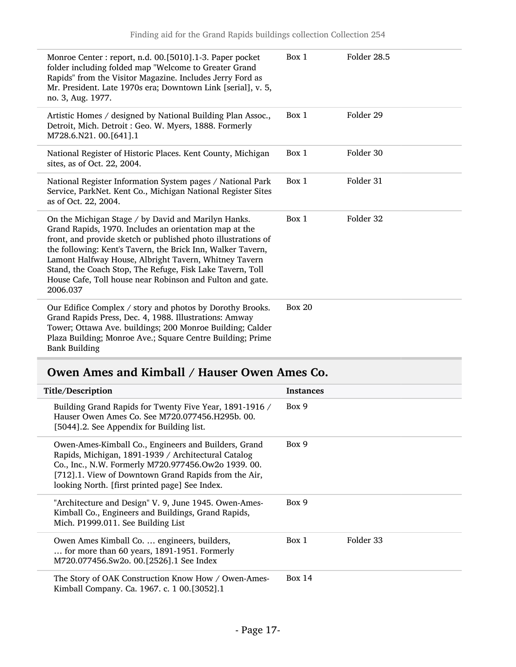| Monroe Center : report, n.d. 00.[5010].1-3. Paper pocket<br>folder including folded map "Welcome to Greater Grand<br>Rapids" from the Visitor Magazine. Includes Jerry Ford as<br>Mr. President. Late 1970s era; Downtown Link [serial], v. 5,<br>no. 3, Aug. 1977.                                                                                                                                                                          | Box 1    | Folder 28.5 |
|----------------------------------------------------------------------------------------------------------------------------------------------------------------------------------------------------------------------------------------------------------------------------------------------------------------------------------------------------------------------------------------------------------------------------------------------|----------|-------------|
| Artistic Homes / designed by National Building Plan Assoc.,<br>Detroit, Mich. Detroit : Geo. W. Myers, 1888. Formerly<br>M728.6.N21. 00.[641].1                                                                                                                                                                                                                                                                                              | Box 1    | Folder 29   |
| National Register of Historic Places. Kent County, Michigan<br>sites, as of Oct. 22, 2004.                                                                                                                                                                                                                                                                                                                                                   | Box 1    | Folder 30   |
| National Register Information System pages / National Park<br>Service, ParkNet. Kent Co., Michigan National Register Sites<br>as of Oct. 22, 2004.                                                                                                                                                                                                                                                                                           | Box 1    | Folder 31   |
| On the Michigan Stage / by David and Marilyn Hanks.<br>Grand Rapids, 1970. Includes an orientation map at the<br>front, and provide sketch or published photo illustrations of<br>the following: Kent's Tavern, the Brick Inn, Walker Tavern,<br>Lamont Halfway House, Albright Tavern, Whitney Tavern<br>Stand, the Coach Stop, The Refuge, Fisk Lake Tavern, Toll<br>House Cafe, Toll house near Robinson and Fulton and gate.<br>2006.037 | Box 1    | Folder 32   |
| Our Edifice Complex / story and photos by Dorothy Brooks.<br>Grand Rapids Press, Dec. 4, 1988. Illustrations: Amway<br>Tower; Ottawa Ave. buildings; 200 Monroe Building; Calder<br>Plaza Building; Monroe Ave.; Square Centre Building; Prime<br><b>Bank Building</b>                                                                                                                                                                       | Box $20$ |             |

## <span id="page-16-0"></span>Owen Ames and Kimball / Hauser Owen Ames Co.

| Title/Description                                                                                                                                                                                                                                                            | <b>Instances</b>   |
|------------------------------------------------------------------------------------------------------------------------------------------------------------------------------------------------------------------------------------------------------------------------------|--------------------|
| Building Grand Rapids for Twenty Five Year, 1891-1916 /<br>Hauser Owen Ames Co. See M720.077456.H295b, 00.<br>[5044].2. See Appendix for Building list.                                                                                                                      | Box 9              |
| Owen-Ames-Kimball Co., Engineers and Builders, Grand<br>Rapids, Michigan, 1891-1939 / Architectural Catalog<br>Co., Inc., N.W. Formerly M720.977456.Ow2o 1939. 00.<br>[712].1. View of Downtown Grand Rapids from the Air,<br>looking North. [first printed page] See Index. | Box 9              |
| "Architecture and Design" V. 9, June 1945. Owen-Ames-<br>Kimball Co., Engineers and Buildings, Grand Rapids,<br>Mich. P1999.011. See Building List                                                                                                                           | Box 9              |
| Owen Ames Kimball Co.  engineers, builders,<br>for more than 60 years, 1891-1951. Formerly<br>M720.077456.Sw2o. 00.[2526].1 See Index                                                                                                                                        | Folder 33<br>Box 1 |
| The Story of OAK Construction Know How / Owen-Ames-<br>Kimball Company. Ca. 1967. c. 1 00.[3052].1                                                                                                                                                                           | Box 14             |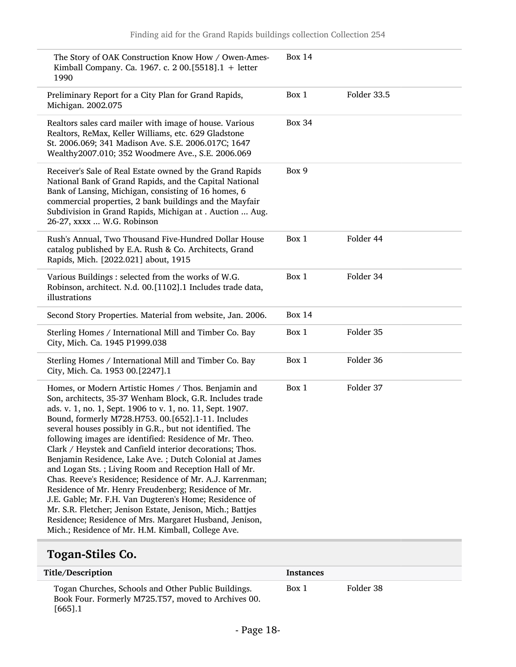| The Story of OAK Construction Know How / Owen-Ames-<br>Kimball Company. Ca. 1967. c. 2 00.[5518].1 + letter<br>1990                                                                                                                                                                                                                                                                                                                                                                                                                                                                                                                                                                                                                                                                                                                                                                                     | <b>Box 14</b> |             |
|---------------------------------------------------------------------------------------------------------------------------------------------------------------------------------------------------------------------------------------------------------------------------------------------------------------------------------------------------------------------------------------------------------------------------------------------------------------------------------------------------------------------------------------------------------------------------------------------------------------------------------------------------------------------------------------------------------------------------------------------------------------------------------------------------------------------------------------------------------------------------------------------------------|---------------|-------------|
| Preliminary Report for a City Plan for Grand Rapids,<br>Michigan. 2002.075                                                                                                                                                                                                                                                                                                                                                                                                                                                                                                                                                                                                                                                                                                                                                                                                                              | Box 1         | Folder 33.5 |
| Realtors sales card mailer with image of house. Various<br>Realtors, ReMax, Keller Williams, etc. 629 Gladstone<br>St. 2006.069; 341 Madison Ave. S.E. 2006.017C; 1647<br>Wealthy2007.010; 352 Woodmere Ave., S.E. 2006.069                                                                                                                                                                                                                                                                                                                                                                                                                                                                                                                                                                                                                                                                             | <b>Box 34</b> |             |
| Receiver's Sale of Real Estate owned by the Grand Rapids<br>National Bank of Grand Rapids, and the Capital National<br>Bank of Lansing, Michigan, consisting of 16 homes, 6<br>commercial properties, 2 bank buildings and the Mayfair<br>Subdivision in Grand Rapids, Michigan at . Auction  Aug.<br>26-27, xxxx  W.G. Robinson                                                                                                                                                                                                                                                                                                                                                                                                                                                                                                                                                                        | Box 9         |             |
| Rush's Annual, Two Thousand Five-Hundred Dollar House<br>catalog published by E.A. Rush & Co. Architects, Grand<br>Rapids, Mich. [2022.021] about, 1915                                                                                                                                                                                                                                                                                                                                                                                                                                                                                                                                                                                                                                                                                                                                                 | Box 1         | Folder 44   |
| Various Buildings : selected from the works of W.G.<br>Robinson, architect. N.d. 00.[1102].1 Includes trade data,<br>illustrations                                                                                                                                                                                                                                                                                                                                                                                                                                                                                                                                                                                                                                                                                                                                                                      | Box 1         | Folder 34   |
| Second Story Properties. Material from website, Jan. 2006.                                                                                                                                                                                                                                                                                                                                                                                                                                                                                                                                                                                                                                                                                                                                                                                                                                              | <b>Box 14</b> |             |
| Sterling Homes / International Mill and Timber Co. Bay<br>City, Mich. Ca. 1945 P1999.038                                                                                                                                                                                                                                                                                                                                                                                                                                                                                                                                                                                                                                                                                                                                                                                                                | Box 1         | Folder 35   |
| Sterling Homes / International Mill and Timber Co. Bay<br>City, Mich. Ca. 1953 00.[2247].1                                                                                                                                                                                                                                                                                                                                                                                                                                                                                                                                                                                                                                                                                                                                                                                                              | Box 1         | Folder 36   |
| Homes, or Modern Artistic Homes / Thos. Benjamin and<br>Son, architects, 35-37 Wenham Block, G.R. Includes trade<br>ads. v. 1, no. 1, Sept. 1906 to v. 1, no. 11, Sept. 1907.<br>Bound, formerly M728.H753. 00.[652].1-11. Includes<br>several houses possibly in G.R., but not identified. The<br>following images are identified: Residence of Mr. Theo.<br>Clark / Heystek and Canfield interior decorations; Thos.<br>Benjamin Residence, Lake Ave.; Dutch Colonial at James<br>and Logan Sts.; Living Room and Reception Hall of Mr.<br>Chas. Reeve's Residence; Residence of Mr. A.J. Karrenman;<br>Residence of Mr. Henry Freudenberg; Residence of Mr.<br>J.E. Gable; Mr. F.H. Van Dugteren's Home; Residence of<br>Mr. S.R. Fletcher; Jenison Estate, Jenison, Mich.; Battjes<br>Residence; Residence of Mrs. Margaret Husband, Jenison,<br>Mich.; Residence of Mr. H.M. Kimball, College Ave. | Box 1         | Folder 37   |

## <span id="page-17-0"></span>Togan-Stiles Co.

| Title/Description                                                                                                        | <b>Instances</b> |           |  |
|--------------------------------------------------------------------------------------------------------------------------|------------------|-----------|--|
| Togan Churches, Schools and Other Public Buildings.<br>Book Four. Formerly M725.T57, moved to Archives 00.<br>$[665]$ .1 | Box 1            | Folder 38 |  |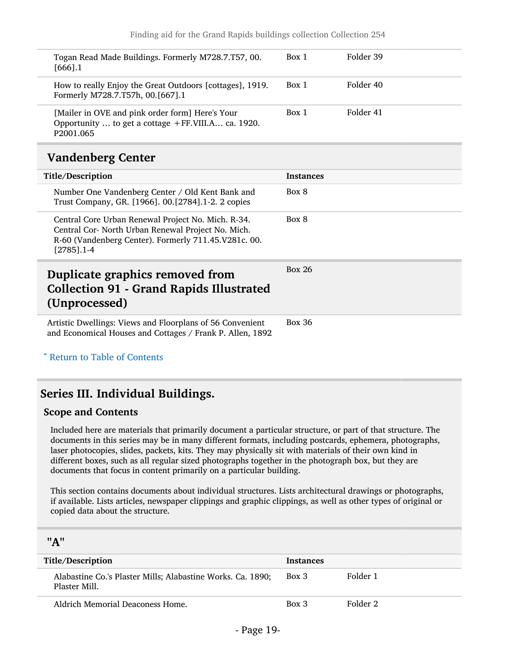| Togan Read Made Buildings. Formerly M728.7.T57, 00.<br>$[666]$ .1                                                              | Box 1 | Folder 39 |
|--------------------------------------------------------------------------------------------------------------------------------|-------|-----------|
| How to really Enjoy the Great Outdoors [cottages], 1919.<br>Formerly M728.7.T57h, 00.[667].1                                   | Box 1 | Folder 40 |
| [Mailer in OVE and pink order form] Here's Your<br>Opportunity  to get a cottage +FF.VIII.A ca. 1920.<br>P <sub>2001.065</sub> | Box 1 | Folder 41 |
|                                                                                                                                |       |           |

### <span id="page-18-0"></span>Vandenberg Center

| Title/Description                                                                                                                                                                 | <b>Instances</b> |
|-----------------------------------------------------------------------------------------------------------------------------------------------------------------------------------|------------------|
| Number One Vandenberg Center / Old Kent Bank and<br>Trust Company, GR. [1966]. 00.[2784].1-2. 2 copies                                                                            | Box 8            |
| Central Core Urban Renewal Project No. Mich. R-34.<br>Central Cor- North Urban Renewal Project No. Mich.<br>R-60 (Vandenberg Center). Formerly 711.45.V281c. 00.<br>$[2785]$ .1-4 | Box 8            |
|                                                                                                                                                                                   |                  |
| Duplicate graphics removed from<br><b>Collection 91 - Grand Rapids Illustrated</b><br>(Unprocessed)                                                                               | <b>Box 26</b>    |

<span id="page-18-1"></span>^ [Return to Table of Contents](#page-1-0)

## <span id="page-18-2"></span>Series III. Individual Buildings.

#### Scope and Contents

Included here are materials that primarily document a particular structure, or part of that structure. The documents in this series may be in many different formats, including postcards, ephemera, photographs, laser photocopies, slides, packets, kits. They may physically sit with materials of their own kind in different boxes, such as all regular sized photographs together in the photograph box, but they are documents that focus in content primarily on a particular building.

This section contains documents about individual structures. Lists architectural drawings or photographs, if available. Lists articles, newspaper clippings and graphic clippings, as well as other types of original or copied data about the structure.

<span id="page-18-3"></span>

| "A"                                                                          |                  |          |
|------------------------------------------------------------------------------|------------------|----------|
| Title/Description                                                            | <b>Instances</b> |          |
| Alabastine Co.'s Plaster Mills; Alabastine Works. Ca. 1890;<br>Plaster Mill. | Box 3            | Folder 1 |
| Aldrich Memorial Deaconess Home.                                             | $Box\ 3$         | Folder 2 |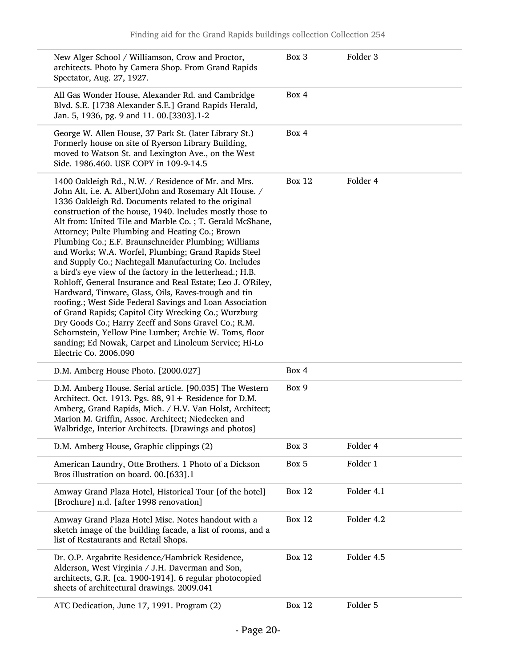| New Alger School / Williamson, Crow and Proctor,<br>architects. Photo by Camera Shop. From Grand Rapids<br>Spectator, Aug. 27, 1927.                                                                                                                                                                                                                                                                                                                                                                                                                                                                                                                                                                                                                                                                                                                                                                                                                                                                                                    | Box 3         | Folder <sub>3</sub> |
|-----------------------------------------------------------------------------------------------------------------------------------------------------------------------------------------------------------------------------------------------------------------------------------------------------------------------------------------------------------------------------------------------------------------------------------------------------------------------------------------------------------------------------------------------------------------------------------------------------------------------------------------------------------------------------------------------------------------------------------------------------------------------------------------------------------------------------------------------------------------------------------------------------------------------------------------------------------------------------------------------------------------------------------------|---------------|---------------------|
| All Gas Wonder House, Alexander Rd. and Cambridge<br>Blvd. S.E. [1738 Alexander S.E.] Grand Rapids Herald,<br>Jan. 5, 1936, pg. 9 and 11. 00.[3303].1-2                                                                                                                                                                                                                                                                                                                                                                                                                                                                                                                                                                                                                                                                                                                                                                                                                                                                                 | Box 4         |                     |
| George W. Allen House, 37 Park St. (later Library St.)<br>Formerly house on site of Ryerson Library Building,<br>moved to Watson St. and Lexington Ave., on the West<br>Side. 1986.460. USE COPY in 109-9-14.5                                                                                                                                                                                                                                                                                                                                                                                                                                                                                                                                                                                                                                                                                                                                                                                                                          | Box 4         |                     |
| 1400 Oakleigh Rd., N.W. / Residence of Mr. and Mrs.<br>John Alt, i.e. A. Albert) John and Rosemary Alt House. /<br>1336 Oakleigh Rd. Documents related to the original<br>construction of the house, 1940. Includes mostly those to<br>Alt from: United Tile and Marble Co.; T. Gerald McShane,<br>Attorney; Pulte Plumbing and Heating Co.; Brown<br>Plumbing Co.; E.F. Braunschneider Plumbing; Williams<br>and Works; W.A. Worfel, Plumbing; Grand Rapids Steel<br>and Supply Co.; Nachtegall Manufacturing Co. Includes<br>a bird's eye view of the factory in the letterhead.; H.B.<br>Rohloff, General Insurance and Real Estate; Leo J. O'Riley,<br>Hardward, Tinware, Glass, Oils, Eaves-trough and tin<br>roofing.; West Side Federal Savings and Loan Association<br>of Grand Rapids; Capitol City Wrecking Co.; Wurzburg<br>Dry Goods Co.; Harry Zeeff and Sons Gravel Co.; R.M.<br>Schornstein, Yellow Pine Lumber; Archie W. Toms, floor<br>sanding; Ed Nowak, Carpet and Linoleum Service; Hi-Lo<br>Electric Co. 2006.090 | <b>Box 12</b> | Folder 4            |
| D.M. Amberg House Photo. [2000.027]                                                                                                                                                                                                                                                                                                                                                                                                                                                                                                                                                                                                                                                                                                                                                                                                                                                                                                                                                                                                     | Box 4         |                     |
| D.M. Amberg House. Serial article. [90.035] The Western<br>Architect. Oct. 1913. Pgs. 88, 91 + Residence for D.M.<br>Amberg, Grand Rapids, Mich. / H.V. Van Holst, Architect;<br>Marion M. Griffin, Assoc. Architect; Niedecken and<br>Walbridge, Interior Architects. [Drawings and photos]                                                                                                                                                                                                                                                                                                                                                                                                                                                                                                                                                                                                                                                                                                                                            | Box 9         |                     |
| D.M. Amberg House, Graphic clippings (2)                                                                                                                                                                                                                                                                                                                                                                                                                                                                                                                                                                                                                                                                                                                                                                                                                                                                                                                                                                                                | Box 3         | Folder 4            |
| American Laundry, Otte Brothers. 1 Photo of a Dickson<br>Bros illustration on board. 00.[633].1                                                                                                                                                                                                                                                                                                                                                                                                                                                                                                                                                                                                                                                                                                                                                                                                                                                                                                                                         | Box 5         | Folder 1            |
| Amway Grand Plaza Hotel, Historical Tour [of the hotel]<br>[Brochure] n.d. [after 1998 renovation]                                                                                                                                                                                                                                                                                                                                                                                                                                                                                                                                                                                                                                                                                                                                                                                                                                                                                                                                      | <b>Box 12</b> | Folder 4.1          |
| Amway Grand Plaza Hotel Misc. Notes handout with a<br>sketch image of the building facade, a list of rooms, and a<br>list of Restaurants and Retail Shops.                                                                                                                                                                                                                                                                                                                                                                                                                                                                                                                                                                                                                                                                                                                                                                                                                                                                              | <b>Box 12</b> | Folder 4.2          |
| Dr. O.P. Argabrite Residence/Hambrick Residence,<br>Alderson, West Virginia / J.H. Daverman and Son,<br>architects, G.R. [ca. 1900-1914]. 6 regular photocopied<br>sheets of architectural drawings. 2009.041                                                                                                                                                                                                                                                                                                                                                                                                                                                                                                                                                                                                                                                                                                                                                                                                                           | <b>Box 12</b> | Folder 4.5          |
| ATC Dedication, June 17, 1991. Program (2)                                                                                                                                                                                                                                                                                                                                                                                                                                                                                                                                                                                                                                                                                                                                                                                                                                                                                                                                                                                              | <b>Box 12</b> | Folder 5            |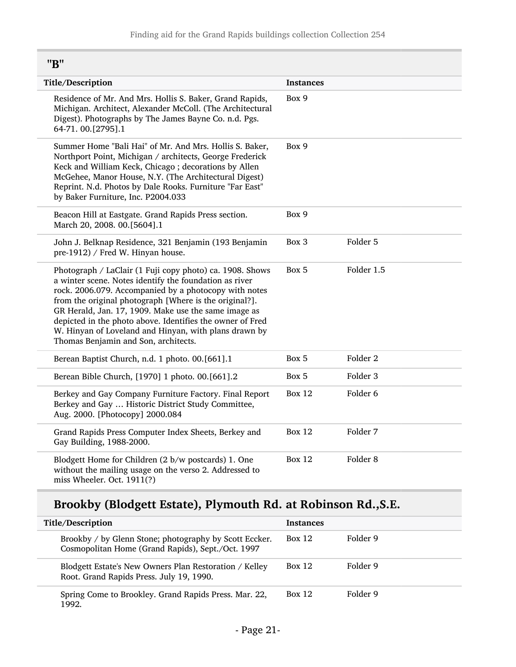<span id="page-20-0"></span>"B"

| Title/Description                                                                                                                                                                                                                                                                                                                                                                                                                                           | <b>Instances</b> |                     |
|-------------------------------------------------------------------------------------------------------------------------------------------------------------------------------------------------------------------------------------------------------------------------------------------------------------------------------------------------------------------------------------------------------------------------------------------------------------|------------------|---------------------|
| Residence of Mr. And Mrs. Hollis S. Baker, Grand Rapids,<br>Michigan. Architect, Alexander McColl. (The Architectural<br>Digest). Photographs by The James Bayne Co. n.d. Pgs.<br>64-71.00.[2795].1                                                                                                                                                                                                                                                         | Box 9            |                     |
| Summer Home "Bali Hai" of Mr. And Mrs. Hollis S. Baker,<br>Northport Point, Michigan / architects, George Frederick<br>Keck and William Keck, Chicago; decorations by Allen<br>McGehee, Manor House, N.Y. (The Architectural Digest)<br>Reprint. N.d. Photos by Dale Rooks. Furniture "Far East"<br>by Baker Furniture, Inc. P2004.033                                                                                                                      | Box 9            |                     |
| Beacon Hill at Eastgate. Grand Rapids Press section.<br>March 20, 2008. 00.[5604].1                                                                                                                                                                                                                                                                                                                                                                         | Box 9            |                     |
| John J. Belknap Residence, 321 Benjamin (193 Benjamin<br>pre-1912) / Fred W. Hinyan house.                                                                                                                                                                                                                                                                                                                                                                  | Box 3            | Folder 5            |
| Photograph / LaClair (1 Fuji copy photo) ca. 1908. Shows<br>a winter scene. Notes identify the foundation as river<br>rock. 2006.079. Accompanied by a photocopy with notes<br>from the original photograph [Where is the original?].<br>GR Herald, Jan. 17, 1909. Make use the same image as<br>depicted in the photo above. Identifies the owner of Fred<br>W. Hinyan of Loveland and Hinyan, with plans drawn by<br>Thomas Benjamin and Son, architects. | Box 5            | Folder 1.5          |
| Berean Baptist Church, n.d. 1 photo. 00.[661].1                                                                                                                                                                                                                                                                                                                                                                                                             | Box 5            | Folder <sub>2</sub> |
| Berean Bible Church, [1970] 1 photo. 00.[661].2                                                                                                                                                                                                                                                                                                                                                                                                             | Box 5            | Folder <sub>3</sub> |
| Berkey and Gay Company Furniture Factory. Final Report<br>Berkey and Gay  Historic District Study Committee,<br>Aug. 2000. [Photocopy] 2000.084                                                                                                                                                                                                                                                                                                             | <b>Box 12</b>    | Folder 6            |
| Grand Rapids Press Computer Index Sheets, Berkey and<br>Gay Building, 1988-2000.                                                                                                                                                                                                                                                                                                                                                                            | <b>Box 12</b>    | Folder 7            |
| Blodgett Home for Children (2 b/w postcards) 1. One<br>without the mailing usage on the verso 2. Addressed to<br>miss Wheeler. Oct. 1911(?)                                                                                                                                                                                                                                                                                                                 | <b>Box 12</b>    | Folder <sub>8</sub> |

## Brookby (Blodgett Estate), Plymouth Rd. at Robinson Rd.,S.E.

| Title/Description                                                                                           | <b>Instances</b> |          |
|-------------------------------------------------------------------------------------------------------------|------------------|----------|
| Brookby / by Glenn Stone; photography by Scott Eccker.<br>Cosmopolitan Home (Grand Rapids), Sept./Oct. 1997 | <b>Box 12</b>    | Folder 9 |
| Blodgett Estate's New Owners Plan Restoration / Kelley<br>Root. Grand Rapids Press. July 19, 1990.          | Box 12           | Folder 9 |
| Spring Come to Brookley. Grand Rapids Press. Mar. 22,<br>1992.                                              | Box 12           | Folder 9 |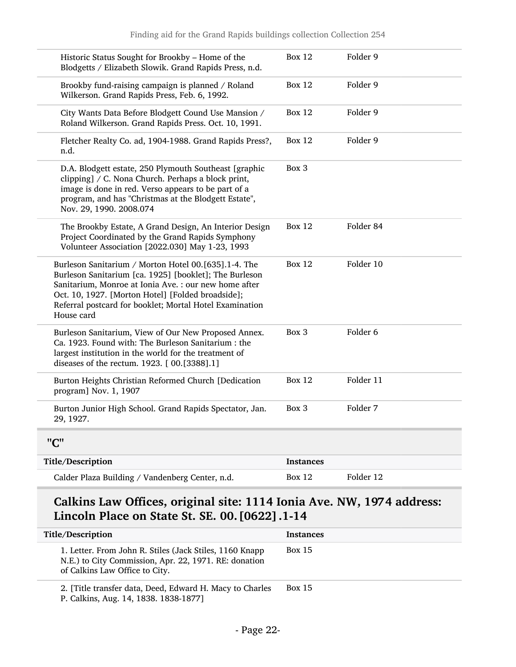| Historic Status Sought for Brookby - Home of the<br>Blodgetts / Elizabeth Slowik. Grand Rapids Press, n.d.                                                                                                                                                                                            | <b>Box 12</b>    | Folder 9  |
|-------------------------------------------------------------------------------------------------------------------------------------------------------------------------------------------------------------------------------------------------------------------------------------------------------|------------------|-----------|
| Brookby fund-raising campaign is planned / Roland<br>Wilkerson. Grand Rapids Press, Feb. 6, 1992.                                                                                                                                                                                                     | <b>Box 12</b>    | Folder 9  |
| City Wants Data Before Blodgett Cound Use Mansion /<br>Roland Wilkerson. Grand Rapids Press. Oct. 10, 1991.                                                                                                                                                                                           | <b>Box 12</b>    | Folder 9  |
| Fletcher Realty Co. ad, 1904-1988. Grand Rapids Press?,<br>n.d.                                                                                                                                                                                                                                       | <b>Box 12</b>    | Folder 9  |
| D.A. Blodgett estate, 250 Plymouth Southeast [graphic<br>clipping] / C. Nona Church. Perhaps a block print,<br>image is done in red. Verso appears to be part of a<br>program, and has "Christmas at the Blodgett Estate",<br>Nov. 29, 1990. 2008.074                                                 | Box 3            |           |
| The Brookby Estate, A Grand Design, An Interior Design<br>Project Coordinated by the Grand Rapids Symphony<br>Volunteer Association [2022.030] May 1-23, 1993                                                                                                                                         | <b>Box 12</b>    | Folder 84 |
| Burleson Sanitarium / Morton Hotel 00.[635].1-4. The<br>Burleson Sanitarium [ca. 1925] [booklet]; The Burleson<br>Sanitarium, Monroe at Ionia Ave. : our new home after<br>Oct. 10, 1927. [Morton Hotel] [Folded broadside];<br>Referral postcard for booklet; Mortal Hotel Examination<br>House card | <b>Box 12</b>    | Folder 10 |
| Burleson Sanitarium, View of Our New Proposed Annex.<br>Ca. 1923. Found with: The Burleson Sanitarium: the<br>largest institution in the world for the treatment of<br>diseases of the rectum. 1923. [00.[3388].1]                                                                                    | Box 3            | Folder 6  |
| Burton Heights Christian Reformed Church [Dedication<br>program] Nov. 1, 1907                                                                                                                                                                                                                         | <b>Box 12</b>    | Folder 11 |
| Burton Junior High School. Grand Rapids Spectator, Jan.<br>29, 1927.                                                                                                                                                                                                                                  | Box 3            | Folder 7  |
| "C"                                                                                                                                                                                                                                                                                                   |                  |           |
| Title/Description                                                                                                                                                                                                                                                                                     | <b>Instances</b> |           |
| Calder Plaza Building / Vandenberg Center, n.d.                                                                                                                                                                                                                                                       | <b>Box 12</b>    | Folder 12 |
|                                                                                                                                                                                                                                                                                                       |                  |           |

## <span id="page-21-0"></span>Calkins Law Offices, original site: 1114 Ionia Ave. NW, 1974 address: Lincoln Place on State St. SE. 00.[0622].1-14

| Title/Description                                                                                                                                   | <b>Instances</b> |
|-----------------------------------------------------------------------------------------------------------------------------------------------------|------------------|
| 1. Letter. From John R. Stiles (Jack Stiles, 1160 Knapp)<br>N.E.) to City Commission, Apr. 22, 1971. RE: donation<br>of Calkins Law Office to City. | <b>Box 15</b>    |
| 2. [Title transfer data, Deed, Edward H. Macy to Charles                                                                                            | <b>Box 15</b>    |

P. Calkins, Aug. 14, 1838. 1838-1877]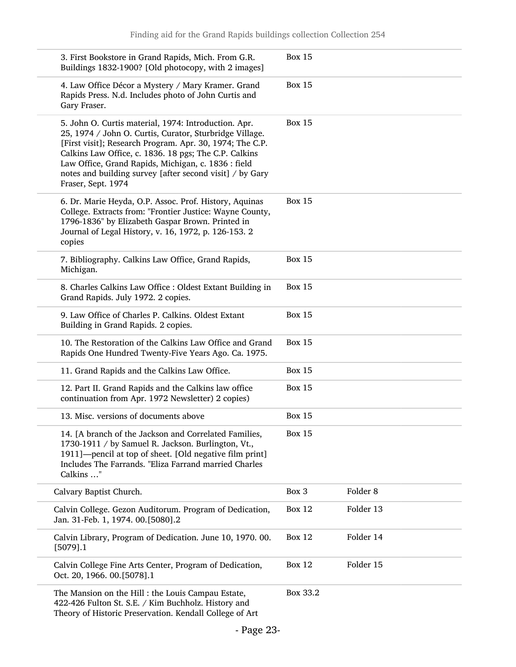| 3. First Bookstore in Grand Rapids, Mich. From G.R.<br>Buildings 1832-1900? [Old photocopy, with 2 images]                                                                                                                                                                                                                                                                    | <b>Box 15</b>                |  |
|-------------------------------------------------------------------------------------------------------------------------------------------------------------------------------------------------------------------------------------------------------------------------------------------------------------------------------------------------------------------------------|------------------------------|--|
| 4. Law Office Décor a Mystery / Mary Kramer. Grand<br>Rapids Press. N.d. Includes photo of John Curtis and<br>Gary Fraser.                                                                                                                                                                                                                                                    | <b>Box 15</b>                |  |
| 5. John O. Curtis material, 1974: Introduction. Apr.<br>25, 1974 / John O. Curtis, Curator, Sturbridge Village.<br>[First visit]; Research Program. Apr. 30, 1974; The C.P.<br>Calkins Law Office, c. 1836. 18 pgs; The C.P. Calkins<br>Law Office, Grand Rapids, Michigan, c. 1836 : field<br>notes and building survey [after second visit] / by Gary<br>Fraser, Sept. 1974 | <b>Box 15</b>                |  |
| 6. Dr. Marie Heyda, O.P. Assoc. Prof. History, Aquinas<br>College. Extracts from: "Frontier Justice: Wayne County,<br>1796-1836" by Elizabeth Gaspar Brown. Printed in<br>Journal of Legal History, v. 16, 1972, p. 126-153. 2<br>copies                                                                                                                                      | <b>Box 15</b>                |  |
| 7. Bibliography. Calkins Law Office, Grand Rapids,<br>Michigan.                                                                                                                                                                                                                                                                                                               | <b>Box 15</b>                |  |
| 8. Charles Calkins Law Office : Oldest Extant Building in<br>Grand Rapids. July 1972. 2 copies.                                                                                                                                                                                                                                                                               | <b>Box 15</b>                |  |
| 9. Law Office of Charles P. Calkins. Oldest Extant<br>Building in Grand Rapids. 2 copies.                                                                                                                                                                                                                                                                                     | <b>Box 15</b>                |  |
| 10. The Restoration of the Calkins Law Office and Grand<br>Rapids One Hundred Twenty-Five Years Ago. Ca. 1975.                                                                                                                                                                                                                                                                | <b>Box 15</b>                |  |
| 11. Grand Rapids and the Calkins Law Office.                                                                                                                                                                                                                                                                                                                                  | <b>Box 15</b>                |  |
| 12. Part II. Grand Rapids and the Calkins law office<br>continuation from Apr. 1972 Newsletter) 2 copies)                                                                                                                                                                                                                                                                     | <b>Box 15</b>                |  |
| 13. Misc. versions of documents above                                                                                                                                                                                                                                                                                                                                         | <b>Box 15</b>                |  |
| 14. [A branch of the Jackson and Correlated Families,<br>1730-1911 / by Samuel R. Jackson. Burlington, Vt.,<br>1911]-pencil at top of sheet. [Old negative film print]<br>Includes The Farrands. "Eliza Farrand married Charles<br>Calkins "                                                                                                                                  | <b>Box 15</b>                |  |
| Calvary Baptist Church.                                                                                                                                                                                                                                                                                                                                                       | Box 3<br>Folder <sub>8</sub> |  |
| Calvin College. Gezon Auditorum. Program of Dedication,<br>Jan. 31-Feb. 1, 1974. 00.[5080].2                                                                                                                                                                                                                                                                                  | <b>Box 12</b><br>Folder 13   |  |
| Calvin Library, Program of Dedication. June 10, 1970. 00.<br>$[5079]$ .1                                                                                                                                                                                                                                                                                                      | <b>Box 12</b><br>Folder 14   |  |
| Calvin College Fine Arts Center, Program of Dedication,<br>Oct. 20, 1966. 00.[5078].1                                                                                                                                                                                                                                                                                         | <b>Box 12</b><br>Folder 15   |  |
| The Mansion on the Hill : the Louis Campau Estate,<br>422-426 Fulton St. S.E. / Kim Buchholz. History and<br>Theory of Historic Preservation. Kendall College of Art                                                                                                                                                                                                          | Box 33.2                     |  |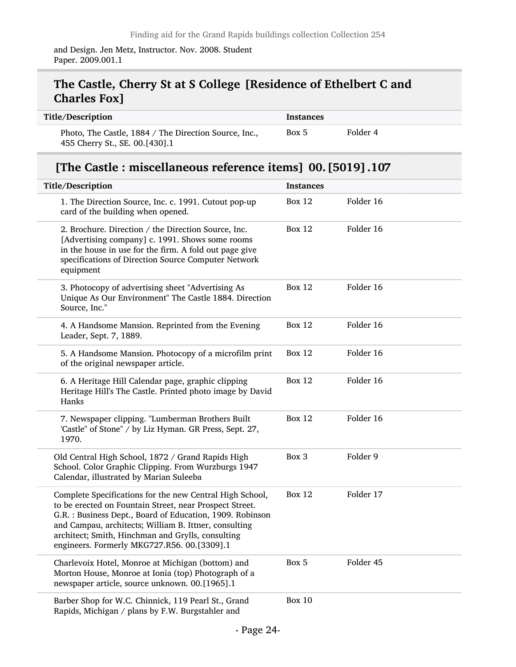and Design. Jen Metz, Instructor. Nov. 2008. Student Paper. 2009.001.1

## The Castle, Cherry St at S College [Residence of Ethelbert C and Charles Fox]

| Title/Description                                                                       | <b>Instances</b> |          |
|-----------------------------------------------------------------------------------------|------------------|----------|
| Photo, The Castle, 1884 / The Direction Source, Inc.,<br>455 Cherry St., SE. 00.[430].1 | Box 5            | Folder 4 |

## [The Castle : miscellaneous reference items] 00.[5019].107

| Title/Description                                                                                                                                                                                                                                                                                                                             | <b>Instances</b> |           |
|-----------------------------------------------------------------------------------------------------------------------------------------------------------------------------------------------------------------------------------------------------------------------------------------------------------------------------------------------|------------------|-----------|
| 1. The Direction Source, Inc. c. 1991. Cutout pop-up<br>card of the building when opened.                                                                                                                                                                                                                                                     | Box $12$         | Folder 16 |
| 2. Brochure. Direction / the Direction Source, Inc.<br>[Advertising company] c. 1991. Shows some rooms<br>in the house in use for the firm. A fold out page give<br>specifications of Direction Source Computer Network<br>equipment                                                                                                          | <b>Box 12</b>    | Folder 16 |
| 3. Photocopy of advertising sheet "Advertising As<br>Unique As Our Environment" The Castle 1884. Direction<br>Source, Inc."                                                                                                                                                                                                                   | Box 12           | Folder 16 |
| 4. A Handsome Mansion. Reprinted from the Evening<br>Leader, Sept. 7, 1889.                                                                                                                                                                                                                                                                   | Box 12           | Folder 16 |
| 5. A Handsome Mansion. Photocopy of a microfilm print<br>of the original newspaper article.                                                                                                                                                                                                                                                   | <b>Box 12</b>    | Folder 16 |
| 6. A Heritage Hill Calendar page, graphic clipping<br>Heritage Hill's The Castle. Printed photo image by David<br>Hanks                                                                                                                                                                                                                       | <b>Box 12</b>    | Folder 16 |
| 7. Newspaper clipping. "Lumberman Brothers Built<br>'Castle" of Stone" / by Liz Hyman. GR Press, Sept. 27,<br>1970.                                                                                                                                                                                                                           | <b>Box 12</b>    | Folder 16 |
| Old Central High School, 1872 / Grand Rapids High<br>School. Color Graphic Clipping. From Wurzburgs 1947<br>Calendar, illustrated by Marian Suleeba                                                                                                                                                                                           | Box 3            | Folder 9  |
| Complete Specifications for the new Central High School,<br>to be erected on Fountain Street, near Prospect Street.<br>G.R. : Business Dept., Board of Education, 1909. Robinson<br>and Campau, architects; William B. Ittner, consulting<br>architect; Smith, Hinchman and Grylls, consulting<br>engineers. Formerly MKG727.R56. 00.[3309].1 | <b>Box 12</b>    | Folder 17 |
| Charlevoix Hotel, Monroe at Michigan (bottom) and<br>Morton House, Monroe at Ionia (top) Photograph of a<br>newspaper article, source unknown. 00.[1965].1                                                                                                                                                                                    | Box 5            | Folder 45 |
| Barber Shop for W.C. Chinnick, 119 Pearl St., Grand<br>Rapids, Michigan / plans by F.W. Burgstahler and                                                                                                                                                                                                                                       | <b>Box 10</b>    |           |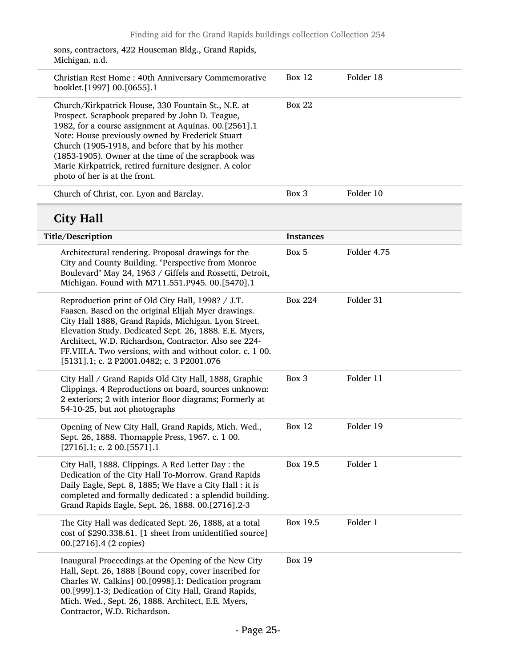| sons, contractors, 422 Houseman Bldg., Grand Rapids, |  |
|------------------------------------------------------|--|
| Michigan. n.d.                                       |  |

| Christian Rest Home: 40th Anniversary Commemorative<br>booklet.[1997] 00.[0655].1                                                                                                                                                                                                                                                                                                                                         | Box 12           | Folder 18   |
|---------------------------------------------------------------------------------------------------------------------------------------------------------------------------------------------------------------------------------------------------------------------------------------------------------------------------------------------------------------------------------------------------------------------------|------------------|-------------|
| Church/Kirkpatrick House, 330 Fountain St., N.E. at<br>Prospect. Scrapbook prepared by John D. Teague,<br>1982, for a course assignment at Aquinas. 00.[2561].1<br>Note: House previously owned by Frederick Stuart<br>Church (1905-1918, and before that by his mother<br>(1853-1905). Owner at the time of the scrapbook was<br>Marie Kirkpatrick, retired furniture designer. A color<br>photo of her is at the front. | Box 22           |             |
| Church of Christ, cor. Lyon and Barclay.                                                                                                                                                                                                                                                                                                                                                                                  | Box 3            | Folder 10   |
| <b>City Hall</b>                                                                                                                                                                                                                                                                                                                                                                                                          |                  |             |
| Title/Description                                                                                                                                                                                                                                                                                                                                                                                                         | <b>Instances</b> |             |
| Architectural rendering. Proposal drawings for the<br>City and County Building. "Perspective from Monroe<br>Boulevard" May 24, 1963 / Giffels and Rossetti, Detroit,<br>Michigan. Found with M711.551.P945. 00.[5470].1                                                                                                                                                                                                   | Box 5            | Folder 4.75 |
| Reproduction print of Old City Hall, 1998? / J.T.<br>Faasen. Based on the original Elijah Myer drawings.<br>City Hall 1888, Grand Rapids, Michigan. Lyon Street.                                                                                                                                                                                                                                                          | <b>Box 224</b>   | Folder 31   |

Elevation Study. Dedicated Sept. 26, 1888. E.E. Myers, Architect, W.D. Richardson, Contractor. Also see 224- FF.VIII.A. Two versions, with and without color. c. 1 00.

| 151311.1; c. 2 P2001.0482; c. 3 P2001.076                                                                                                                                                                                                                                           |               |           |
|-------------------------------------------------------------------------------------------------------------------------------------------------------------------------------------------------------------------------------------------------------------------------------------|---------------|-----------|
| City Hall / Grand Rapids Old City Hall, 1888, Graphic<br>Clippings. 4 Reproductions on board, sources unknown:<br>2 exteriors; 2 with interior floor diagrams; Formerly at<br>54-10-25, but not photographs                                                                         | Box 3         | Folder 11 |
| Opening of New City Hall, Grand Rapids, Mich. Wed.,<br>Sept. 26, 1888. Thornapple Press, 1967. c. 1 00.<br>$[2716]$ .1; c. 2 00.[5571].1                                                                                                                                            | Box 12        | Folder 19 |
| City Hall, 1888. Clippings. A Red Letter Day: the<br>Dedication of the City Hall To-Morrow. Grand Rapids<br>Daily Eagle, Sept. 8, 1885; We Have a City Hall : it is<br>completed and formally dedicated : a splendid building.<br>Grand Rapids Eagle, Sept. 26, 1888. 00.[2716].2-3 | Box 19.5      | Folder 1  |
| The City Hall was dedicated Sept. 26, 1888, at a total<br>cost of \$290.338.61. [1 sheet from unidentified source]<br>00.[2716].4 (2 copies)                                                                                                                                        | Box 19.5      | Folder 1  |
| Inaugural Proceedings at the Opening of the New City<br>Hall, Sept. 26, 1888 [Bound copy, cover inscribed for<br>Charles W. Calkins] 00. [0998].1: Dedication program                                                                                                               | <b>Box 19</b> |           |

00.[999].1-3; Dedication of City Hall, Grand Rapids, Mich. Wed., Sept. 26, 1888. Architect, E.E. Myers,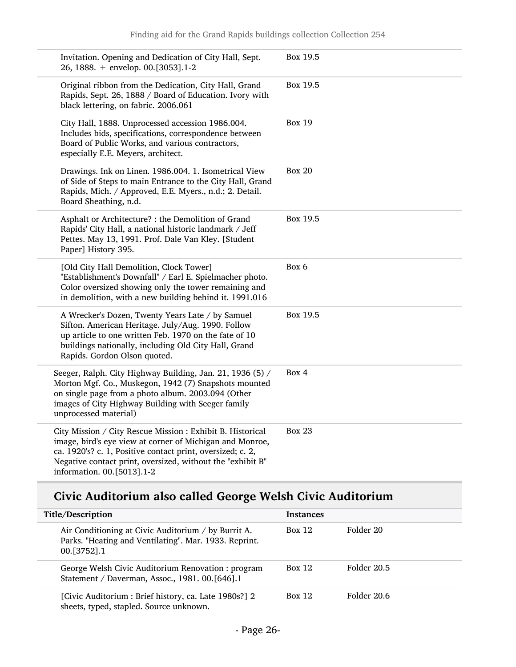| Invitation. Opening and Dedication of City Hall, Sept.<br>26, 1888. + envelop. 00.[3053].1-2                                                                                                                                                                                     | Box 19.5      |
|----------------------------------------------------------------------------------------------------------------------------------------------------------------------------------------------------------------------------------------------------------------------------------|---------------|
| Original ribbon from the Dedication, City Hall, Grand<br>Rapids, Sept. 26, 1888 / Board of Education. Ivory with<br>black lettering, on fabric. 2006.061                                                                                                                         | Box 19.5      |
| City Hall, 1888. Unprocessed accession 1986.004.<br>Includes bids, specifications, correspondence between<br>Board of Public Works, and various contractors,<br>especially E.E. Meyers, architect.                                                                               | <b>Box 19</b> |
| Drawings. Ink on Linen. 1986.004. 1. Isometrical View<br>of Side of Steps to main Entrance to the City Hall, Grand<br>Rapids, Mich. / Approved, E.E. Myers., n.d.; 2. Detail.<br>Board Sheathing, n.d.                                                                           | <b>Box 20</b> |
| Asphalt or Architecture? : the Demolition of Grand<br>Rapids' City Hall, a national historic landmark / Jeff<br>Pettes. May 13, 1991. Prof. Dale Van Kley. [Student<br>Paper] History 395.                                                                                       | Box 19.5      |
| [Old City Hall Demolition, Clock Tower]<br>"Establishment's Downfall" / Earl E. Spielmacher photo.<br>Color oversized showing only the tower remaining and<br>in demolition, with a new building behind it. 1991.016                                                             | Box 6         |
| A Wrecker's Dozen, Twenty Years Late / by Samuel<br>Sifton. American Heritage. July/Aug. 1990. Follow<br>up article to one written Feb. 1970 on the fate of 10<br>buildings nationally, including Old City Hall, Grand<br>Rapids. Gordon Olson quoted.                           | Box 19.5      |
| Seeger, Ralph. City Highway Building, Jan. 21, 1936 (5) /<br>Morton Mgf. Co., Muskegon, 1942 (7) Snapshots mounted<br>on single page from a photo album. 2003.094 (Other<br>images of City Highway Building with Seeger family<br>unprocessed material)                          | Box 4         |
| City Mission / City Rescue Mission : Exhibit B. Historical<br>image, bird's eye view at corner of Michigan and Monroe,<br>ca. 1920's? c. 1, Positive contact print, oversized; c. 2,<br>Negative contact print, oversized, without the "exhibit B"<br>information. 00.[5013].1-2 | <b>Box 23</b> |

## Civic Auditorium also called George Welsh Civic Auditorium

| Title/Description                                                                                                               | <b>Instances</b> |             |
|---------------------------------------------------------------------------------------------------------------------------------|------------------|-------------|
| Air Conditioning at Civic Auditorium / by Burrit A.<br>Parks. "Heating and Ventilating". Mar. 1933. Reprint.<br>$00. [3752]$ .1 | Box 12           | Folder 20   |
| George Welsh Civic Auditorium Renovation: program<br>Statement / Daverman, Assoc., 1981. 00. [646]. 1                           | Box 12           | Folder 20.5 |
| [Civic Auditorium : Brief history, ca. Late 1980s?] 2<br>sheets, typed, stapled. Source unknown.                                | Box 12           | Folder 20.6 |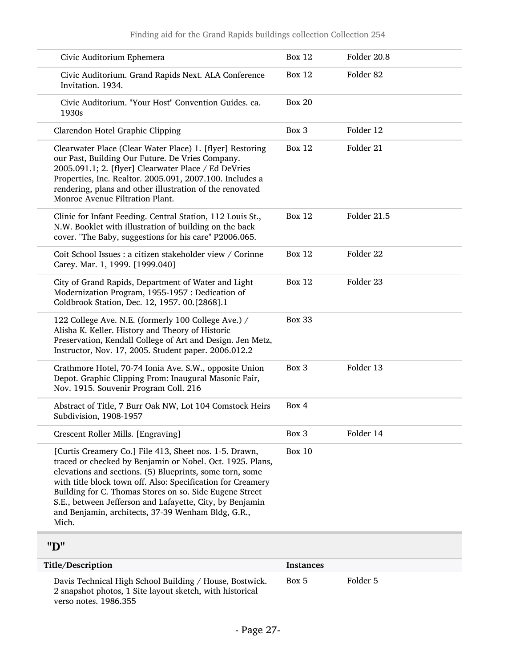| Civic Auditorium Ephemera                                                                                                                                                                                                                                                                                                                                                                                                            | <b>Box 12</b> | Folder 20.8          |
|--------------------------------------------------------------------------------------------------------------------------------------------------------------------------------------------------------------------------------------------------------------------------------------------------------------------------------------------------------------------------------------------------------------------------------------|---------------|----------------------|
| Civic Auditorium. Grand Rapids Next. ALA Conference<br>Invitation. 1934.                                                                                                                                                                                                                                                                                                                                                             | <b>Box 12</b> | Folder <sub>82</sub> |
| Civic Auditorium. "Your Host" Convention Guides. ca.<br>1930s                                                                                                                                                                                                                                                                                                                                                                        | <b>Box 20</b> |                      |
| Clarendon Hotel Graphic Clipping                                                                                                                                                                                                                                                                                                                                                                                                     | Box 3         | Folder 12            |
| Clearwater Place (Clear Water Place) 1. [flyer] Restoring<br>our Past, Building Our Future. De Vries Company.<br>2005.091.1; 2. [flyer] Clearwater Place / Ed DeVries<br>Properties, Inc. Realtor. 2005.091, 2007.100. Includes a<br>rendering, plans and other illustration of the renovated<br>Monroe Avenue Filtration Plant.                                                                                                     | <b>Box 12</b> | Folder 21            |
| Clinic for Infant Feeding. Central Station, 112 Louis St.,<br>N.W. Booklet with illustration of building on the back<br>cover. "The Baby, suggestions for his care" P2006.065.                                                                                                                                                                                                                                                       | <b>Box 12</b> | Folder 21.5          |
| Coit School Issues : a citizen stakeholder view / Corinne<br>Carey. Mar. 1, 1999. [1999.040]                                                                                                                                                                                                                                                                                                                                         | <b>Box 12</b> | Folder 22            |
| City of Grand Rapids, Department of Water and Light<br>Modernization Program, 1955-1957 : Dedication of<br>Coldbrook Station, Dec. 12, 1957. 00.[2868].1                                                                                                                                                                                                                                                                             | <b>Box 12</b> | Folder 23            |
| 122 College Ave. N.E. (formerly 100 College Ave.) /<br>Alisha K. Keller. History and Theory of Historic<br>Preservation, Kendall College of Art and Design. Jen Metz,<br>Instructor, Nov. 17, 2005. Student paper. 2006.012.2                                                                                                                                                                                                        | <b>Box 33</b> |                      |
| Crathmore Hotel, 70-74 Ionia Ave. S.W., opposite Union<br>Depot. Graphic Clipping From: Inaugural Masonic Fair,<br>Nov. 1915. Souvenir Program Coll. 216                                                                                                                                                                                                                                                                             | Box 3         | Folder 13            |
| Abstract of Title, 7 Burr Oak NW, Lot 104 Comstock Heirs<br>Subdivision, 1908-1957                                                                                                                                                                                                                                                                                                                                                   | Box 4         |                      |
| Crescent Roller Mills. [Engraving]                                                                                                                                                                                                                                                                                                                                                                                                   | Box 3         | Folder 14            |
| [Curtis Creamery Co.] File 413, Sheet nos. 1-5. Drawn,<br>traced or checked by Benjamin or Nobel. Oct. 1925. Plans,<br>elevations and sections. (5) Blueprints, some torn, some<br>with title block town off. Also: Specification for Creamery<br>Building for C. Thomas Stores on so. Side Eugene Street<br>S.E., between Jefferson and Lafayette, City, by Benjamin<br>and Benjamin, architects, 37-39 Wenham Bldg, G.R.,<br>Mich. | <b>Box 10</b> |                      |
| 11T11                                                                                                                                                                                                                                                                                                                                                                                                                                |               |                      |

#### "D"

<span id="page-26-0"></span>

| <b>Title/Description</b>                                                                                                                     | <b>Instances</b> |          |  |  |
|----------------------------------------------------------------------------------------------------------------------------------------------|------------------|----------|--|--|
| Davis Technical High School Building / House, Bostwick.<br>2 snapshot photos, 1 Site layout sketch, with historical<br>verso notes, 1986.355 | Box 5            | Folder 5 |  |  |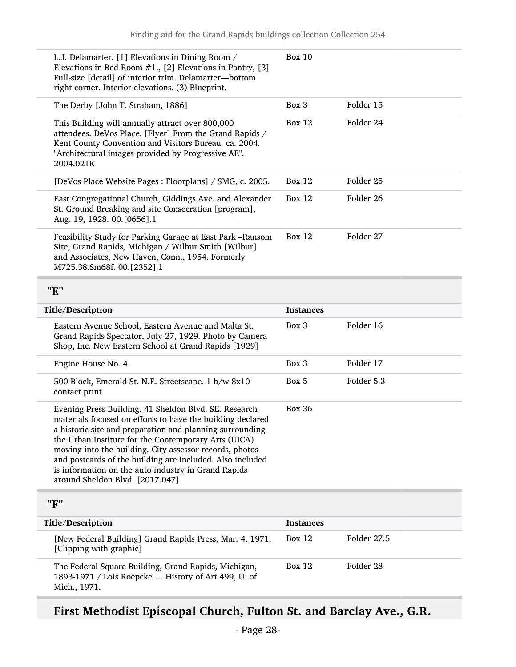<span id="page-27-0"></span>

| L.J. Delamarter. [1] Elevations in Dining Room /<br>Elevations in Bed Room $#1$ ., [2] Elevations in Pantry, [3]<br>Full-size [detail] of interior trim. Delamarter-bottom<br>right corner. Interior elevations. (3) Blueprint.                                                                                                                                                                                                                           | <b>Box 10</b>    |                      |
|-----------------------------------------------------------------------------------------------------------------------------------------------------------------------------------------------------------------------------------------------------------------------------------------------------------------------------------------------------------------------------------------------------------------------------------------------------------|------------------|----------------------|
| The Derby [John T. Straham, 1886]                                                                                                                                                                                                                                                                                                                                                                                                                         | Box 3            | Folder 15            |
| This Building will annually attract over 800,000<br>attendees. DeVos Place. [Flyer] From the Grand Rapids /<br>Kent County Convention and Visitors Bureau. ca. 2004.<br>"Architectural images provided by Progressive AE".<br>2004.021K                                                                                                                                                                                                                   | <b>Box 12</b>    | Folder 24            |
| [DeVos Place Website Pages : Floorplans] / SMG, c. 2005.                                                                                                                                                                                                                                                                                                                                                                                                  | <b>Box 12</b>    | Folder <sub>25</sub> |
| East Congregational Church, Giddings Ave. and Alexander<br>St. Ground Breaking and site Consecration [program],<br>Aug. 19, 1928. 00. [0656].1                                                                                                                                                                                                                                                                                                            | <b>Box 12</b>    | Folder 26            |
| Feasibility Study for Parking Garage at East Park - Ransom<br>Site, Grand Rapids, Michigan / Wilbur Smith [Wilbur]<br>and Associates, New Haven, Conn., 1954. Formerly<br>M725.38.Sm68f. 00.[2352].1                                                                                                                                                                                                                                                      | <b>Box 12</b>    | Folder 27            |
| "E"                                                                                                                                                                                                                                                                                                                                                                                                                                                       |                  |                      |
| Title/Description                                                                                                                                                                                                                                                                                                                                                                                                                                         | <b>Instances</b> |                      |
|                                                                                                                                                                                                                                                                                                                                                                                                                                                           |                  |                      |
| Eastern Avenue School, Eastern Avenue and Malta St.<br>Grand Rapids Spectator, July 27, 1929. Photo by Camera<br>Shop, Inc. New Eastern School at Grand Rapids [1929]                                                                                                                                                                                                                                                                                     | Box 3            | Folder 16            |
| Engine House No. 4.                                                                                                                                                                                                                                                                                                                                                                                                                                       | Box 3            | Folder 17            |
| 500 Block, Emerald St. N.E. Streetscape. 1 b/w 8x10<br>contact print                                                                                                                                                                                                                                                                                                                                                                                      | Box 5            | Folder 5.3           |
| Evening Press Building. 41 Sheldon Blvd. SE. Research<br>materials focused on efforts to have the building declared<br>a historic site and preparation and planning surrounding<br>the Urban Institute for the Contemporary Arts (UICA)<br>moving into the building. City assessor records, photos<br>and postcards of the building are included. Also included<br>is information on the auto industry in Grand Rapids<br>around Sheldon Blvd. [2017.047] | <b>Box 36</b>    |                      |
| "F"                                                                                                                                                                                                                                                                                                                                                                                                                                                       |                  |                      |
| Title/Description                                                                                                                                                                                                                                                                                                                                                                                                                                         | <b>Instances</b> |                      |
| [New Federal Building] Grand Rapids Press, Mar. 4, 1971.<br>[Clipping with graphic]                                                                                                                                                                                                                                                                                                                                                                       | <b>Box 12</b>    | Folder 27.5          |

# <span id="page-27-1"></span>First Methodist Episcopal Church, Fulton St. and Barclay Ave., G.R.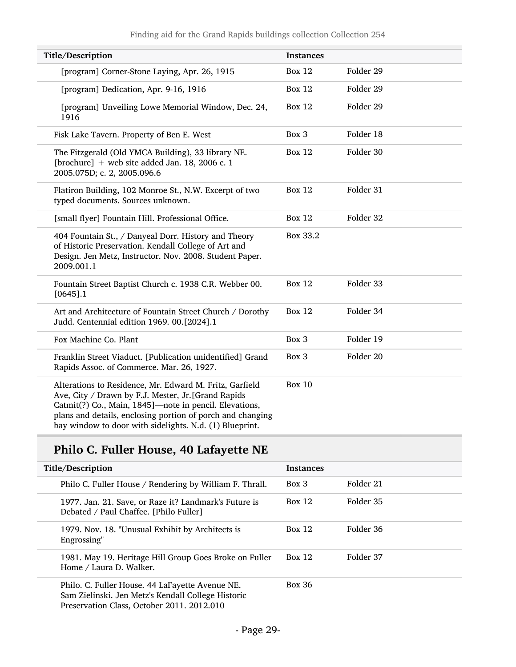| Title/Description                                                                                                                                                                                                                                                                                 | <b>Instances</b> |           |
|---------------------------------------------------------------------------------------------------------------------------------------------------------------------------------------------------------------------------------------------------------------------------------------------------|------------------|-----------|
| [program] Corner-Stone Laying, Apr. 26, 1915                                                                                                                                                                                                                                                      | <b>Box 12</b>    | Folder 29 |
| [program] Dedication, Apr. 9-16, 1916                                                                                                                                                                                                                                                             | <b>Box 12</b>    | Folder 29 |
| [program] Unveiling Lowe Memorial Window, Dec. 24,<br>1916                                                                                                                                                                                                                                        | <b>Box 12</b>    | Folder 29 |
| Fisk Lake Tavern. Property of Ben E. West                                                                                                                                                                                                                                                         | Box 3            | Folder 18 |
| The Fitzgerald (Old YMCA Building), 33 library NE.<br>[brochure] $+$ web site added Jan. 18, 2006 c. 1<br>2005.075D; c. 2, 2005.096.6                                                                                                                                                             | <b>Box 12</b>    | Folder 30 |
| Flatiron Building, 102 Monroe St., N.W. Excerpt of two<br>typed documents. Sources unknown.                                                                                                                                                                                                       | <b>Box 12</b>    | Folder 31 |
| [small flyer] Fountain Hill. Professional Office.                                                                                                                                                                                                                                                 | <b>Box 12</b>    | Folder 32 |
| 404 Fountain St., / Danyeal Dorr. History and Theory<br>of Historic Preservation. Kendall College of Art and<br>Design. Jen Metz, Instructor. Nov. 2008. Student Paper.<br>2009.001.1                                                                                                             | Box 33.2         |           |
| Fountain Street Baptist Church c. 1938 C.R. Webber 00.<br>$[0645]$ .1                                                                                                                                                                                                                             | <b>Box 12</b>    | Folder 33 |
| Art and Architecture of Fountain Street Church / Dorothy<br>Judd. Centennial edition 1969. 00.[2024].1                                                                                                                                                                                            | <b>Box 12</b>    | Folder 34 |
| Fox Machine Co. Plant                                                                                                                                                                                                                                                                             | Box 3            | Folder 19 |
| Franklin Street Viaduct. [Publication unidentified] Grand<br>Rapids Assoc. of Commerce. Mar. 26, 1927.                                                                                                                                                                                            | Box 3            | Folder 20 |
| Alterations to Residence, Mr. Edward M. Fritz, Garfield<br>Ave, City / Drawn by F.J. Mester, Jr. [Grand Rapids<br>Catmit(?) Co., Main, 1845]-note in pencil. Elevations,<br>plans and details, enclosing portion of porch and changing<br>bay window to door with sidelights. N.d. (1) Blueprint. | <b>Box 10</b>    |           |

## Philo C. Fuller House, 40 Lafayette NE

| Title/Description                                                                                                                                   | <b>Instances</b> |           |
|-----------------------------------------------------------------------------------------------------------------------------------------------------|------------------|-----------|
| Philo C. Fuller House / Rendering by William F. Thrall.                                                                                             | Box 3            | Folder 21 |
| 1977. Jan. 21. Save, or Raze it? Landmark's Future is<br>Debated / Paul Chaffee. [Philo Fuller]                                                     | Box 12           | Folder 35 |
| 1979. Nov. 18. "Unusual Exhibit by Architects is<br>Engrossing"                                                                                     | Box 12           | Folder 36 |
| 1981. May 19. Heritage Hill Group Goes Broke on Fuller<br>Home / Laura D. Walker.                                                                   | Box 12           | Folder 37 |
| Philo. C. Fuller House. 44 LaFayette Avenue NE.<br>Sam Zielinski. Jen Metz's Kendall College Historic<br>Preservation Class, October 2011. 2012.010 | <b>Box 36</b>    |           |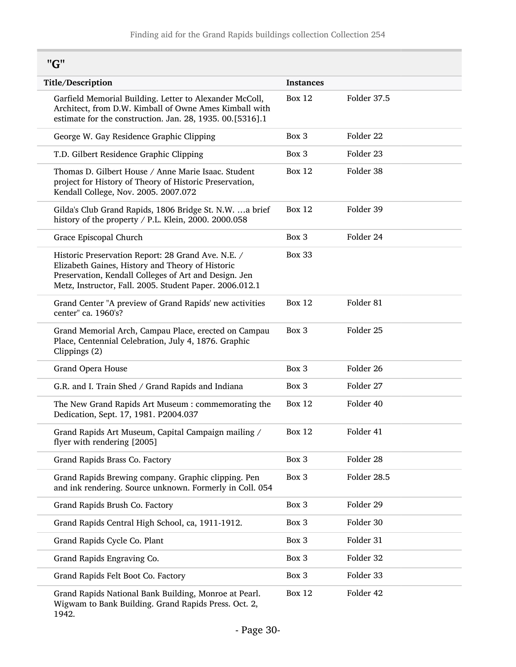"G"

<span id="page-29-0"></span>

| Title/Description                                                                                                                                                                                                          | <b>Instances</b> |             |
|----------------------------------------------------------------------------------------------------------------------------------------------------------------------------------------------------------------------------|------------------|-------------|
| Garfield Memorial Building. Letter to Alexander McColl,<br>Architect, from D.W. Kimball of Owne Ames Kimball with<br>estimate for the construction. Jan. 28, 1935. 00.[5316].1                                             | <b>Box 12</b>    | Folder 37.5 |
| George W. Gay Residence Graphic Clipping                                                                                                                                                                                   | Box 3            | Folder 22   |
| T.D. Gilbert Residence Graphic Clipping                                                                                                                                                                                    | Box 3            | Folder 23   |
| Thomas D. Gilbert House / Anne Marie Isaac. Student<br>project for History of Theory of Historic Preservation,<br>Kendall College, Nov. 2005. 2007.072                                                                     | <b>Box 12</b>    | Folder 38   |
| Gilda's Club Grand Rapids, 1806 Bridge St. N.W.  a brief<br>history of the property / P.L. Klein, 2000. 2000.058                                                                                                           | <b>Box 12</b>    | Folder 39   |
| Grace Episcopal Church                                                                                                                                                                                                     | Box 3            | Folder 24   |
| Historic Preservation Report: 28 Grand Ave. N.E. /<br>Elizabeth Gaines, History and Theory of Historic<br>Preservation, Kendall Colleges of Art and Design. Jen<br>Metz, Instructor, Fall. 2005. Student Paper. 2006.012.1 | <b>Box 33</b>    |             |
| Grand Center "A preview of Grand Rapids' new activities<br>center" ca. 1960's?                                                                                                                                             | <b>Box 12</b>    | Folder 81   |
| Grand Memorial Arch, Campau Place, erected on Campau<br>Place, Centennial Celebration, July 4, 1876. Graphic<br>Clippings (2)                                                                                              | Box 3            | Folder 25   |
| Grand Opera House                                                                                                                                                                                                          | Box 3            | Folder 26   |
| G.R. and I. Train Shed / Grand Rapids and Indiana                                                                                                                                                                          | Box 3            | Folder 27   |
| The New Grand Rapids Art Museum: commemorating the<br>Dedication, Sept. 17, 1981. P2004.037                                                                                                                                | <b>Box 12</b>    | Folder 40   |
| Grand Rapids Art Museum, Capital Campaign mailing /<br>flyer with rendering [2005]                                                                                                                                         | <b>Box 12</b>    | Folder 41   |
| Grand Rapids Brass Co. Factory                                                                                                                                                                                             | Box 3            | Folder 28   |
| Grand Rapids Brewing company. Graphic clipping. Pen<br>and ink rendering. Source unknown. Formerly in Coll. 054                                                                                                            | Box 3            | Folder 28.5 |
| Grand Rapids Brush Co. Factory                                                                                                                                                                                             | Box 3            | Folder 29   |
| Grand Rapids Central High School, ca, 1911-1912.                                                                                                                                                                           | Box 3            | Folder 30   |
| Grand Rapids Cycle Co. Plant                                                                                                                                                                                               | Box 3            | Folder 31   |
| Grand Rapids Engraving Co.                                                                                                                                                                                                 | Box 3            | Folder 32   |
| Grand Rapids Felt Boot Co. Factory                                                                                                                                                                                         | Box 3            | Folder 33   |
| Grand Rapids National Bank Building, Monroe at Pearl.<br>Wigwam to Bank Building. Grand Rapids Press. Oct. 2,                                                                                                              | <b>Box 12</b>    | Folder 42   |

<sup>1942.</sup>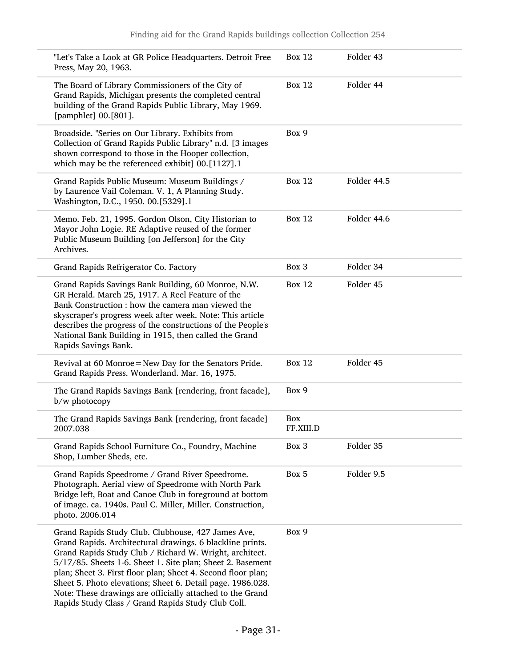| "Let's Take a Look at GR Police Headquarters. Detroit Free<br>Press, May 20, 1963.                                                                                                                                                                                                                                                                                                                                                                                                        | <b>Box 12</b>    | Folder 43   |
|-------------------------------------------------------------------------------------------------------------------------------------------------------------------------------------------------------------------------------------------------------------------------------------------------------------------------------------------------------------------------------------------------------------------------------------------------------------------------------------------|------------------|-------------|
| The Board of Library Commissioners of the City of<br>Grand Rapids, Michigan presents the completed central<br>building of the Grand Rapids Public Library, May 1969.<br>[pamphlet] 00.[801].                                                                                                                                                                                                                                                                                              | <b>Box 12</b>    | Folder 44   |
| Broadside. "Series on Our Library. Exhibits from<br>Collection of Grand Rapids Public Library" n.d. [3 images<br>shown correspond to those in the Hooper collection,<br>which may be the referenced exhibit] 00.[1127].1                                                                                                                                                                                                                                                                  | Box 9            |             |
| Grand Rapids Public Museum: Museum Buildings /<br>by Laurence Vail Coleman. V. 1, A Planning Study.<br>Washington, D.C., 1950. 00.[5329].1                                                                                                                                                                                                                                                                                                                                                | <b>Box 12</b>    | Folder 44.5 |
| Memo. Feb. 21, 1995. Gordon Olson, City Historian to<br>Mayor John Logie. RE Adaptive reused of the former<br>Public Museum Building [on Jefferson] for the City<br>Archives.                                                                                                                                                                                                                                                                                                             | <b>Box 12</b>    | Folder 44.6 |
| Grand Rapids Refrigerator Co. Factory                                                                                                                                                                                                                                                                                                                                                                                                                                                     | Box 3            | Folder 34   |
| Grand Rapids Savings Bank Building, 60 Monroe, N.W.<br>GR Herald. March 25, 1917. A Reel Feature of the<br>Bank Construction : how the camera man viewed the<br>skyscraper's progress week after week. Note: This article<br>describes the progress of the constructions of the People's<br>National Bank Building in 1915, then called the Grand<br>Rapids Savings Bank.                                                                                                                 | <b>Box 12</b>    | Folder 45   |
| Revival at 60 Monroe = New Day for the Senators Pride.<br>Grand Rapids Press. Wonderland. Mar. 16, 1975.                                                                                                                                                                                                                                                                                                                                                                                  | <b>Box 12</b>    | Folder 45   |
| The Grand Rapids Savings Bank [rendering, front facade],<br>b/w photocopy                                                                                                                                                                                                                                                                                                                                                                                                                 | Box 9            |             |
| The Grand Rapids Savings Bank [rendering, front facade]<br>2007.038                                                                                                                                                                                                                                                                                                                                                                                                                       | Box<br>FF.XIII.D |             |
| Grand Rapids School Furniture Co., Foundry, Machine<br>Shop, Lumber Sheds, etc.                                                                                                                                                                                                                                                                                                                                                                                                           | Box 3            | Folder 35   |
| Grand Rapids Speedrome / Grand River Speedrome.<br>Photograph. Aerial view of Speedrome with North Park<br>Bridge left, Boat and Canoe Club in foreground at bottom<br>of image. ca. 1940s. Paul C. Miller, Miller. Construction,<br>photo. 2006.014                                                                                                                                                                                                                                      | Box 5            | Folder 9.5  |
| Grand Rapids Study Club. Clubhouse, 427 James Ave,<br>Grand Rapids. Architectural drawings. 6 blackline prints.<br>Grand Rapids Study Club / Richard W. Wright, architect.<br>5/17/85. Sheets 1-6. Sheet 1. Site plan; Sheet 2. Basement<br>plan; Sheet 3. First floor plan; Sheet 4. Second floor plan;<br>Sheet 5. Photo elevations; Sheet 6. Detail page. 1986.028.<br>Note: These drawings are officially attached to the Grand<br>Rapids Study Class / Grand Rapids Study Club Coll. | Box 9            |             |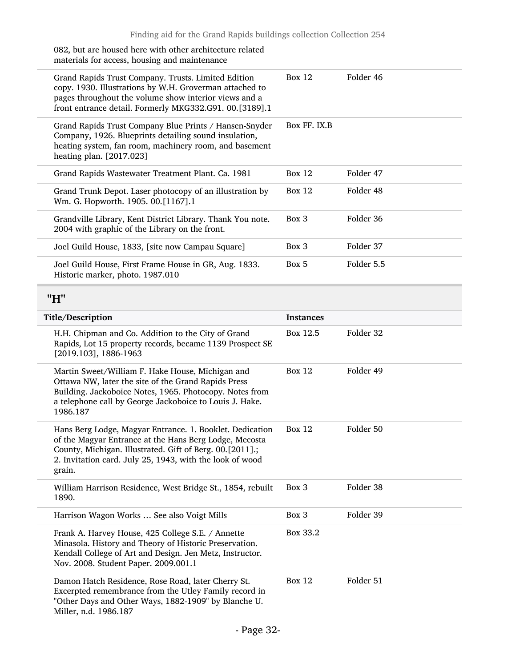<span id="page-31-0"></span>

| 082, but are housed here with other architecture related<br>materials for access, housing and maintenance                                                                                                                                            |                  |            |
|------------------------------------------------------------------------------------------------------------------------------------------------------------------------------------------------------------------------------------------------------|------------------|------------|
| Grand Rapids Trust Company. Trusts. Limited Edition<br>copy. 1930. Illustrations by W.H. Groverman attached to<br>pages throughout the volume show interior views and a<br>front entrance detail. Formerly MKG332.G91. 00.[3189].1                   | <b>Box 12</b>    | Folder 46  |
| Grand Rapids Trust Company Blue Prints / Hansen-Snyder<br>Company, 1926. Blueprints detailing sound insulation,<br>heating system, fan room, machinery room, and basement<br>heating plan. [2017.023]                                                | Box FF. IX.B     |            |
| Grand Rapids Wastewater Treatment Plant. Ca. 1981                                                                                                                                                                                                    | <b>Box 12</b>    | Folder 47  |
| Grand Trunk Depot. Laser photocopy of an illustration by<br>Wm. G. Hopworth. 1905. 00.[1167].1                                                                                                                                                       | <b>Box 12</b>    | Folder 48  |
| Grandville Library, Kent District Library. Thank You note.<br>2004 with graphic of the Library on the front.                                                                                                                                         | Box 3            | Folder 36  |
| Joel Guild House, 1833, [site now Campau Square]                                                                                                                                                                                                     | Box 3            | Folder 37  |
| Joel Guild House, First Frame House in GR, Aug. 1833.<br>Historic marker, photo. 1987.010                                                                                                                                                            | Box 5            | Folder 5.5 |
| "H"                                                                                                                                                                                                                                                  |                  |            |
| Title/Description                                                                                                                                                                                                                                    | <b>Instances</b> |            |
|                                                                                                                                                                                                                                                      |                  |            |
| H.H. Chipman and Co. Addition to the City of Grand<br>Rapids, Lot 15 property records, became 1139 Prospect SE<br>[2019.103], 1886-1963                                                                                                              | Box 12.5         | Folder 32  |
| Martin Sweet/William F. Hake House, Michigan and<br>Ottawa NW, later the site of the Grand Rapids Press<br>Building. Jackoboice Notes, 1965. Photocopy. Notes from<br>a telephone call by George Jackoboice to Louis J. Hake.<br>1986.187            | <b>Box 12</b>    | Folder 49  |
| Hans Berg Lodge, Magyar Entrance. 1. Booklet. Dedication<br>of the Magyar Entrance at the Hans Berg Lodge, Mecosta<br>County, Michigan. Illustrated. Gift of Berg. 00.[2011].;<br>2. Invitation card. July 25, 1943, with the look of wood<br>grain. | Box $12$         | Folder 50  |
| William Harrison Residence, West Bridge St., 1854, rebuilt<br>1890.                                                                                                                                                                                  | Box 3            | Folder 38  |
| Harrison Wagon Works  See also Voigt Mills                                                                                                                                                                                                           | Box 3            | Folder 39  |
| Frank A. Harvey House, 425 College S.E. / Annette<br>Minasola. History and Theory of Historic Preservation.<br>Kendall College of Art and Design. Jen Metz, Instructor.<br>Nov. 2008. Student Paper. 2009.001.1                                      | Box 33.2         |            |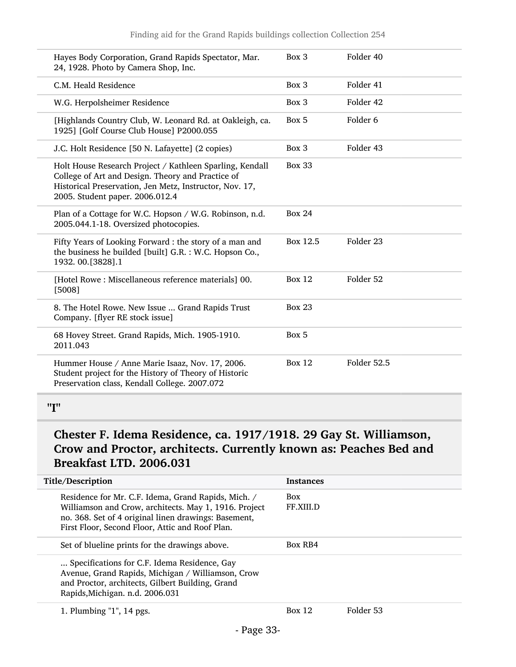| Hayes Body Corporation, Grand Rapids Spectator, Mar.<br>24, 1928. Photo by Camera Shop, Inc.                                                                                                                | Box 3         | Folder 40           |
|-------------------------------------------------------------------------------------------------------------------------------------------------------------------------------------------------------------|---------------|---------------------|
| C.M. Heald Residence                                                                                                                                                                                        | Box 3         | Folder 41           |
| W.G. Herpolsheimer Residence                                                                                                                                                                                | Box 3         | Folder 42           |
| [Highlands Country Club, W. Leonard Rd. at Oakleigh, ca.<br>1925] [Golf Course Club House] P2000.055                                                                                                        | Box 5         | Folder <sub>6</sub> |
| J.C. Holt Residence [50 N. Lafayette] (2 copies)                                                                                                                                                            | Box 3         | Folder 43           |
| Holt House Research Project / Kathleen Sparling, Kendall<br>College of Art and Design. Theory and Practice of<br>Historical Preservation, Jen Metz, Instructor, Nov. 17,<br>2005. Student paper. 2006.012.4 | <b>Box 33</b> |                     |
| Plan of a Cottage for W.C. Hopson / W.G. Robinson, n.d.<br>2005.044.1-18. Oversized photocopies.                                                                                                            | <b>Box 24</b> |                     |
| Fifty Years of Looking Forward : the story of a man and<br>the business he builded [built] G.R. : W.C. Hopson Co.,<br>1932. 00.[3828].1                                                                     | Box 12.5      | Folder 23           |
| [Hotel Rowe : Miscellaneous reference materials] 00.<br>[5008]                                                                                                                                              | <b>Box 12</b> | Folder 52           |
| 8. The Hotel Rowe. New Issue  Grand Rapids Trust<br>Company. [flyer RE stock issue]                                                                                                                         | <b>Box 23</b> |                     |
| 68 Hovey Street. Grand Rapids, Mich. 1905-1910.<br>2011.043                                                                                                                                                 | Box 5         |                     |
| Hummer House / Anne Marie Isaaz, Nov. 17, 2006.<br>Student project for the History of Theory of Historic<br>Preservation class, Kendall College. 2007.072                                                   | <b>Box 12</b> | Folder 52.5         |
|                                                                                                                                                                                                             |               |                     |

<span id="page-32-0"></span><sup>&</sup>quot;I"

### Chester F. Idema Residence, ca. 1917/1918. 29 Gay St. Williamson, Crow and Proctor, architects. Currently known as: Peaches Bed and Breakfast LTD. 2006.031

| Title/Description                                                                                                                                                                                                       | <b>Instances</b>        |           |
|-------------------------------------------------------------------------------------------------------------------------------------------------------------------------------------------------------------------------|-------------------------|-----------|
| Residence for Mr. C.F. Idema, Grand Rapids, Mich. /<br>Williamson and Crow, architects. May 1, 1916. Project<br>no. 368. Set of 4 original linen drawings: Basement,<br>First Floor, Second Floor, Attic and Roof Plan. | <b>Box</b><br>FF.XIII.D |           |
| Set of blueline prints for the drawings above.                                                                                                                                                                          | Box RB4                 |           |
| Specifications for C.F. Idema Residence, Gay<br>Avenue, Grand Rapids, Michigan / Williamson, Crow<br>and Proctor, architects, Gilbert Building, Grand<br>Rapids, Michigan. n.d. 2006.031                                |                         |           |
| 1. Plumbing $"1"$ , 14 pgs.                                                                                                                                                                                             | Box 12                  | Folder 53 |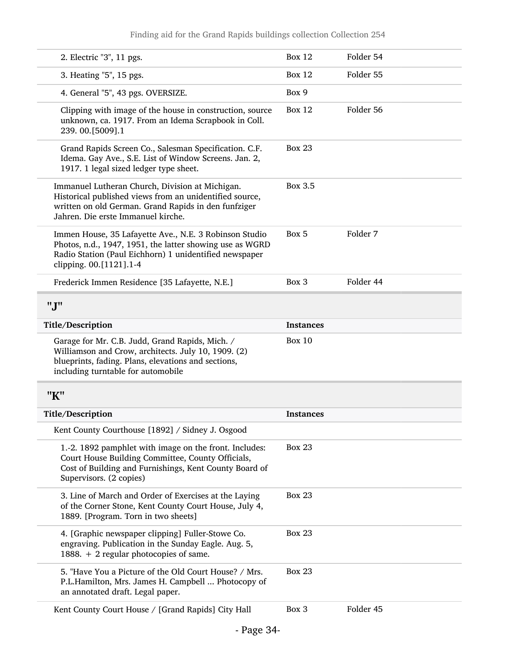#### Finding aid for the Grand Rapids buildings collection Collection 254

<span id="page-33-1"></span><span id="page-33-0"></span>

| 2. Electric "3", 11 pgs.                                                                                                                                                                                 | <b>Box 12</b>    | Folder 54 |
|----------------------------------------------------------------------------------------------------------------------------------------------------------------------------------------------------------|------------------|-----------|
| 3. Heating "5", 15 pgs.                                                                                                                                                                                  | <b>Box 12</b>    | Folder 55 |
| 4. General "5", 43 pgs. OVERSIZE.                                                                                                                                                                        | Box 9            |           |
| Clipping with image of the house in construction, source<br>unknown, ca. 1917. From an Idema Scrapbook in Coll.<br>239.00.[5009].1                                                                       | <b>Box 12</b>    | Folder 56 |
| Grand Rapids Screen Co., Salesman Specification. C.F.<br>Idema. Gay Ave., S.E. List of Window Screens. Jan. 2,<br>1917. 1 legal sized ledger type sheet.                                                 | <b>Box 23</b>    |           |
| Immanuel Lutheran Church, Division at Michigan.<br>Historical published views from an unidentified source,<br>written on old German. Grand Rapids in den funfziger<br>Jahren. Die erste Immanuel kirche. | Box 3.5          |           |
| Immen House, 35 Lafayette Ave., N.E. 3 Robinson Studio<br>Photos, n.d., 1947, 1951, the latter showing use as WGRD<br>Radio Station (Paul Eichhorn) 1 unidentified newspaper<br>clipping. 00.[1121].1-4  | Box 5            | Folder 7  |
| Frederick Immen Residence [35 Lafayette, N.E.]                                                                                                                                                           | Box 3            | Folder 44 |
| "J"                                                                                                                                                                                                      |                  |           |
| Title/Description                                                                                                                                                                                        | <b>Instances</b> |           |
| Garage for Mr. C.B. Judd, Grand Rapids, Mich. /<br>Williamson and Crow, architects. July 10, 1909. (2)<br>blueprints, fading. Plans, elevations and sections,<br>including turntable for automobile      | <b>Box 10</b>    |           |
| "K"                                                                                                                                                                                                      |                  |           |
| Title/Description                                                                                                                                                                                        | <b>Instances</b> |           |
| Kent County Courthouse [1892] / Sidney J. Osgood                                                                                                                                                         |                  |           |
| 1.-2. 1892 pamphlet with image on the front. Includes:<br>Court House Building Committee, County Officials,<br>Cost of Building and Furnishings, Kent County Board of<br>Supervisors. (2 copies)         | <b>Box 23</b>    |           |
| 3. Line of March and Order of Exercises at the Laying<br>of the Corner Stone, Kent County Court House, July 4,<br>1889. [Program. Torn in two sheets]                                                    | <b>Box 23</b>    |           |
| 4. [Graphic newspaper clipping] Fuller-Stowe Co.<br>engraving. Publication in the Sunday Eagle. Aug. 5,<br>1888. + 2 regular photocopies of same.                                                        | <b>Box 23</b>    |           |
| 5. "Have You a Picture of the Old Court House? / Mrs.<br>P.L.Hamilton, Mrs. James H. Campbell  Photocopy of                                                                                              | <b>Box 23</b>    |           |
| an annotated draft. Legal paper.                                                                                                                                                                         |                  |           |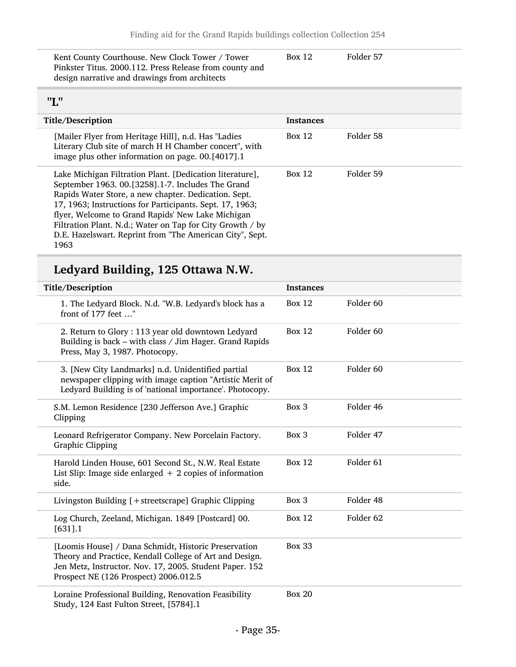| Kent County Courthouse. New Clock Tower / Tower         | Box 12 | Folder 57 |  |
|---------------------------------------------------------|--------|-----------|--|
| Pinkster Titus. 2000.112. Press Release from county and |        |           |  |
| design narrative and drawings from architects           |        |           |  |

### <span id="page-34-0"></span>"L"

| .                                                                                                                                                                                                                                                                                                                                                                                                                       |                  |           |
|-------------------------------------------------------------------------------------------------------------------------------------------------------------------------------------------------------------------------------------------------------------------------------------------------------------------------------------------------------------------------------------------------------------------------|------------------|-----------|
| Title/Description                                                                                                                                                                                                                                                                                                                                                                                                       | <b>Instances</b> |           |
| [Mailer Flyer from Heritage Hill], n.d. Has "Ladies<br>Literary Club site of march H H Chamber concert", with<br>image plus other information on page. 00.[4017].1                                                                                                                                                                                                                                                      | Box 12           | Folder 58 |
| Lake Michigan Filtration Plant. [Dedication literature],<br>September 1963. 00.[3258].1-7. Includes The Grand<br>Rapids Water Store, a new chapter. Dedication. Sept.<br>17, 1963; Instructions for Participants. Sept. 17, 1963;<br>flyer, Welcome to Grand Rapids' New Lake Michigan<br>Filtration Plant. N.d.; Water on Tap for City Growth / by<br>D.E. Hazelswart. Reprint from "The American City", Sept.<br>1963 | Box 12           | Folder 59 |

## Ledyard Building, 125 Ottawa N.W.

| Title/Description                                                                                                                                                                                                   | <b>Instances</b> |                      |
|---------------------------------------------------------------------------------------------------------------------------------------------------------------------------------------------------------------------|------------------|----------------------|
| 1. The Ledyard Block. N.d. "W.B. Ledyard's block has a<br>front of 177 feet "                                                                                                                                       | <b>Box 12</b>    | Folder 60            |
| 2. Return to Glory : 113 year old downtown Ledyard<br>Building is back - with class / Jim Hager. Grand Rapids<br>Press, May 3, 1987. Photocopy.                                                                     | <b>Box 12</b>    | Folder <sub>60</sub> |
| 3. [New City Landmarks] n.d. Unidentified partial<br>newspaper clipping with image caption "Artistic Merit of<br>Ledyard Building is of 'national importance'. Photocopy.                                           | <b>Box 12</b>    | Folder <sub>60</sub> |
| S.M. Lemon Residence [230 Jefferson Ave.] Graphic<br>Clipping                                                                                                                                                       | Box 3            | Folder 46            |
| Leonard Refrigerator Company. New Porcelain Factory.<br><b>Graphic Clipping</b>                                                                                                                                     | Box 3            | Folder 47            |
| Harold Linden House, 601 Second St., N.W. Real Estate<br>List Slip: Image side enlarged $+2$ copies of information<br>side.                                                                                         | <b>Box 12</b>    | Folder <sub>61</sub> |
| Livingston Building [+streetscrape] Graphic Clipping                                                                                                                                                                | Box 3            | Folder 48            |
| Log Church, Zeeland, Michigan. 1849 [Postcard] 00.<br>$[631]$ .1                                                                                                                                                    | <b>Box 12</b>    | Folder 62            |
| [Loomis House] / Dana Schmidt, Historic Preservation<br>Theory and Practice, Kendall College of Art and Design.<br>Jen Metz, Instructor. Nov. 17, 2005. Student Paper. 152<br>Prospect NE (126 Prospect) 2006.012.5 | <b>Box 33</b>    |                      |
| Loraine Professional Building, Renovation Feasibility<br>Study, 124 East Fulton Street, [5784].1                                                                                                                    | Box $20$         |                      |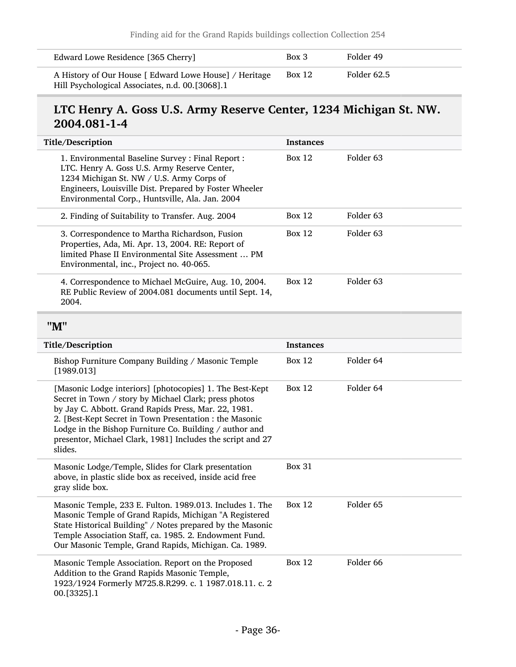| Edward Lowe Residence [365 Cherry]                                                                        | Box 3         | Folder 49   |
|-----------------------------------------------------------------------------------------------------------|---------------|-------------|
| A History of Our House [ Edward Lowe House] / Heritage<br>Hill Psychological Associates, n.d. 00.[3068].1 | <b>Box 12</b> | Folder 62.5 |

## LTC Henry A. Goss U.S. Army Reserve Center, 1234 Michigan St. NW. 2004.081-1-4

<span id="page-35-0"></span>

| Title/Description                                                                                                                                                                                                                                                                                                                                                        | <b>Instances</b> |                      |
|--------------------------------------------------------------------------------------------------------------------------------------------------------------------------------------------------------------------------------------------------------------------------------------------------------------------------------------------------------------------------|------------------|----------------------|
|                                                                                                                                                                                                                                                                                                                                                                          |                  |                      |
| 1. Environmental Baseline Survey : Final Report :<br>LTC. Henry A. Goss U.S. Army Reserve Center,<br>1234 Michigan St. NW / U.S. Army Corps of<br>Engineers, Louisville Dist. Prepared by Foster Wheeler<br>Environmental Corp., Huntsville, Ala. Jan. 2004                                                                                                              | <b>Box 12</b>    | Folder <sub>63</sub> |
| 2. Finding of Suitability to Transfer. Aug. 2004                                                                                                                                                                                                                                                                                                                         | <b>Box 12</b>    | Folder <sub>63</sub> |
| 3. Correspondence to Martha Richardson, Fusion<br>Properties, Ada, Mi. Apr. 13, 2004. RE: Report of<br>limited Phase II Environmental Site Assessment  PM<br>Environmental, inc., Project no. 40-065.                                                                                                                                                                    | <b>Box 12</b>    | Folder <sub>63</sub> |
| 4. Correspondence to Michael McGuire, Aug. 10, 2004.<br>RE Public Review of 2004.081 documents until Sept. 14,<br>2004.                                                                                                                                                                                                                                                  | <b>Box 12</b>    | Folder <sub>63</sub> |
| "M"                                                                                                                                                                                                                                                                                                                                                                      |                  |                      |
| Title/Description                                                                                                                                                                                                                                                                                                                                                        | <b>Instances</b> |                      |
| Bishop Furniture Company Building / Masonic Temple<br>[1989.013]                                                                                                                                                                                                                                                                                                         | <b>Box 12</b>    | Folder 64            |
| [Masonic Lodge interiors] [photocopies] 1. The Best-Kept<br>Secret in Town / story by Michael Clark; press photos<br>by Jay C. Abbott. Grand Rapids Press, Mar. 22, 1981.<br>2. [Best-Kept Secret in Town Presentation : the Masonic<br>Lodge in the Bishop Furniture Co. Building / author and<br>presentor, Michael Clark, 1981] Includes the script and 27<br>slides. | <b>Box 12</b>    | Folder 64            |
| Masonic Lodge/Temple, Slides for Clark presentation<br>above, in plastic slide box as received, inside acid free<br>gray slide box.                                                                                                                                                                                                                                      | <b>Box 31</b>    |                      |
| Masonic Temple, 233 E. Fulton. 1989.013. Includes 1. The<br>Masonic Temple of Grand Rapids, Michigan "A Registered<br>State Historical Building" / Notes prepared by the Masonic<br>Temple Association Staff, ca. 1985. 2. Endowment Fund.<br>Our Masonic Temple, Grand Rapids, Michigan. Ca. 1989.                                                                      | <b>Box 12</b>    | Folder <sub>65</sub> |
| Masonic Temple Association. Report on the Proposed<br>Addition to the Grand Rapids Masonic Temple,<br>1923/1924 Formerly M725.8.R299. c. 1 1987.018.11. c. 2<br>00.[3325].1                                                                                                                                                                                              | <b>Box 12</b>    | Folder 66            |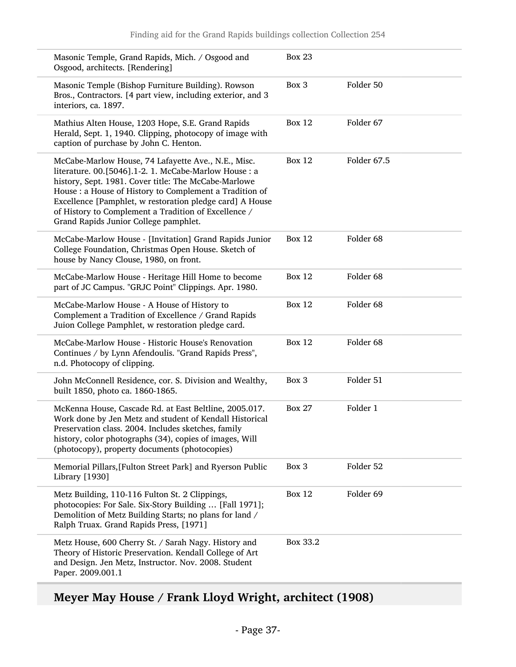| Masonic Temple, Grand Rapids, Mich. / Osgood and<br>Osgood, architects. [Rendering]                                                                                                                                                                                                                                                                                                          | <b>Box 23</b> |                      |
|----------------------------------------------------------------------------------------------------------------------------------------------------------------------------------------------------------------------------------------------------------------------------------------------------------------------------------------------------------------------------------------------|---------------|----------------------|
| Masonic Temple (Bishop Furniture Building). Rowson<br>Bros., Contractors. [4 part view, including exterior, and 3<br>interiors, ca. 1897.                                                                                                                                                                                                                                                    | Box 3         | Folder 50            |
| Mathius Alten House, 1203 Hope, S.E. Grand Rapids<br>Herald, Sept. 1, 1940. Clipping, photocopy of image with<br>caption of purchase by John C. Henton.                                                                                                                                                                                                                                      | <b>Box 12</b> | Folder 67            |
| McCabe-Marlow House, 74 Lafayette Ave., N.E., Misc.<br>literature. 00.[5046].1-2. 1. McCabe-Marlow House : a<br>history, Sept. 1981. Cover title: The McCabe-Marlowe<br>House : a House of History to Complement a Tradition of<br>Excellence [Pamphlet, w restoration pledge card] A House<br>of History to Complement a Tradition of Excellence /<br>Grand Rapids Junior College pamphlet. | <b>Box 12</b> | Folder 67.5          |
| McCabe-Marlow House - [Invitation] Grand Rapids Junior<br>College Foundation, Christmas Open House. Sketch of<br>house by Nancy Clouse, 1980, on front.                                                                                                                                                                                                                                      | <b>Box 12</b> | Folder <sub>68</sub> |
| McCabe-Marlow House - Heritage Hill Home to become<br>part of JC Campus. "GRJC Point" Clippings. Apr. 1980.                                                                                                                                                                                                                                                                                  | <b>Box 12</b> | Folder 68            |
| McCabe-Marlow House - A House of History to<br>Complement a Tradition of Excellence / Grand Rapids<br>Juion College Pamphlet, w restoration pledge card.                                                                                                                                                                                                                                     | <b>Box 12</b> | Folder <sub>68</sub> |
| McCabe-Marlow House - Historic House's Renovation<br>Continues / by Lynn Afendoulis. "Grand Rapids Press",<br>n.d. Photocopy of clipping.                                                                                                                                                                                                                                                    | <b>Box 12</b> | Folder 68            |
| John McConnell Residence, cor. S. Division and Wealthy,<br>built 1850, photo ca. 1860-1865.                                                                                                                                                                                                                                                                                                  | Box 3         | Folder 51            |
| McKenna House, Cascade Rd. at East Beltline, 2005.017.<br>Work done by Jen Metz and student of Kendall Historical<br>Preservation class. 2004. Includes sketches, family<br>history, color photographs (34), copies of images, Will<br>(photocopy), property documents (photocopies)                                                                                                         | <b>Box 27</b> | Folder 1             |
| Memorial Pillars, [Fulton Street Park] and Ryerson Public<br>Library [1930]                                                                                                                                                                                                                                                                                                                  | Box 3         | Folder 52            |
| Metz Building, 110-116 Fulton St. 2 Clippings,<br>photocopies: For Sale. Six-Story Building  [Fall 1971];<br>Demolition of Metz Building Starts; no plans for land /<br>Ralph Truax. Grand Rapids Press, [1971]                                                                                                                                                                              | <b>Box 12</b> | Folder 69            |
| Metz House, 600 Cherry St. / Sarah Nagy. History and<br>Theory of Historic Preservation. Kendall College of Art<br>and Design. Jen Metz, Instructor. Nov. 2008. Student<br>Paper. 2009.001.1                                                                                                                                                                                                 | Box 33.2      |                      |

# Meyer May House / Frank Lloyd Wright, architect (1908)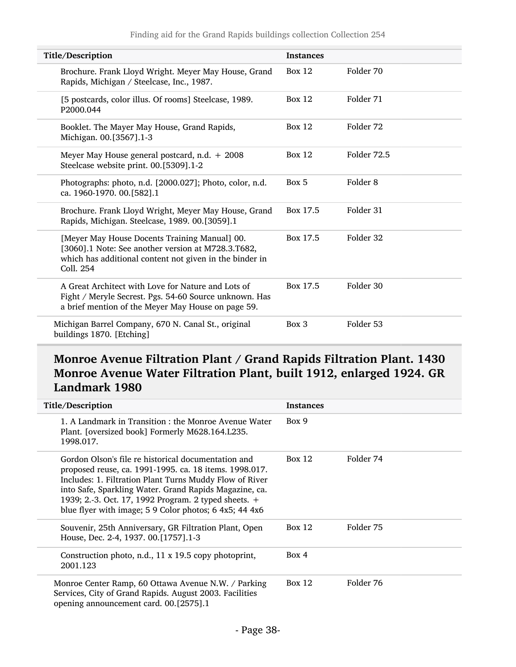| Title/Description                                                                                                                                                           | <b>Instances</b> |                     |
|-----------------------------------------------------------------------------------------------------------------------------------------------------------------------------|------------------|---------------------|
| Brochure. Frank Lloyd Wright. Meyer May House, Grand<br>Rapids, Michigan / Steelcase, Inc., 1987.                                                                           | Box $12$         | Folder 70           |
| [5 postcards, color illus. Of rooms] Steelcase, 1989.<br>P2000.044                                                                                                          | Box $12$         | Folder 71           |
| Booklet. The Mayer May House, Grand Rapids,<br>Michigan. 00.[3567].1-3                                                                                                      | Box $12$         | Folder 72           |
| Meyer May House general postcard, n.d. $+2008$<br>Steelcase website print. 00.[5309].1-2                                                                                    | <b>Box 12</b>    | Folder 72.5         |
| Photographs: photo, n.d. [2000.027]; Photo, color, n.d.<br>ca. 1960-1970. 00.[582].1                                                                                        | Box 5            | Folder <sub>8</sub> |
| Brochure. Frank Lloyd Wright, Meyer May House, Grand<br>Rapids, Michigan. Steelcase, 1989. 00.[3059].1                                                                      | Box 17.5         | Folder 31           |
| [Meyer May House Docents Training Manual] 00.<br>[3060].1 Note: See another version at M728.3.T682,<br>which has additional content not given in the binder in<br>Coll. 254 | Box 17.5         | Folder 32           |
| A Great Architect with Love for Nature and Lots of<br>Fight / Meryle Secrest. Pgs. 54-60 Source unknown. Has<br>a brief mention of the Meyer May House on page 59.          | Box 17.5         | Folder 30           |
| Michigan Barrel Company, 670 N. Canal St., original<br>buildings 1870. [Etching]                                                                                            | Box 3            | Folder 53           |

## Monroe Avenue Filtration Plant / Grand Rapids Filtration Plant. 1430 Monroe Avenue Water Filtration Plant, built 1912, enlarged 1924. GR Landmark 1980

| Title/Description                                                                                                                                                                                                                                                                                                                                    | <b>Instances</b> |           |
|------------------------------------------------------------------------------------------------------------------------------------------------------------------------------------------------------------------------------------------------------------------------------------------------------------------------------------------------------|------------------|-----------|
| 1. A Landmark in Transition : the Monroe Avenue Water<br>Plant. [oversized book] Formerly M628.164.L235.<br>1998.017.                                                                                                                                                                                                                                | Box 9            |           |
| Gordon Olson's file re historical documentation and<br>proposed reuse, ca. 1991-1995. ca. 18 items. 1998.017.<br>Includes: 1. Filtration Plant Turns Muddy Flow of River<br>into Safe, Sparkling Water. Grand Rapids Magazine, ca.<br>1939; 2.-3. Oct. 17, 1992 Program. 2 typed sheets. +<br>blue flyer with image; 5 9 Color photos; 6 4x5; 44 4x6 | Box 12           | Folder 74 |
| Souvenir, 25th Anniversary, GR Filtration Plant, Open<br>House, Dec. 2-4, 1937. 00.[1757].1-3                                                                                                                                                                                                                                                        | Box 12           | Folder 75 |
| Construction photo, n.d., 11 x 19.5 copy photoprint,<br>2001.123                                                                                                                                                                                                                                                                                     | Box 4            |           |
| Monroe Center Ramp, 60 Ottawa Avenue N.W. / Parking<br>Services, City of Grand Rapids. August 2003. Facilities<br>opening announcement card. 00.[2575].1                                                                                                                                                                                             | Box $12$         | Folder 76 |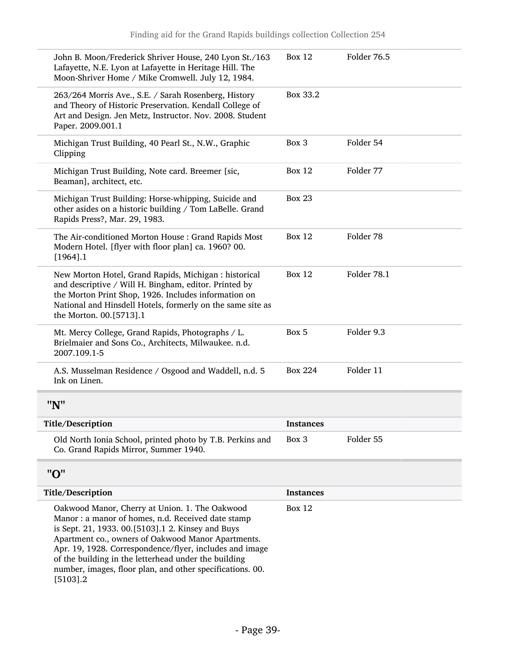<span id="page-38-1"></span><span id="page-38-0"></span>

| <b>Box 12</b>    | Folder 76.5 |
|------------------|-------------|
| Box 33.2         |             |
| Box 3            | Folder 54   |
| <b>Box 12</b>    | Folder 77   |
| <b>Box 23</b>    |             |
| <b>Box 12</b>    | Folder 78   |
| <b>Box 12</b>    | Folder 78.1 |
| Box 5            | Folder 9.3  |
| <b>Box 224</b>   | Folder 11   |
|                  |             |
| <b>Instances</b> |             |
| Box 3            | Folder 55   |
|                  |             |
| <b>Instances</b> |             |
| <b>Box 12</b>    |             |
|                  |             |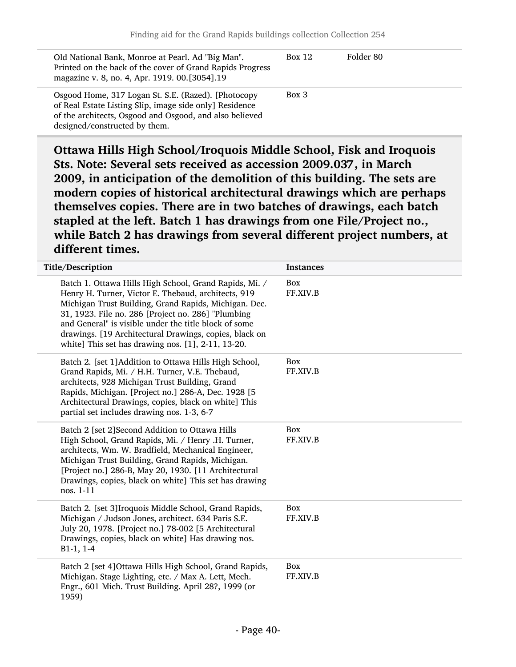| Old National Bank, Monroe at Pearl. Ad "Big Man".<br>Printed on the back of the cover of Grand Rapids Progress<br>magazine v. 8, no. 4, Apr. 1919. 00.[3054].19                                            | Box 12   | Folder 80 |
|------------------------------------------------------------------------------------------------------------------------------------------------------------------------------------------------------------|----------|-----------|
| Osgood Home, 317 Logan St. S.E. (Razed). [Photocopy<br>of Real Estate Listing Slip, image side only] Residence<br>of the architects, Osgood and Osgood, and also believed<br>designed/constructed by them. | $Box\ 3$ |           |

Ottawa Hills High School/Iroquois Middle School, Fisk and Iroquois Sts. Note: Several sets received as accession 2009.037, in March 2009, in anticipation of the demolition of this building. The sets are modern copies of historical architectural drawings which are perhaps themselves copies. There are in two batches of drawings, each batch stapled at the left. Batch 1 has drawings from one File/Project no., while Batch 2 has drawings from several different project numbers, at different times.

| Title/Description                                                                                                                                                                                                                                                                                                                                                                                     | <b>Instances</b>       |
|-------------------------------------------------------------------------------------------------------------------------------------------------------------------------------------------------------------------------------------------------------------------------------------------------------------------------------------------------------------------------------------------------------|------------------------|
| Batch 1. Ottawa Hills High School, Grand Rapids, Mi. /<br>Henry H. Turner, Victor E. Thebaud, architects, 919<br>Michigan Trust Building, Grand Rapids, Michigan. Dec.<br>31, 1923. File no. 286 [Project no. 286] "Plumbing<br>and General" is visible under the title block of some<br>drawings. [19 Architectural Drawings, copies, black on<br>white] This set has drawing nos. [1], 2-11, 13-20. | Box<br>FF.XIV.B        |
| Batch 2. [set 1] Addition to Ottawa Hills High School,<br>Grand Rapids, Mi. / H.H. Turner, V.E. Thebaud,<br>architects, 928 Michigan Trust Building, Grand<br>Rapids, Michigan. [Project no.] 286-A, Dec. 1928 [5<br>Architectural Drawings, copies, black on white] This<br>partial set includes drawing nos. 1-3, 6-7                                                                               | <b>Box</b><br>FF.XIV.B |
| Batch 2 [set 2] Second Addition to Ottawa Hills<br>High School, Grand Rapids, Mi. / Henry .H. Turner,<br>architects, Wm. W. Bradfield, Mechanical Engineer,<br>Michigan Trust Building, Grand Rapids, Michigan.<br>[Project no.] 286-B, May 20, 1930. [11 Architectural<br>Drawings, copies, black on white] This set has drawing<br>nos. 1-11                                                        | Box<br>FF.XIV.B        |
| Batch 2. [set 3] Iroquois Middle School, Grand Rapids,<br>Michigan / Judson Jones, architect. 634 Paris S.E.<br>July 20, 1978. [Project no.] 78-002 [5 Architectural<br>Drawings, copies, black on white] Has drawing nos.<br>$B1-1, 1-4$                                                                                                                                                             | Box<br>FF.XIV.B        |
| Batch 2 [set 4] Ottawa Hills High School, Grand Rapids,<br>Michigan. Stage Lighting, etc. / Max A. Lett, Mech.<br>Engr., 601 Mich. Trust Building. April 28?, 1999 (or<br>1959)                                                                                                                                                                                                                       | Box<br>FF.XIV.B        |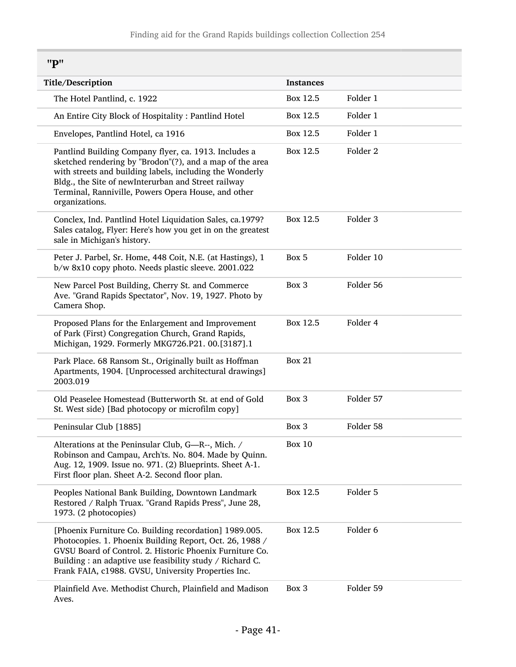<span id="page-40-0"></span>"P"

| Title/Description                                                                                                                                                                                                                                                                                             | <b>Instances</b> |                     |  |  |
|---------------------------------------------------------------------------------------------------------------------------------------------------------------------------------------------------------------------------------------------------------------------------------------------------------------|------------------|---------------------|--|--|
| The Hotel Pantlind, c. 1922                                                                                                                                                                                                                                                                                   | Box 12.5         | Folder 1            |  |  |
| An Entire City Block of Hospitality: Pantlind Hotel                                                                                                                                                                                                                                                           | Box 12.5         | Folder 1            |  |  |
| Envelopes, Pantlind Hotel, ca 1916                                                                                                                                                                                                                                                                            | Box 12.5         | Folder 1            |  |  |
| Pantlind Building Company flyer, ca. 1913. Includes a<br>sketched rendering by "Brodon"(?), and a map of the area<br>with streets and building labels, including the Wonderly<br>Bldg., the Site of newInterurban and Street railway<br>Terminal, Ranniville, Powers Opera House, and other<br>organizations. | Box 12.5         | Folder <sub>2</sub> |  |  |
| Conclex, Ind. Pantlind Hotel Liquidation Sales, ca.1979?<br>Sales catalog, Flyer: Here's how you get in on the greatest<br>sale in Michigan's history.                                                                                                                                                        | Box 12.5         | Folder 3            |  |  |
| Peter J. Parbel, Sr. Home, 448 Coit, N.E. (at Hastings), 1<br>b/w 8x10 copy photo. Needs plastic sleeve. 2001.022                                                                                                                                                                                             | Box 5            | Folder 10           |  |  |
| New Parcel Post Building, Cherry St. and Commerce<br>Ave. "Grand Rapids Spectator", Nov. 19, 1927. Photo by<br>Camera Shop.                                                                                                                                                                                   | Box 3            | Folder 56           |  |  |
| Proposed Plans for the Enlargement and Improvement<br>of Park (First) Congregation Church, Grand Rapids,<br>Michigan, 1929. Formerly MKG726.P21. 00.[3187].1                                                                                                                                                  | Box 12.5         | Folder 4            |  |  |
| Park Place. 68 Ransom St., Originally built as Hoffman<br>Apartments, 1904. [Unprocessed architectural drawings]<br>2003.019                                                                                                                                                                                  | <b>Box 21</b>    |                     |  |  |
| Old Peaselee Homestead (Butterworth St. at end of Gold<br>St. West side) [Bad photocopy or microfilm copy]                                                                                                                                                                                                    | Box 3            | Folder 57           |  |  |
| Peninsular Club [1885]                                                                                                                                                                                                                                                                                        | Box 3            | Folder 58           |  |  |
| Alterations at the Peninsular Club, G-R--, Mich. /<br>Robinson and Campau, Arch'ts. No. 804. Made by Quinn.<br>Aug. 12, 1909. Issue no. 971. (2) Blueprints. Sheet A-1.<br>First floor plan. Sheet A-2. Second floor plan.                                                                                    | <b>Box 10</b>    |                     |  |  |
| Peoples National Bank Building, Downtown Landmark<br>Restored / Ralph Truax. "Grand Rapids Press", June 28,<br>1973. (2 photocopies)                                                                                                                                                                          | Box 12.5         | Folder 5            |  |  |
| [Phoenix Furniture Co. Building recordation] 1989.005.<br>Photocopies. 1. Phoenix Building Report, Oct. 26, 1988 /<br>GVSU Board of Control. 2. Historic Phoenix Furniture Co.<br>Building : an adaptive use feasibility study / Richard C.<br>Frank FAIA, c1988. GVSU, University Properties Inc.            | Box 12.5         | Folder 6            |  |  |
| Plainfield Ave. Methodist Church, Plainfield and Madison<br>Aves.                                                                                                                                                                                                                                             | Box 3            | Folder 59           |  |  |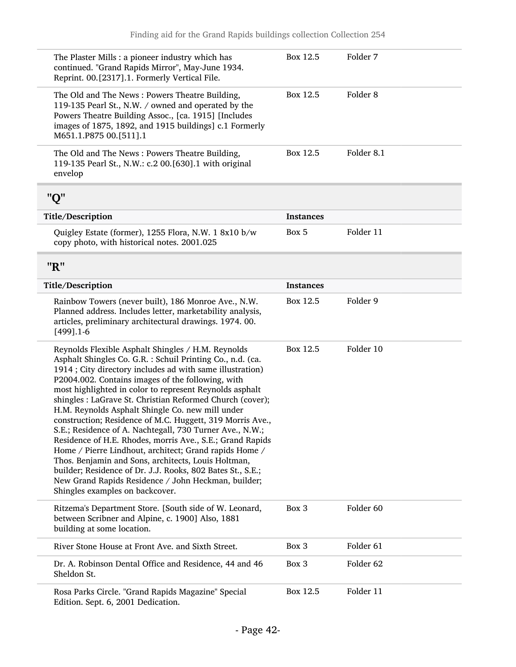<span id="page-41-1"></span><span id="page-41-0"></span>

| The Plaster Mills : a pioneer industry which has<br>continued. "Grand Rapids Mirror", May-June 1934.<br>Reprint. 00.[2317].1. Formerly Vertical File.                                                                                                                                                                                                                                                                                                                                                                                                                                                                                                                                                                                                                                                                                                                        | Box 12.5         | Folder 7             |
|------------------------------------------------------------------------------------------------------------------------------------------------------------------------------------------------------------------------------------------------------------------------------------------------------------------------------------------------------------------------------------------------------------------------------------------------------------------------------------------------------------------------------------------------------------------------------------------------------------------------------------------------------------------------------------------------------------------------------------------------------------------------------------------------------------------------------------------------------------------------------|------------------|----------------------|
| The Old and The News: Powers Theatre Building,<br>119-135 Pearl St., N.W. / owned and operated by the<br>Powers Theatre Building Assoc., [ca. 1915] [Includes<br>images of 1875, 1892, and 1915 buildings] c.1 Formerly<br>M651.1.P875 00.[511].1                                                                                                                                                                                                                                                                                                                                                                                                                                                                                                                                                                                                                            | Box 12.5         | Folder <sub>8</sub>  |
| The Old and The News: Powers Theatre Building,<br>119-135 Pearl St., N.W.: c.2 00.[630].1 with original<br>envelop                                                                                                                                                                                                                                                                                                                                                                                                                                                                                                                                                                                                                                                                                                                                                           | Box 12.5         | Folder 8.1           |
| "Q"                                                                                                                                                                                                                                                                                                                                                                                                                                                                                                                                                                                                                                                                                                                                                                                                                                                                          |                  |                      |
| Title/Description                                                                                                                                                                                                                                                                                                                                                                                                                                                                                                                                                                                                                                                                                                                                                                                                                                                            | <b>Instances</b> |                      |
| Quigley Estate (former), 1255 Flora, N.W. 1 8x10 b/w<br>copy photo, with historical notes. 2001.025                                                                                                                                                                                                                                                                                                                                                                                                                                                                                                                                                                                                                                                                                                                                                                          | Box 5            | Folder 11            |
| "R"                                                                                                                                                                                                                                                                                                                                                                                                                                                                                                                                                                                                                                                                                                                                                                                                                                                                          |                  |                      |
| Title/Description                                                                                                                                                                                                                                                                                                                                                                                                                                                                                                                                                                                                                                                                                                                                                                                                                                                            | <b>Instances</b> |                      |
| Rainbow Towers (never built), 186 Monroe Ave., N.W.<br>Planned address. Includes letter, marketability analysis,<br>articles, preliminary architectural drawings. 1974. 00.<br>$[499]$ .1-6                                                                                                                                                                                                                                                                                                                                                                                                                                                                                                                                                                                                                                                                                  | Box 12.5         | Folder 9             |
| Reynolds Flexible Asphalt Shingles / H.M. Reynolds<br>Asphalt Shingles Co. G.R. : Schuil Printing Co., n.d. (ca.<br>1914; City directory includes ad with same illustration)<br>P2004.002. Contains images of the following, with<br>most highlighted in color to represent Reynolds asphalt<br>shingles : LaGrave St. Christian Reformed Church (cover);<br>H.M. Reynolds Asphalt Shingle Co. new mill under<br>construction; Residence of M.C. Huggett, 319 Morris Ave.,<br>S.E.; Residence of A. Nachtegall, 730 Turner Ave., N.W.;<br>Residence of H.E. Rhodes, morris Ave., S.E.; Grand Rapids<br>Home / Pierre Lindhout, architect; Grand rapids Home /<br>Thos. Benjamin and Sons, architects, Louis Holtman,<br>builder; Residence of Dr. J.J. Rooks, 802 Bates St., S.E.;<br>New Grand Rapids Residence / John Heckman, builder;<br>Shingles examples on backcover. | Box 12.5         | Folder 10            |
| Ritzema's Department Store. [South side of W. Leonard,<br>between Scribner and Alpine, c. 1900] Also, 1881<br>building at some location.                                                                                                                                                                                                                                                                                                                                                                                                                                                                                                                                                                                                                                                                                                                                     | Box 3            | Folder <sub>60</sub> |
| River Stone House at Front Ave. and Sixth Street.                                                                                                                                                                                                                                                                                                                                                                                                                                                                                                                                                                                                                                                                                                                                                                                                                            | Box 3            | Folder 61            |
| Dr. A. Robinson Dental Office and Residence, 44 and 46<br>Sheldon St.                                                                                                                                                                                                                                                                                                                                                                                                                                                                                                                                                                                                                                                                                                                                                                                                        | Box 3            | Folder 62            |
| Rosa Parks Circle. "Grand Rapids Magazine" Special<br>Edition. Sept. 6, 2001 Dedication.                                                                                                                                                                                                                                                                                                                                                                                                                                                                                                                                                                                                                                                                                                                                                                                     | Box 12.5         | Folder 11            |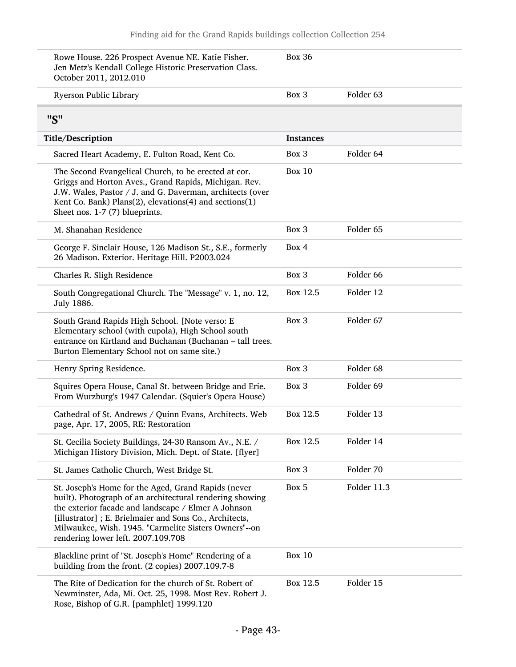<span id="page-42-0"></span>

| Rowe House. 226 Prospect Avenue NE. Katie Fisher.<br>Jen Metz's Kendall College Historic Preservation Class.<br>October 2011, 2012.010                                                                                                                                                                                          | <b>Box 36</b>    |             |
|---------------------------------------------------------------------------------------------------------------------------------------------------------------------------------------------------------------------------------------------------------------------------------------------------------------------------------|------------------|-------------|
| Ryerson Public Library                                                                                                                                                                                                                                                                                                          | Box 3            | Folder 63   |
| "S"                                                                                                                                                                                                                                                                                                                             |                  |             |
| Title/Description                                                                                                                                                                                                                                                                                                               | <b>Instances</b> |             |
| Sacred Heart Academy, E. Fulton Road, Kent Co.                                                                                                                                                                                                                                                                                  | Box 3            | Folder 64   |
| The Second Evangelical Church, to be erected at cor.<br>Griggs and Horton Aves., Grand Rapids, Michigan. Rev.<br>J.W. Wales, Pastor / J. and G. Daverman, architects (over<br>Kent Co. Bank) Plans(2), elevations(4) and sections(1)<br>Sheet nos. 1-7 (7) blueprints.                                                          | <b>Box 10</b>    |             |
| M. Shanahan Residence                                                                                                                                                                                                                                                                                                           | Box 3            | Folder 65   |
| George F. Sinclair House, 126 Madison St., S.E., formerly<br>26 Madison. Exterior. Heritage Hill. P2003.024                                                                                                                                                                                                                     | Box 4            |             |
| Charles R. Sligh Residence                                                                                                                                                                                                                                                                                                      | Box 3            | Folder 66   |
| South Congregational Church. The "Message" v. 1, no. 12,<br>July 1886.                                                                                                                                                                                                                                                          | Box 12.5         | Folder 12   |
| South Grand Rapids High School. [Note verso: E<br>Elementary school (with cupola), High School south<br>entrance on Kirtland and Buchanan (Buchanan - tall trees.<br>Burton Elementary School not on same site.)                                                                                                                | Box 3            | Folder 67   |
| Henry Spring Residence.                                                                                                                                                                                                                                                                                                         | Box 3            | Folder 68   |
| Squires Opera House, Canal St. between Bridge and Erie.<br>From Wurzburg's 1947 Calendar. (Squier's Opera House)                                                                                                                                                                                                                | Box 3            | Folder 69   |
| Cathedral of St. Andrews / Quinn Evans, Architects. Web<br>page, Apr. 17, 2005, RE: Restoration                                                                                                                                                                                                                                 | Box 12.5         | Folder 13   |
| St. Cecilia Society Buildings, 24-30 Ransom Av., N.E. /<br>Michigan History Division, Mich. Dept. of State. [flyer]                                                                                                                                                                                                             | Box 12.5         | Folder 14   |
| St. James Catholic Church, West Bridge St.                                                                                                                                                                                                                                                                                      | Box 3            | Folder 70   |
| St. Joseph's Home for the Aged, Grand Rapids (never<br>built). Photograph of an architectural rendering showing<br>the exterior facade and landscape / Elmer A Johnson<br>[illustrator]; E. Brielmaier and Sons Co., Architects,<br>Milwaukee, Wish. 1945. "Carmelite Sisters Owners"--on<br>rendering lower left. 2007.109.708 | Box 5            | Folder 11.3 |
| Blackline print of "St. Joseph's Home" Rendering of a<br>building from the front. (2 copies) 2007.109.7-8                                                                                                                                                                                                                       | <b>Box 10</b>    |             |
| The Rite of Dedication for the church of St. Robert of<br>Newminster, Ada, Mi. Oct. 25, 1998. Most Rev. Robert J.<br>Rose, Bishop of G.R. [pamphlet] 1999.120                                                                                                                                                                   | Box 12.5         | Folder 15   |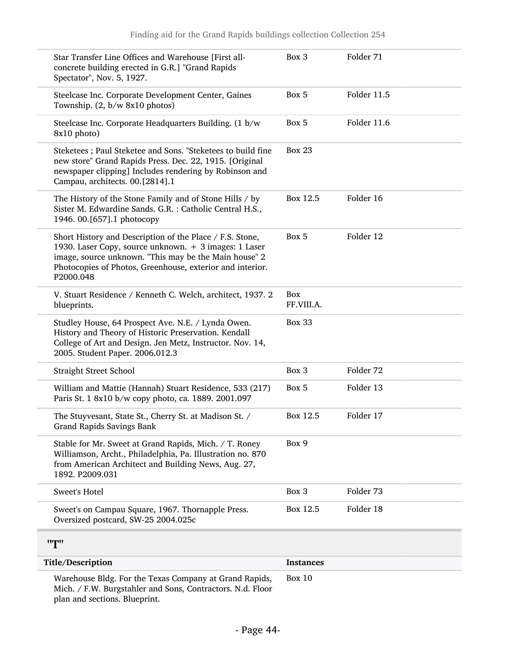<span id="page-43-0"></span>

| Star Transfer Line Offices and Warehouse [First all-<br>concrete building erected in G.R.] "Grand Rapids<br>Spectator", Nov. 5, 1927.                                                                                                                | Box 3                    | Folder 71   |
|------------------------------------------------------------------------------------------------------------------------------------------------------------------------------------------------------------------------------------------------------|--------------------------|-------------|
| Steelcase Inc. Corporate Development Center, Gaines<br>Township. (2, b/w 8x10 photos)                                                                                                                                                                | Box 5                    | Folder 11.5 |
| Steelcase Inc. Corporate Headquarters Building. (1 b/w<br>8x10 photo)                                                                                                                                                                                | Box 5                    | Folder 11.6 |
| Steketees; Paul Steketee and Sons. "Steketees to build fine<br>new store" Grand Rapids Press. Dec. 22, 1915. [Original<br>newspaper clipping] Includes rendering by Robinson and<br>Campau, architects. 00.[2814].1                                  | <b>Box 23</b>            |             |
| The History of the Stone Family and of Stone Hills / by<br>Sister M. Edwardine Sands. G.R. : Catholic Central H.S.,<br>1946. 00.[657].1 photocopy                                                                                                    | Box 12.5                 | Folder 16   |
| Short History and Description of the Place / F.S. Stone,<br>1930. Laser Copy, source unknown. + 3 images: 1 Laser<br>image, source unknown. "This may be the Main house" 2<br>Photocopies of Photos, Greenhouse, exterior and interior.<br>P2000.048 | Box 5                    | Folder 12   |
| V. Stuart Residence / Kenneth C. Welch, architect, 1937. 2<br>blueprints.                                                                                                                                                                            | <b>Box</b><br>FF.VIII.A. |             |
| Studley House, 64 Prospect Ave. N.E. / Lynda Owen.<br>History and Theory of Historic Preservation. Kendall<br>College of Art and Design. Jen Metz, Instructor. Nov. 14,<br>2005. Student Paper. 2006.012.3                                           | <b>Box 33</b>            |             |
| <b>Straight Street School</b>                                                                                                                                                                                                                        | Box 3                    | Folder 72   |
| William and Mattie (Hannah) Stuart Residence, 533 (217)<br>Paris St. 1 8x10 b/w copy photo, ca. 1889. 2001.097                                                                                                                                       | Box 5                    | Folder 13   |
| The Stuyvesant, State St., Cherry St. at Madison St. /<br>Grand Rapids Savings Bank                                                                                                                                                                  | Box 12.5                 | Folder 17   |
| Stable for Mr. Sweet at Grand Rapids, Mich. / T. Roney<br>Williamson, Archt., Philadelphia, Pa. Illustration no. 870<br>from American Architect and Building News, Aug. 27,<br>1892. P2009.031                                                       | Box 9                    |             |
| Sweet's Hotel                                                                                                                                                                                                                                        | Box 3                    | Folder 73   |
| Sweet's on Campau Square, 1967. Thornapple Press.<br>Oversized postcard, SW-25 2004.025c                                                                                                                                                             | Box 12.5                 | Folder 18   |
| "T"                                                                                                                                                                                                                                                  |                          |             |
| Title/Description                                                                                                                                                                                                                                    | <b>Instances</b>         |             |
| Warehouse Bldg. For the Texas Company at Grand Rapids,<br>Mich. / F.W. Burgstahler and Sons, Contractors. N.d. Floor<br>plan and sections. Blueprint.                                                                                                | Box $10$                 |             |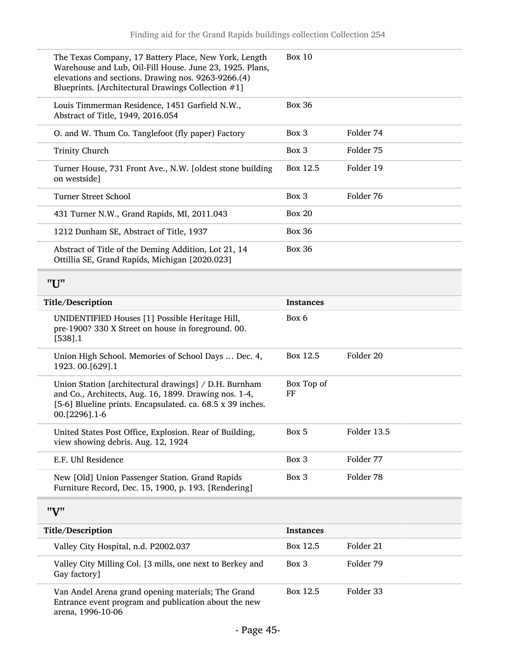<span id="page-44-1"></span><span id="page-44-0"></span>

| The Texas Company, 17 Battery Place, New York, Length<br>Warehouse and Lub, Oil-Fill House. June 23, 1925. Plans,<br>elevations and sections. Drawing nos. 9263-9266.(4)<br>Blueprints. [Architectural Drawings Collection #1] | <b>Box 10</b>    |             |
|--------------------------------------------------------------------------------------------------------------------------------------------------------------------------------------------------------------------------------|------------------|-------------|
| Louis Timmerman Residence, 1451 Garfield N.W.,<br>Abstract of Title, 1949, 2016.054                                                                                                                                            | <b>Box 36</b>    |             |
| O. and W. Thum Co. Tanglefoot (fly paper) Factory                                                                                                                                                                              | Box 3            | Folder 74   |
| <b>Trinity Church</b>                                                                                                                                                                                                          | Box 3            | Folder 75   |
| Turner House, 731 Front Ave., N.W. [oldest stone building<br>on westside]                                                                                                                                                      | Box 12.5         | Folder 19   |
| <b>Turner Street School</b>                                                                                                                                                                                                    | Box 3            | Folder 76   |
| 431 Turner N.W., Grand Rapids, MI, 2011.043                                                                                                                                                                                    | <b>Box 20</b>    |             |
| 1212 Dunham SE, Abstract of Title, 1937                                                                                                                                                                                        | <b>Box 36</b>    |             |
| Abstract of Title of the Deming Addition, Lot 21, 14<br>Ottillia SE, Grand Rapids, Michigan [2020.023]                                                                                                                         | <b>Box 36</b>    |             |
| "U"                                                                                                                                                                                                                            |                  |             |
| Title/Description                                                                                                                                                                                                              | <b>Instances</b> |             |
| UNIDENTIFIED Houses [1] Possible Heritage Hill,<br>pre-1900? 330 X Street on house in foreground. 00.<br>[538] .1                                                                                                              | Box 6            |             |
| Union High School. Memories of School Days  Dec. 4,<br>1923. 00. [629]. 1                                                                                                                                                      | Box 12.5         | Folder 20   |
| Union Station [architectural drawings] / D.H. Burnham<br>and Co., Architects, Aug. 16, 1899. Drawing nos. 1-4,<br>[5-6] Blueline prints. Encapsulated. ca. 68.5 x 39 inches.<br>00.[2296].1-6                                  | Box Top of<br>FF |             |
| United States Post Office, Explosion. Rear of Building,<br>view showing debris. Aug. 12, 1924                                                                                                                                  | Box 5            | Folder 13.5 |
| E.F. Uhl Residence                                                                                                                                                                                                             | Box 3            | Folder 77   |
| New [Old] Union Passenger Station. Grand Rapids<br>Furniture Record, Dec. 15, 1900, p. 193. [Rendering]                                                                                                                        | Box 3            | Folder 78   |
| "V"                                                                                                                                                                                                                            |                  |             |
| Title/Description                                                                                                                                                                                                              | <b>Instances</b> |             |
| Valley City Hospital, n.d. P2002.037                                                                                                                                                                                           | Box 12.5         | Folder 21   |
| Valley City Milling Col. [3 mills, one next to Berkey and<br>Gay factory]                                                                                                                                                      | Box 3            | Folder 79   |
| Van Andel Arena grand opening materials; The Grand<br>Entrance event program and publication about the new<br>arena, 1996-10-06                                                                                                | Box 12.5         | Folder 33   |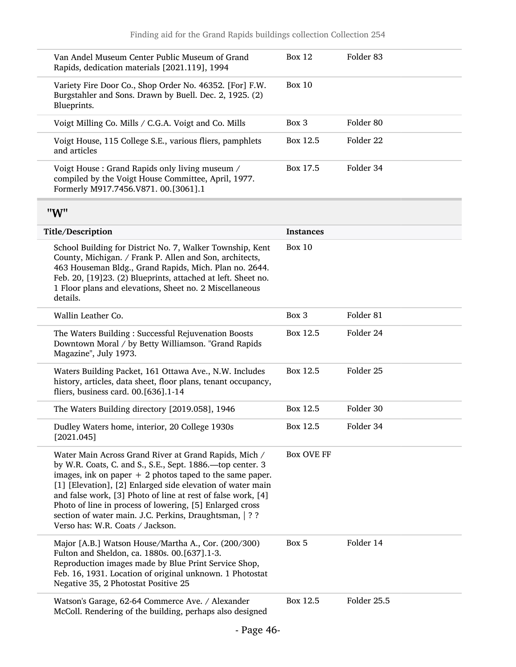<span id="page-45-0"></span>

| Van Andel Museum Center Public Museum of Grand<br>Rapids, dedication materials [2021.119], 1994                                                                                                                                                                                                                                                                                                                                                                            | <b>Box 12</b>     | Folder 83            |
|----------------------------------------------------------------------------------------------------------------------------------------------------------------------------------------------------------------------------------------------------------------------------------------------------------------------------------------------------------------------------------------------------------------------------------------------------------------------------|-------------------|----------------------|
| Variety Fire Door Co., Shop Order No. 46352. [For] F.W.<br>Burgstahler and Sons. Drawn by Buell. Dec. 2, 1925. (2)<br>Blueprints.                                                                                                                                                                                                                                                                                                                                          | <b>Box 10</b>     |                      |
| Voigt Milling Co. Mills / C.G.A. Voigt and Co. Mills                                                                                                                                                                                                                                                                                                                                                                                                                       | Box 3             | Folder 80            |
| Voigt House, 115 College S.E., various fliers, pamphlets<br>and articles                                                                                                                                                                                                                                                                                                                                                                                                   | Box 12.5          | Folder <sub>22</sub> |
| Voigt House : Grand Rapids only living museum /<br>compiled by the Voigt House Committee, April, 1977.<br>Formerly M917.7456.V871. 00.[3061].1                                                                                                                                                                                                                                                                                                                             | Box 17.5          | Folder 34            |
| "W"                                                                                                                                                                                                                                                                                                                                                                                                                                                                        |                   |                      |
| Title/Description                                                                                                                                                                                                                                                                                                                                                                                                                                                          | <b>Instances</b>  |                      |
| School Building for District No. 7, Walker Township, Kent<br>County, Michigan. / Frank P. Allen and Son, architects,<br>463 Houseman Bldg., Grand Rapids, Mich. Plan no. 2644.<br>Feb. 20, [19]23. (2) Blueprints, attached at left. Sheet no.<br>1 Floor plans and elevations, Sheet no. 2 Miscellaneous<br>details.                                                                                                                                                      | <b>Box 10</b>     |                      |
| Wallin Leather Co.                                                                                                                                                                                                                                                                                                                                                                                                                                                         | Box 3             | Folder 81            |
| The Waters Building: Successful Rejuvenation Boosts<br>Downtown Moral / by Betty Williamson. "Grand Rapids<br>Magazine", July 1973.                                                                                                                                                                                                                                                                                                                                        | Box 12.5          | Folder 24            |
| Waters Building Packet, 161 Ottawa Ave., N.W. Includes<br>history, articles, data sheet, floor plans, tenant occupancy,<br>fliers, business card. 00.[636].1-14                                                                                                                                                                                                                                                                                                            | Box 12.5          | Folder 25            |
| The Waters Building directory [2019.058], 1946                                                                                                                                                                                                                                                                                                                                                                                                                             | Box 12.5          | Folder 30            |
| Dudley Waters home, interior, 20 College 1930s<br>[2021.045]                                                                                                                                                                                                                                                                                                                                                                                                               | Box 12.5          | Folder 34            |
| Water Main Across Grand River at Grand Rapids, Mich /<br>by W.R. Coats, C. and S., S.E., Sept. 1886. - top center. 3<br>images, ink on paper $+2$ photos taped to the same paper.<br>[1] [Elevation], [2] Enlarged side elevation of water main<br>and false work, [3] Photo of line at rest of false work, [4]<br>Photo of line in process of lowering, [5] Enlarged cross<br>section of water main. J.C. Perkins, Draughtsman,   ? ?<br>Verso has: W.R. Coats / Jackson. | <b>Box OVE FF</b> |                      |
| Major [A.B.] Watson House/Martha A., Cor. (200/300)<br>Fulton and Sheldon, ca. 1880s. 00.[637].1-3.<br>Reproduction images made by Blue Print Service Shop,<br>Feb. 16, 1931. Location of original unknown. 1 Photostat<br>Negative 35, 2 Photostat Positive 25                                                                                                                                                                                                            | Box 5             | Folder 14            |
| Watson's Garage, 62-64 Commerce Ave. / Alexander<br>McColl. Rendering of the building, perhaps also designed                                                                                                                                                                                                                                                                                                                                                               | Box 12.5          | Folder 25.5          |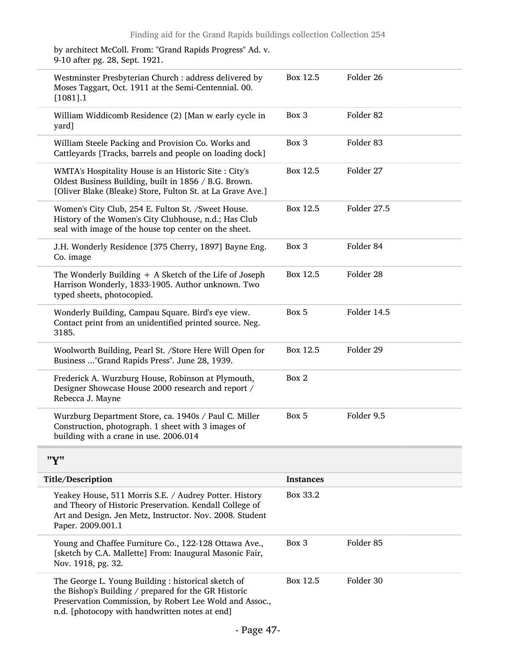by architect McColl. From: "Grand Rapids Progress" Ad. v. 9-10 after pg. 28, Sept. 1921.

<span id="page-46-0"></span>

| Westminster Presbyterian Church : address delivered by<br>Moses Taggart, Oct. 1911 at the Semi-Centennial. 00.<br>$[1081]$ .1                                                                                            | Box 12.5  | Folder 26            |
|--------------------------------------------------------------------------------------------------------------------------------------------------------------------------------------------------------------------------|-----------|----------------------|
| William Widdicomb Residence (2) [Man w early cycle in<br>yard]                                                                                                                                                           | Box 3     | Folder 82            |
| William Steele Packing and Provision Co. Works and<br>Cattleyards [Tracks, barrels and people on loading dock]                                                                                                           | Box 3     | Folder 83            |
| WMTA's Hospitality House is an Historic Site : City's<br>Oldest Business Building, built in 1856 / B.G. Brown.<br>[Oliver Blake (Bleake) Store, Fulton St. at La Grave Ave.]                                             | Box 12.5  | Folder 27            |
| Women's City Club, 254 E. Fulton St. /Sweet House.<br>History of the Women's City Clubhouse, n.d.; Has Club<br>seal with image of the house top center on the sheet.                                                     | Box 12.5  | Folder 27.5          |
| J.H. Wonderly Residence [375 Cherry, 1897] Bayne Eng.<br>Co. image                                                                                                                                                       | Box 3     | Folder 84            |
| The Wonderly Building $+$ A Sketch of the Life of Joseph<br>Harrison Wonderly, 1833-1905. Author unknown. Two<br>typed sheets, photocopied.                                                                              | Box 12.5  | Folder 28            |
| Wonderly Building, Campau Square. Bird's eye view.<br>Contact print from an unidentified printed source. Neg.<br>3185.                                                                                                   | Box 5     | Folder 14.5          |
| Woolworth Building, Pearl St. /Store Here Will Open for<br>Business "Grand Rapids Press". June 28, 1939.                                                                                                                 | Box 12.5  | Folder 29            |
| Frederick A. Wurzburg House, Robinson at Plymouth,<br>Designer Showcase House 2000 research and report /<br>Rebecca J. Mayne                                                                                             | Box 2     |                      |
| Wurzburg Department Store, ca. 1940s / Paul C. Miller<br>Construction, photograph. 1 sheet with 3 images of<br>building with a crane in use. 2006.014                                                                    | Box 5     | Folder 9.5           |
| "Y"                                                                                                                                                                                                                      |           |                      |
| Title/Description                                                                                                                                                                                                        | Instances |                      |
| Yeakey House, 511 Morris S.E. / Audrey Potter. History<br>and Theory of Historic Preservation. Kendall College of<br>Art and Design. Jen Metz, Instructor. Nov. 2008. Student<br>Paper. 2009.001.1                       | Box 33.2  |                      |
| Young and Chaffee Furniture Co., 122-128 Ottawa Ave.,<br>[sketch by C.A. Mallette] From: Inaugural Masonic Fair,<br>Nov. 1918, pg. 32.                                                                                   | Box 3     | Folder <sub>85</sub> |
| The George L. Young Building : historical sketch of<br>the Bishop's Building / prepared for the GR Historic<br>Preservation Commission, by Robert Lee Wold and Assoc.,<br>n.d. [photocopy with handwritten notes at end] | Box 12.5  | Folder 30            |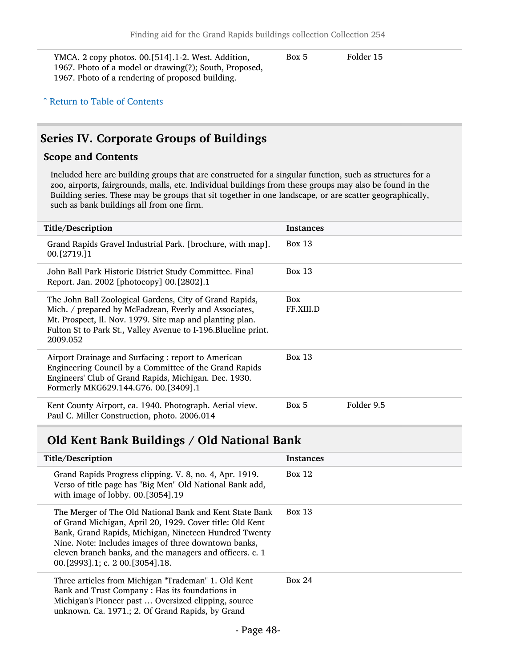YMCA. 2 copy photos. 00.[514].1-2. West. Addition, 1967. Photo of a model or drawing(?); South, Proposed, 1967. Photo of a rendering of proposed building.

Box 5 Folder 15

#### ^ [Return to Table of Contents](#page-1-0)

### <span id="page-47-0"></span>Series IV. Corporate Groups of Buildings

#### Scope and Contents

Included here are building groups that are constructed for a singular function, such as structures for a zoo, airports, fairgrounds, malls, etc. Individual buildings from these groups may also be found in the Building series. These may be groups that sit together in one landscape, or are scatter geographically, such as bank buildings all from one firm.

| Title/Description                                                                                                                                                                                                                                          | <b>Instances</b>        |            |
|------------------------------------------------------------------------------------------------------------------------------------------------------------------------------------------------------------------------------------------------------------|-------------------------|------------|
| Grand Rapids Gravel Industrial Park. [brochure, with map].<br>00. [2719. ] 1                                                                                                                                                                               | Box 13                  |            |
| John Ball Park Historic District Study Committee. Final<br>Report. Jan. 2002 [photocopy] 00.[2802].1                                                                                                                                                       | Box $13$                |            |
| The John Ball Zoological Gardens, City of Grand Rapids,<br>Mich. / prepared by McFadzean, Everly and Associates,<br>Mt. Prospect, Il. Nov. 1979. Site map and planting plan.<br>Fulton St to Park St., Valley Avenue to I-196. Blueline print.<br>2009.052 | <b>Box</b><br>FF.XIII.D |            |
| Airport Drainage and Surfacing: report to American<br>Engineering Council by a Committee of the Grand Rapids<br>Engineers' Club of Grand Rapids, Michigan. Dec. 1930.<br>Formerly MKG629.144.G76. 00.[3409].1                                              | Box 13                  |            |
| Kent County Airport, ca. 1940. Photograph. Aerial view.<br>Paul C. Miller Construction, photo. 2006.014                                                                                                                                                    | Box 5                   | Folder 9.5 |

#### <span id="page-47-1"></span>Old Kent Bank Buildings / Old National Bank

| Title/Description                                                                                                                                                                                                                                                                                                                      | <b>Instances</b> |
|----------------------------------------------------------------------------------------------------------------------------------------------------------------------------------------------------------------------------------------------------------------------------------------------------------------------------------------|------------------|
| Grand Rapids Progress clipping. V. 8, no. 4, Apr. 1919.<br>Verso of title page has "Big Men" Old National Bank add,<br>with image of lobby. 00.[3054].19                                                                                                                                                                               | Box 12           |
| The Merger of The Old National Bank and Kent State Bank<br>of Grand Michigan, April 20, 1929. Cover title: Old Kent<br>Bank, Grand Rapids, Michigan, Nineteen Hundred Twenty<br>Nine. Note: Includes images of three downtown banks,<br>eleven branch banks, and the managers and officers. c. 1<br>$00.$ [2993].1; c. 2 00.[3054].18. | Box $13$         |
| Three articles from Michigan "Trademan" 1. Old Kent<br>Bank and Trust Company: Has its foundations in<br>Michigan's Pioneer past  Oversized clipping, source<br>unknown. Ca. 1971.; 2. Of Grand Rapids, by Grand                                                                                                                       | <b>Box 24</b>    |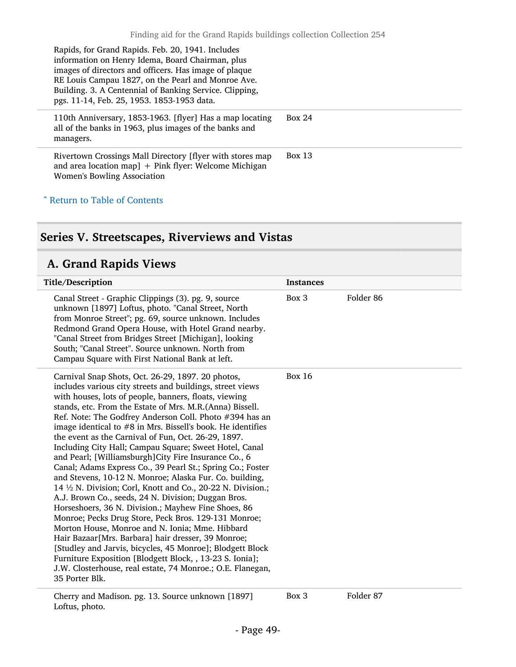Rapids, for Grand Rapids. Feb. 20, 1941. Includes information on Henry Idema, Board Chairman, plus images of directors and officers. Has image of plaque RE Louis Campau 1827, on the Pearl and Monroe Ave. Building. 3. A Centennial of Banking Service. Clipping, pgs. 11-14, Feb. 25, 1953. 1853-1953 data.

110th Anniversary, 1853-1963. [flyer] Has a map locating all of the banks in 1963, plus images of the banks and managers. Box 24

Rivertown Crossings Mall Directory [flyer with stores map and area location map]  $+$  Pink flyer: Welcome Michigan Women's Bowling Association Box 13

#### ^ [Return to Table of Contents](#page-1-0)

### <span id="page-48-0"></span>Series V. Streetscapes, Riverviews and Vistas

#### <span id="page-48-1"></span>A. Grand Rapids Views

| Title/Description                                                                                                                                                                                                                                                                                                                                                                                                                                                                                                                                                                                                                                                                                                                                                                                                                                                                                                                                                                                                                                                                                                                                                                                                         | <b>Instances</b> |                      |
|---------------------------------------------------------------------------------------------------------------------------------------------------------------------------------------------------------------------------------------------------------------------------------------------------------------------------------------------------------------------------------------------------------------------------------------------------------------------------------------------------------------------------------------------------------------------------------------------------------------------------------------------------------------------------------------------------------------------------------------------------------------------------------------------------------------------------------------------------------------------------------------------------------------------------------------------------------------------------------------------------------------------------------------------------------------------------------------------------------------------------------------------------------------------------------------------------------------------------|------------------|----------------------|
| Canal Street - Graphic Clippings (3). pg. 9, source<br>unknown [1897] Loftus, photo. "Canal Street, North<br>from Monroe Street"; pg. 69, source unknown. Includes<br>Redmond Grand Opera House, with Hotel Grand nearby.<br>"Canal Street from Bridges Street [Michigan], looking<br>South; "Canal Street". Source unknown. North from<br>Campau Square with First National Bank at left.                                                                                                                                                                                                                                                                                                                                                                                                                                                                                                                                                                                                                                                                                                                                                                                                                                | Box 3            | Folder <sub>86</sub> |
| Carnival Snap Shots, Oct. 26-29, 1897. 20 photos,<br>includes various city streets and buildings, street views<br>with houses, lots of people, banners, floats, viewing<br>stands, etc. From the Estate of Mrs. M.R.(Anna) Bissell.<br>Ref. Note: The Godfrey Anderson Coll. Photo #394 has an<br>image identical to $#8$ in Mrs. Bissell's book. He identifies<br>the event as the Carnival of Fun, Oct. 26-29, 1897.<br>Including City Hall; Campau Square; Sweet Hotel, Canal<br>and Pearl; [Williamsburgh]City Fire Insurance Co., 6<br>Canal; Adams Express Co., 39 Pearl St.; Spring Co.; Foster<br>and Stevens, 10-12 N. Monroe; Alaska Fur. Co. building,<br>14 1/2 N. Division; Corl, Knott and Co., 20-22 N. Division.;<br>A.J. Brown Co., seeds, 24 N. Division; Duggan Bros.<br>Horseshoers, 36 N. Division.; Mayhew Fine Shoes, 86<br>Monroe; Pecks Drug Store, Peck Bros. 129-131 Monroe;<br>Morton House, Monroe and N. Ionia; Mme. Hibbard<br>Hair Bazaar[Mrs. Barbara] hair dresser, 39 Monroe;<br>[Studley and Jarvis, bicycles, 45 Monroe]; Blodgett Block<br>Furniture Exposition [Blodgett Block, , 13-23 S. Ionia];<br>J.W. Closterhouse, real estate, 74 Monroe.; O.E. Flanegan,<br>35 Porter Blk. | <b>Box 16</b>    |                      |

#### Cherry and Madison. pg. 13. Source unknown [1897] Loftus, photo.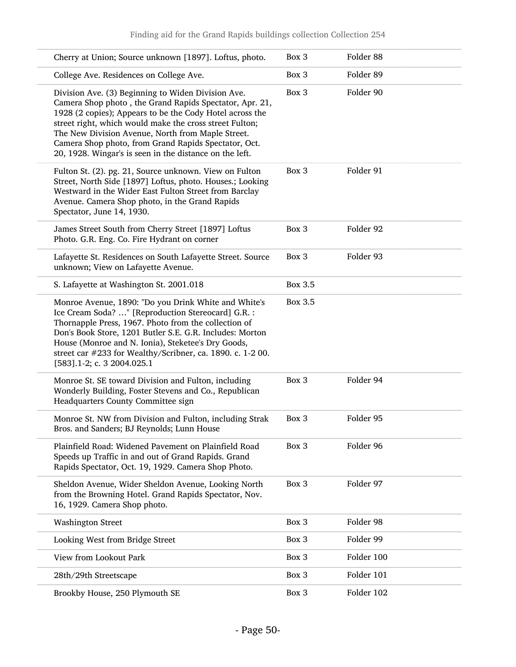| Cherry at Union; Source unknown [1897]. Loftus, photo.                                                                                                                                                                                                                                                                                                                                                       | Box 3          | Folder 88  |
|--------------------------------------------------------------------------------------------------------------------------------------------------------------------------------------------------------------------------------------------------------------------------------------------------------------------------------------------------------------------------------------------------------------|----------------|------------|
| College Ave. Residences on College Ave.                                                                                                                                                                                                                                                                                                                                                                      | Box 3          | Folder 89  |
| Division Ave. (3) Beginning to Widen Division Ave.<br>Camera Shop photo, the Grand Rapids Spectator, Apr. 21,<br>1928 (2 copies); Appears to be the Cody Hotel across the<br>street right, which would make the cross street Fulton;<br>The New Division Avenue, North from Maple Street.<br>Camera Shop photo, from Grand Rapids Spectator, Oct.<br>20, 1928. Wingar's is seen in the distance on the left. | Box 3          | Folder 90  |
| Fulton St. (2). pg. 21, Source unknown. View on Fulton<br>Street, North Side [1897] Loftus, photo. Houses.; Looking<br>Westward in the Wider East Fulton Street from Barclay<br>Avenue. Camera Shop photo, in the Grand Rapids<br>Spectator, June 14, 1930.                                                                                                                                                  | Box 3          | Folder 91  |
| James Street South from Cherry Street [1897] Loftus<br>Photo. G.R. Eng. Co. Fire Hydrant on corner                                                                                                                                                                                                                                                                                                           | Box 3          | Folder 92  |
| Lafayette St. Residences on South Lafayette Street. Source<br>unknown; View on Lafayette Avenue.                                                                                                                                                                                                                                                                                                             | Box 3          | Folder 93  |
| S. Lafayette at Washington St. 2001.018                                                                                                                                                                                                                                                                                                                                                                      | <b>Box 3.5</b> |            |
| Monroe Avenue, 1890: "Do you Drink White and White's<br>Ice Cream Soda? " [Reproduction Stereocard] G.R. :<br>Thornapple Press, 1967. Photo from the collection of<br>Don's Book Store, 1201 Butler S.E. G.R. Includes: Morton<br>House (Monroe and N. Ionia), Steketee's Dry Goods,<br>street car #233 for Wealthy/Scribner, ca. 1890. c. 1-2 00.<br>[583].1-2; c. 3 2004.025.1                             | Box 3.5        |            |
| Monroe St. SE toward Division and Fulton, including<br>Wonderly Building, Foster Stevens and Co., Republican<br>Headquarters County Committee sign                                                                                                                                                                                                                                                           | Box 3          | Folder 94  |
| Monroe St. NW from Division and Fulton, including Strak<br>Bros. and Sanders; BJ Reynolds; Lunn House                                                                                                                                                                                                                                                                                                        | Box 3          | Folder 95  |
| Plainfield Road: Widened Pavement on Plainfield Road<br>Speeds up Traffic in and out of Grand Rapids. Grand<br>Rapids Spectator, Oct. 19, 1929. Camera Shop Photo.                                                                                                                                                                                                                                           | Box 3          | Folder 96  |
| Sheldon Avenue, Wider Sheldon Avenue, Looking North<br>from the Browning Hotel. Grand Rapids Spectator, Nov.<br>16, 1929. Camera Shop photo.                                                                                                                                                                                                                                                                 | Box 3          | Folder 97  |
| <b>Washington Street</b>                                                                                                                                                                                                                                                                                                                                                                                     | Box 3          | Folder 98  |
| Looking West from Bridge Street                                                                                                                                                                                                                                                                                                                                                                              | Box 3          | Folder 99  |
| View from Lookout Park                                                                                                                                                                                                                                                                                                                                                                                       | Box 3          | Folder 100 |
| 28th/29th Streetscape                                                                                                                                                                                                                                                                                                                                                                                        | Box 3          | Folder 101 |
| Brookby House, 250 Plymouth SE                                                                                                                                                                                                                                                                                                                                                                               | Box 3          | Folder 102 |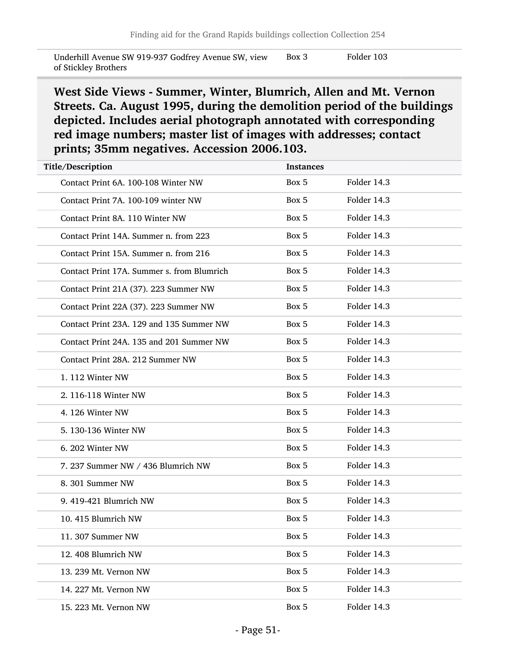Underhill Avenue SW 919-937 Godfrey Avenue SW, view of Stickley Brothers Box 3 Folder 103

West Side Views - Summer, Winter, Blumrich, Allen and Mt. Vernon Streets. Ca. August 1995, during the demolition period of the buildings depicted. Includes aerial photograph annotated with corresponding red image numbers; master list of images with addresses; contact prints; 35mm negatives. Accession 2006.103.

| Title/Description                |                                            | <b>Instances</b> |             |
|----------------------------------|--------------------------------------------|------------------|-------------|
|                                  | Contact Print 6A. 100-108 Winter NW        | Box 5            | Folder 14.3 |
|                                  | Contact Print 7A. 100-109 winter NW        | Box 5            | Folder 14.3 |
| Contact Print 8A. 110 Winter NW  |                                            | Box 5            | Folder 14.3 |
|                                  | Contact Print 14A. Summer n. from 223      | Box 5            | Folder 14.3 |
|                                  | Contact Print 15A. Summer n. from 216      | Box 5            | Folder 14.3 |
|                                  | Contact Print 17A. Summer s. from Blumrich | Box 5            | Folder 14.3 |
|                                  | Contact Print 21A (37). 223 Summer NW      | Box 5            | Folder 14.3 |
|                                  | Contact Print 22A (37). 223 Summer NW      | Box 5            | Folder 14.3 |
|                                  | Contact Print 23A, 129 and 135 Summer NW   | Box 5            | Folder 14.3 |
|                                  | Contact Print 24A. 135 and 201 Summer NW   | Box 5            | Folder 14.3 |
| Contact Print 28A. 212 Summer NW |                                            | Box 5            | Folder 14.3 |
| 1.112 Winter NW                  |                                            | Box 5            | Folder 14.3 |
| 2. 116-118 Winter NW             |                                            | Box 5            | Folder 14.3 |
| 4.126 Winter NW                  |                                            | Box 5            | Folder 14.3 |
| 5. 130-136 Winter NW             |                                            | Box 5            | Folder 14.3 |
| 6. 202 Winter NW                 |                                            | Box 5            | Folder 14.3 |
|                                  | 7. 237 Summer NW / 436 Blumrich NW         | Box 5            | Folder 14.3 |
| 8. 301 Summer NW                 |                                            | Box 5            | Folder 14.3 |
| 9. 419-421 Blumrich NW           |                                            | Box 5            | Folder 14.3 |
| 10. 415 Blumrich NW              |                                            | Box 5            | Folder 14.3 |
| 11. 307 Summer NW                |                                            | Box 5            | Folder 14.3 |
| 12. 408 Blumrich NW              |                                            | Box 5            | Folder 14.3 |
| 13. 239 Mt. Vernon NW            |                                            | Box 5            | Folder 14.3 |
| 14. 227 Mt. Vernon NW            |                                            | Box 5            | Folder 14.3 |
| 15. 223 Mt. Vernon NW            |                                            | Box 5            | Folder 14.3 |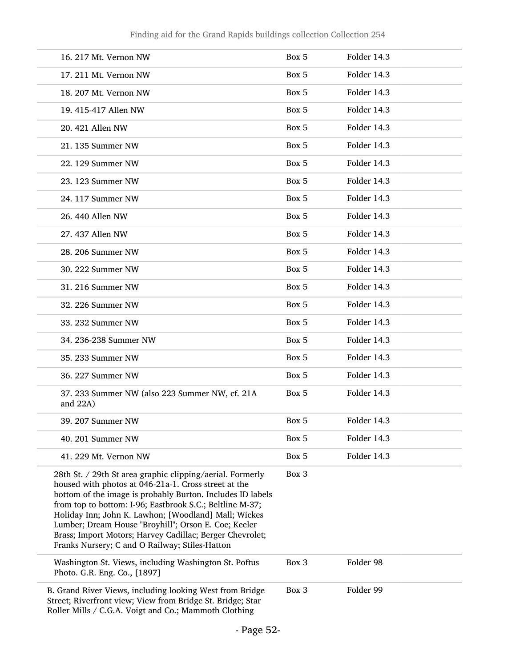| 16. 217 Mt. Vernon NW                                                                                                                                                                                                                                                                                                                                                                                                                                                     | Box 5 | Folder 14.3 |
|---------------------------------------------------------------------------------------------------------------------------------------------------------------------------------------------------------------------------------------------------------------------------------------------------------------------------------------------------------------------------------------------------------------------------------------------------------------------------|-------|-------------|
| 17. 211 Mt. Vernon NW                                                                                                                                                                                                                                                                                                                                                                                                                                                     | Box 5 | Folder 14.3 |
| 18. 207 Mt. Vernon NW                                                                                                                                                                                                                                                                                                                                                                                                                                                     | Box 5 | Folder 14.3 |
| 19. 415-417 Allen NW                                                                                                                                                                                                                                                                                                                                                                                                                                                      | Box 5 | Folder 14.3 |
| 20. 421 Allen NW                                                                                                                                                                                                                                                                                                                                                                                                                                                          | Box 5 | Folder 14.3 |
| 21. 135 Summer NW                                                                                                                                                                                                                                                                                                                                                                                                                                                         | Box 5 | Folder 14.3 |
| 22. 129 Summer NW                                                                                                                                                                                                                                                                                                                                                                                                                                                         | Box 5 | Folder 14.3 |
| 23. 123 Summer NW                                                                                                                                                                                                                                                                                                                                                                                                                                                         | Box 5 | Folder 14.3 |
| 24. 117 Summer NW                                                                                                                                                                                                                                                                                                                                                                                                                                                         | Box 5 | Folder 14.3 |
| 26. 440 Allen NW                                                                                                                                                                                                                                                                                                                                                                                                                                                          | Box 5 | Folder 14.3 |
| 27. 437 Allen NW                                                                                                                                                                                                                                                                                                                                                                                                                                                          | Box 5 | Folder 14.3 |
| 28. 206 Summer NW                                                                                                                                                                                                                                                                                                                                                                                                                                                         | Box 5 | Folder 14.3 |
| 30. 222 Summer NW                                                                                                                                                                                                                                                                                                                                                                                                                                                         | Box 5 | Folder 14.3 |
| 31. 216 Summer NW                                                                                                                                                                                                                                                                                                                                                                                                                                                         | Box 5 | Folder 14.3 |
| 32. 226 Summer NW                                                                                                                                                                                                                                                                                                                                                                                                                                                         | Box 5 | Folder 14.3 |
| 33. 232 Summer NW                                                                                                                                                                                                                                                                                                                                                                                                                                                         | Box 5 | Folder 14.3 |
| 34. 236-238 Summer NW                                                                                                                                                                                                                                                                                                                                                                                                                                                     | Box 5 | Folder 14.3 |
| 35. 233 Summer NW                                                                                                                                                                                                                                                                                                                                                                                                                                                         | Box 5 | Folder 14.3 |
| 36. 227 Summer NW                                                                                                                                                                                                                                                                                                                                                                                                                                                         | Box 5 | Folder 14.3 |
| 37. 233 Summer NW (also 223 Summer NW, cf. 21A<br>and $22A$ )                                                                                                                                                                                                                                                                                                                                                                                                             | Box 5 | Folder 14.3 |
| 39. 207 Summer NW                                                                                                                                                                                                                                                                                                                                                                                                                                                         | Box 5 | Folder 14.3 |
| 40. 201 Summer NW                                                                                                                                                                                                                                                                                                                                                                                                                                                         | Box 5 | Folder 14.3 |
| 41. 229 Mt. Vernon NW                                                                                                                                                                                                                                                                                                                                                                                                                                                     | Box 5 | Folder 14.3 |
| 28th St. / 29th St area graphic clipping/aerial. Formerly<br>housed with photos at 046-21a-1. Cross street at the<br>bottom of the image is probably Burton. Includes ID labels<br>from top to bottom: I-96; Eastbrook S.C.; Beltline M-37;<br>Holiday Inn; John K. Lawhon; [Woodland] Mall; Wickes<br>Lumber; Dream House "Broyhill"; Orson E. Coe; Keeler<br>Brass; Import Motors; Harvey Cadillac; Berger Chevrolet;<br>Franks Nursery; C and O Railway; Stiles-Hatton | Box 3 |             |
| Washington St. Views, including Washington St. Poftus<br>Photo. G.R. Eng. Co., [1897]                                                                                                                                                                                                                                                                                                                                                                                     | Box 3 | Folder 98   |
| B. Grand River Views, including looking West from Bridge<br>Street; Riverfront view; View from Bridge St. Bridge; Star<br>Roller Mills / C.G.A. Voigt and Co.; Mammoth Clothing                                                                                                                                                                                                                                                                                           | Box 3 | Folder 99   |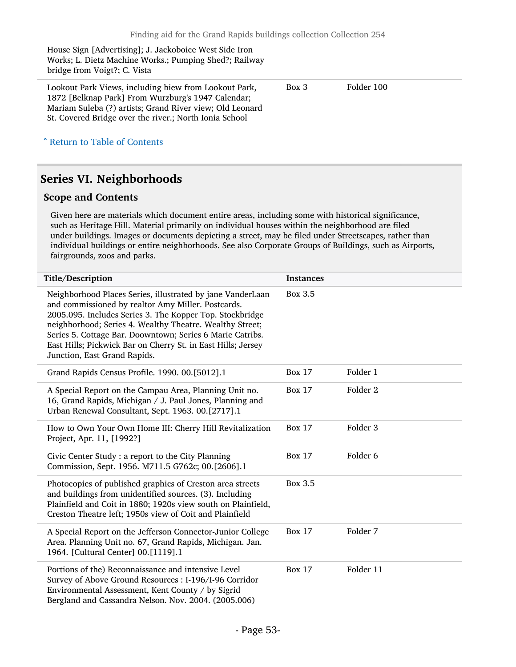House Sign [Advertising]; J. Jackoboice West Side Iron Works; L. Dietz Machine Works.; Pumping Shed?; Railway bridge from Voigt?; C. Vista Lookout Park Views, including biew from Lookout Park, 1872 [Belknap Park] From Wurzburg's 1947 Calendar; Mariam Suleba (?) artists; Grand River view; Old Leonard St. Covered Bridge over the river.; North Ionia School Box 3 Folder 100

^ [Return to Table of Contents](#page-1-0)

### <span id="page-52-0"></span>Series VI. Neighborhoods

#### Scope and Contents

Given here are materials which document entire areas, including some with historical significance, such as Heritage Hill. Material primarily on individual houses within the neighborhood are filed under buildings. Images or documents depicting a street, may be filed under Streetscapes, rather than individual buildings or entire neighborhoods. See also Corporate Groups of Buildings, such as Airports, fairgrounds, zoos and parks.

| Title/Description                                                                                                                                                                                                                                                                                                                                                                                     | <b>Instances</b> |                     |
|-------------------------------------------------------------------------------------------------------------------------------------------------------------------------------------------------------------------------------------------------------------------------------------------------------------------------------------------------------------------------------------------------------|------------------|---------------------|
| Neighborhood Places Series, illustrated by jane VanderLaan<br>and commissioned by realtor Amy Miller. Postcards.<br>2005.095. Includes Series 3. The Kopper Top. Stockbridge<br>neighborhood; Series 4. Wealthy Theatre. Wealthy Street;<br>Series 5. Cottage Bar. Doowntown; Series 6 Marie Catribs.<br>East Hills; Pickwick Bar on Cherry St. in East Hills; Jersey<br>Junction, East Grand Rapids. | <b>Box 3.5</b>   |                     |
| Grand Rapids Census Profile. 1990. 00.[5012].1                                                                                                                                                                                                                                                                                                                                                        | <b>Box 17</b>    | Folder 1            |
| A Special Report on the Campau Area, Planning Unit no.<br>16, Grand Rapids, Michigan / J. Paul Jones, Planning and<br>Urban Renewal Consultant, Sept. 1963. 00.[2717].1                                                                                                                                                                                                                               | <b>Box 17</b>    | Folder 2            |
| How to Own Your Own Home III: Cherry Hill Revitalization<br>Project, Apr. 11, [1992?]                                                                                                                                                                                                                                                                                                                 | <b>Box 17</b>    | Folder 3            |
| Civic Center Study : a report to the City Planning<br>Commission, Sept. 1956. M711.5 G762c; 00.[2606].1                                                                                                                                                                                                                                                                                               | <b>Box 17</b>    | Folder <sub>6</sub> |
| Photocopies of published graphics of Creston area streets<br>and buildings from unidentified sources. (3). Including<br>Plainfield and Coit in 1880; 1920s view south on Plainfield,<br>Creston Theatre left; 1950s view of Coit and Plainfield                                                                                                                                                       | Box 3.5          |                     |
| A Special Report on the Jefferson Connector-Junior College<br>Area. Planning Unit no. 67, Grand Rapids, Michigan. Jan.<br>1964. [Cultural Center] 00.[1119].1                                                                                                                                                                                                                                         | <b>Box 17</b>    | Folder 7            |
| Portions of the) Reconnaissance and intensive Level<br>Survey of Above Ground Resources : I-196/I-96 Corridor<br>Environmental Assessment, Kent County / by Sigrid<br>Bergland and Cassandra Nelson. Nov. 2004. (2005.006)                                                                                                                                                                            | <b>Box 17</b>    | Folder 11           |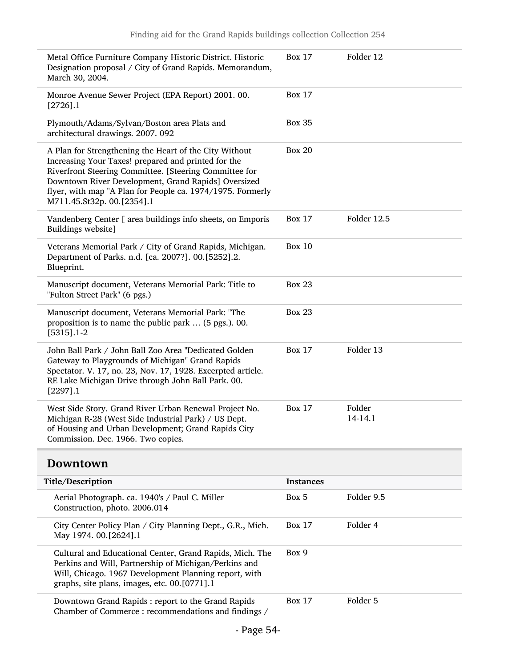| Metal Office Furniture Company Historic District. Historic<br>Designation proposal / City of Grand Rapids. Memorandum,<br>March 30, 2004.                                                                                                                                                                                  | <b>Box 17</b>    | Folder 12         |
|----------------------------------------------------------------------------------------------------------------------------------------------------------------------------------------------------------------------------------------------------------------------------------------------------------------------------|------------------|-------------------|
| Monroe Avenue Sewer Project (EPA Report) 2001. 00.<br>$[2726]$ .1                                                                                                                                                                                                                                                          | <b>Box 17</b>    |                   |
| Plymouth/Adams/Sylvan/Boston area Plats and<br>architectural drawings. 2007. 092                                                                                                                                                                                                                                           | <b>Box 35</b>    |                   |
| A Plan for Strengthening the Heart of the City Without<br>Increasing Your Taxes! prepared and printed for the<br>Riverfront Steering Committee. [Steering Committee for<br>Downtown River Development, Grand Rapids] Oversized<br>flyer, with map "A Plan for People ca. 1974/1975. Formerly<br>M711.45.St32p. 00.[2354].1 | <b>Box 20</b>    |                   |
| Vandenberg Center [ area buildings info sheets, on Emporis<br>Buildings website]                                                                                                                                                                                                                                           | <b>Box 17</b>    | Folder 12.5       |
| Veterans Memorial Park / City of Grand Rapids, Michigan.<br>Department of Parks. n.d. [ca. 2007?]. 00.[5252].2.<br>Blueprint.                                                                                                                                                                                              | <b>Box 10</b>    |                   |
| Manuscript document, Veterans Memorial Park: Title to<br>"Fulton Street Park" (6 pgs.)                                                                                                                                                                                                                                     | <b>Box 23</b>    |                   |
| Manuscript document, Veterans Memorial Park: "The<br>proposition is to name the public park  (5 pgs.). 00.<br>$[5315]$ .1-2                                                                                                                                                                                                | <b>Box 23</b>    |                   |
| John Ball Park / John Ball Zoo Area "Dedicated Golden<br>Gateway to Playgrounds of Michigan" Grand Rapids<br>Spectator. V. 17, no. 23, Nov. 17, 1928. Excerpted article.<br>RE Lake Michigan Drive through John Ball Park. 00.<br>$[2297]$ .1                                                                              | <b>Box 17</b>    | Folder 13         |
| West Side Story. Grand River Urban Renewal Project No.<br>Michigan R-28 (West Side Industrial Park) / US Dept.<br>of Housing and Urban Development; Grand Rapids City<br>Commission. Dec. 1966. Two copies.                                                                                                                | <b>Box 17</b>    | Folder<br>14-14.1 |
| Downtown                                                                                                                                                                                                                                                                                                                   |                  |                   |
| Title/Description                                                                                                                                                                                                                                                                                                          | <b>Instances</b> |                   |
| Aerial Photograph. ca. 1940's / Paul C. Miller                                                                                                                                                                                                                                                                             | Box 5            | Folder 9.5        |

<span id="page-53-0"></span>

| Aerial Photograph. ca. 1940's / Paul C. Miller<br>Construction, photo. 2006.014                                                                                                                                            | Box 5         | Folder 9.5 |
|----------------------------------------------------------------------------------------------------------------------------------------------------------------------------------------------------------------------------|---------------|------------|
| City Center Policy Plan / City Planning Dept., G.R., Mich.<br>May 1974. 00.[2624].1                                                                                                                                        | <b>Box 17</b> | Folder 4   |
| Cultural and Educational Center, Grand Rapids, Mich. The<br>Perkins and Will, Partnership of Michigan/Perkins and<br>Will, Chicago. 1967 Development Planning report, with<br>graphs, site plans, images, etc. 00.[0771].1 | Box 9         |            |
| Downtown Grand Rapids: report to the Grand Rapids<br>Chamber of Commerce: recommendations and findings /                                                                                                                   | <b>Box 17</b> | Folder 5   |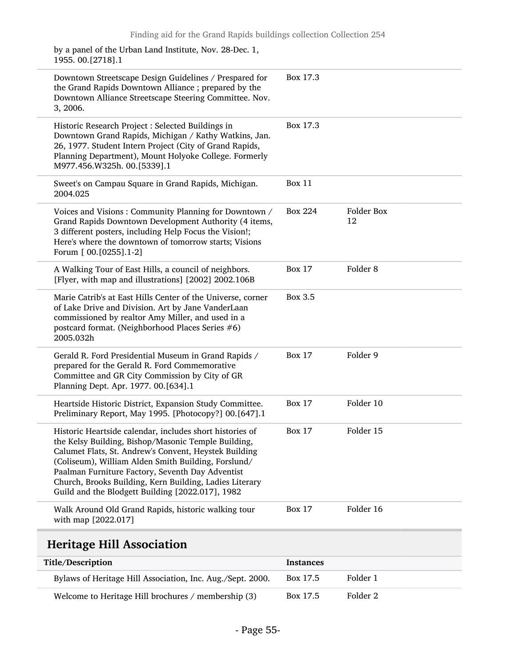| Walk Around Old Grand Rapids, historic walking tour<br>with map [2022.017]                                                                                                                                                                                                                                                                                                                         | <b>Box 17</b>  | Folder 16           |
|----------------------------------------------------------------------------------------------------------------------------------------------------------------------------------------------------------------------------------------------------------------------------------------------------------------------------------------------------------------------------------------------------|----------------|---------------------|
| Historic Heartside calendar, includes short histories of<br>the Kelsy Building, Bishop/Masonic Temple Building,<br>Calumet Flats, St. Andrew's Convent, Heystek Building<br>(Coliseum), William Alden Smith Building, Forslund/<br>Paalman Furniture Factory, Seventh Day Adventist<br>Church, Brooks Building, Kern Building, Ladies Literary<br>Guild and the Blodgett Building [2022.017], 1982 | <b>Box 17</b>  | Folder 15           |
| Heartside Historic District, Expansion Study Committee.<br>Preliminary Report, May 1995. [Photocopy?] 00.[647].1                                                                                                                                                                                                                                                                                   | <b>Box 17</b>  | Folder 10           |
| Gerald R. Ford Presidential Museum in Grand Rapids /<br>prepared for the Gerald R. Ford Commemorative<br>Committee and GR City Commission by City of GR<br>Planning Dept. Apr. 1977. 00.[634].1                                                                                                                                                                                                    | <b>Box 17</b>  | Folder 9            |
| Marie Catrib's at East Hills Center of the Universe, corner<br>of Lake Drive and Division. Art by Jane VanderLaan<br>commissioned by realtor Amy Miller, and used in a<br>postcard format. (Neighborhood Places Series #6)<br>2005.032h                                                                                                                                                            | <b>Box 3.5</b> |                     |
| A Walking Tour of East Hills, a council of neighbors.<br>[Flyer, with map and illustrations] [2002] 2002.106B                                                                                                                                                                                                                                                                                      | <b>Box 17</b>  | Folder <sub>8</sub> |
| Voices and Visions: Community Planning for Downtown /<br>Grand Rapids Downtown Development Authority (4 items,<br>3 different posters, including Help Focus the Vision!;<br>Here's where the downtown of tomorrow starts; Visions<br>Forum [ 00. [0255] .1-2]                                                                                                                                      | <b>Box 224</b> | Folder Box<br>12    |
| Sweet's on Campau Square in Grand Rapids, Michigan.<br>2004.025                                                                                                                                                                                                                                                                                                                                    | <b>Box 11</b>  |                     |
| Historic Research Project: Selected Buildings in<br>Downtown Grand Rapids, Michigan / Kathy Watkins, Jan.<br>26, 1977. Student Intern Project (City of Grand Rapids,<br>Planning Department), Mount Holyoke College. Formerly<br>M977.456.W325h. 00.[5339].1                                                                                                                                       | Box 17.3       |                     |
| Downtown Streetscape Design Guidelines / Prespared for<br>the Grand Rapids Downtown Alliance; prepared by the<br>Downtown Alliance Streetscape Steering Committee. Nov.<br>3, 2006.                                                                                                                                                                                                                | Box 17.3       |                     |
| by a panel of the Urban Land Institute, Nov. 28-Dec. 1,<br>1955. 00. [2718]. 1                                                                                                                                                                                                                                                                                                                     |                |                     |

### <span id="page-54-0"></span>Heritage Hill Association

| Title/Description                                          | <b>Instances</b> |          |
|------------------------------------------------------------|------------------|----------|
| Bylaws of Heritage Hill Association, Inc. Aug./Sept. 2000. | Box 17.5         | Folder 1 |
| Welcome to Heritage Hill brochures / membership (3)        | Box 17.5         | Folder 2 |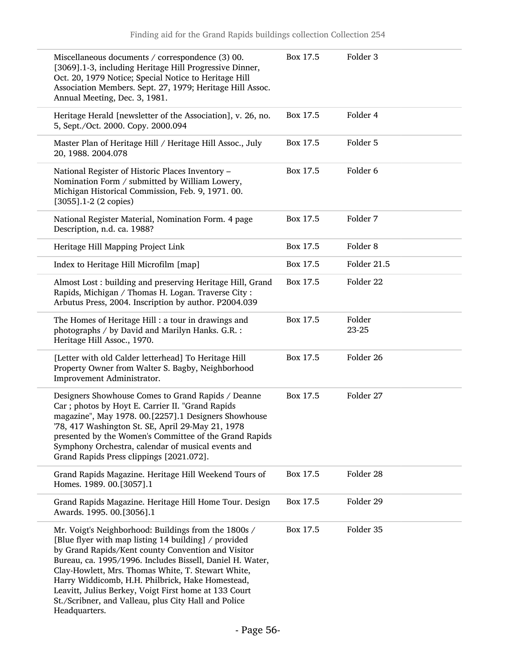| Miscellaneous documents / correspondence (3) 00.<br>[3069].1-3, including Heritage Hill Progressive Dinner,<br>Oct. 20, 1979 Notice; Special Notice to Heritage Hill<br>Association Members. Sept. 27, 1979; Heritage Hill Assoc.<br>Annual Meeting, Dec. 3, 1981.                                                                                                                                                                                                          | Box 17.5 | Folder 3            |
|-----------------------------------------------------------------------------------------------------------------------------------------------------------------------------------------------------------------------------------------------------------------------------------------------------------------------------------------------------------------------------------------------------------------------------------------------------------------------------|----------|---------------------|
| Heritage Herald [newsletter of the Association], v. 26, no.<br>5, Sept./Oct. 2000. Copy. 2000.094                                                                                                                                                                                                                                                                                                                                                                           | Box 17.5 | Folder 4            |
| Master Plan of Heritage Hill / Heritage Hill Assoc., July<br>20, 1988. 2004.078                                                                                                                                                                                                                                                                                                                                                                                             | Box 17.5 | Folder 5            |
| National Register of Historic Places Inventory -<br>Nomination Form / submitted by William Lowery,<br>Michigan Historical Commission, Feb. 9, 1971. 00.<br>$[3055]$ .1-2 (2 copies)                                                                                                                                                                                                                                                                                         | Box 17.5 | Folder 6            |
| National Register Material, Nomination Form. 4 page<br>Description, n.d. ca. 1988?                                                                                                                                                                                                                                                                                                                                                                                          | Box 17.5 | Folder 7            |
| Heritage Hill Mapping Project Link                                                                                                                                                                                                                                                                                                                                                                                                                                          | Box 17.5 | Folder <sub>8</sub> |
| Index to Heritage Hill Microfilm [map]                                                                                                                                                                                                                                                                                                                                                                                                                                      | Box 17.5 | Folder 21.5         |
| Almost Lost : building and preserving Heritage Hill, Grand<br>Rapids, Michigan / Thomas H. Logan. Traverse City:<br>Arbutus Press, 2004. Inscription by author. P2004.039                                                                                                                                                                                                                                                                                                   | Box 17.5 | Folder 22           |
| The Homes of Heritage Hill : a tour in drawings and<br>photographs / by David and Marilyn Hanks. G.R. :<br>Heritage Hill Assoc., 1970.                                                                                                                                                                                                                                                                                                                                      | Box 17.5 | Folder<br>23-25     |
| [Letter with old Calder letterhead] To Heritage Hill<br>Property Owner from Walter S. Bagby, Neighborhood<br>Improvement Administrator.                                                                                                                                                                                                                                                                                                                                     | Box 17.5 | Folder 26           |
| Designers Showhouse Comes to Grand Rapids / Deanne<br>Car ; photos by Hoyt E. Carrier II. "Grand Rapids<br>magazine", May 1978. 00.[2257].1 Designers Showhouse<br>'78, 417 Washington St. SE, April 29-May 21, 1978<br>presented by the Women's Committee of the Grand Rapids<br>Symphony Orchestra, calendar of musical events and<br>Grand Rapids Press clippings [2021.072].                                                                                            | Box 17.5 | Folder 27           |
| Grand Rapids Magazine. Heritage Hill Weekend Tours of<br>Homes. 1989. 00.[3057].1                                                                                                                                                                                                                                                                                                                                                                                           | Box 17.5 | Folder 28           |
| Grand Rapids Magazine. Heritage Hill Home Tour. Design<br>Awards. 1995. 00.[3056].1                                                                                                                                                                                                                                                                                                                                                                                         | Box 17.5 | Folder 29           |
| Mr. Voigt's Neighborhood: Buildings from the 1800s /<br>[Blue flyer with map listing 14 building] / provided<br>by Grand Rapids/Kent county Convention and Visitor<br>Bureau, ca. 1995/1996. Includes Bissell, Daniel H. Water,<br>Clay-Howlett, Mrs. Thomas White, T. Stewart White,<br>Harry Widdicomb, H.H. Philbrick, Hake Homestead,<br>Leavitt, Julius Berkey, Voigt First home at 133 Court<br>St./Scribner, and Valleau, plus City Hall and Police<br>Headquarters. | Box 17.5 | Folder 35           |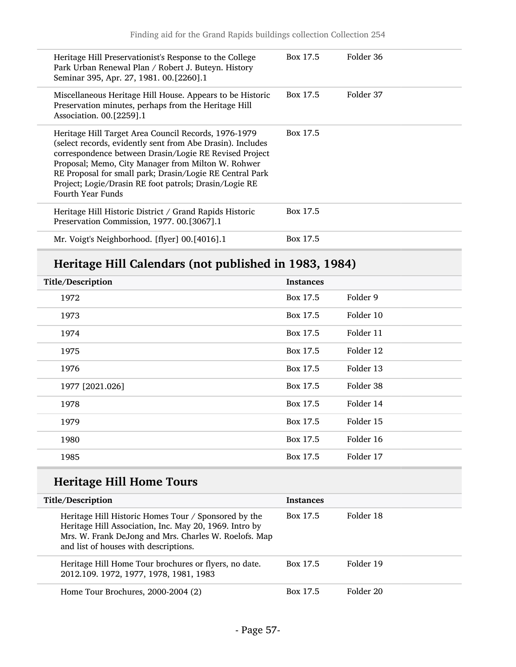| Heritage Hill Preservationist's Response to the College<br>Park Urban Renewal Plan / Robert J. Buteyn. History<br>Seminar 395, Apr. 27, 1981. 00.[2260].1                                                                                                                                                                                                                            | Box 17.5 | Folder 36 |
|--------------------------------------------------------------------------------------------------------------------------------------------------------------------------------------------------------------------------------------------------------------------------------------------------------------------------------------------------------------------------------------|----------|-----------|
| Miscellaneous Heritage Hill House. Appears to be Historic<br>Preservation minutes, perhaps from the Heritage Hill<br>Association. 00.[2259].1                                                                                                                                                                                                                                        | Box 17.5 | Folder 37 |
| Heritage Hill Target Area Council Records, 1976-1979<br>(select records, evidently sent from Abe Drasin). Includes<br>correspondence between Drasin/Logie RE Revised Project<br>Proposal; Memo, City Manager from Milton W. Rohwer<br>RE Proposal for small park; Drasin/Logie RE Central Park<br>Project; Logie/Drasin RE foot patrols; Drasin/Logie RE<br><b>Fourth Year Funds</b> | Box 17.5 |           |
| Heritage Hill Historic District / Grand Rapids Historic<br>Preservation Commission, 1977. 00. [3067]. 1                                                                                                                                                                                                                                                                              | Box 17.5 |           |
| Mr. Voigt's Neighborhood. [flyer] 00.[4016].1                                                                                                                                                                                                                                                                                                                                        | Box 17.5 |           |

## Heritage Hill Calendars (not published in 1983, 1984)

| Title/Description | <b>Instances</b> |           |
|-------------------|------------------|-----------|
| 1972              | Box 17.5         | Folder 9  |
| 1973              | Box 17.5         | Folder 10 |
| 1974              | Box 17.5         | Folder 11 |
| 1975              | Box 17.5         | Folder 12 |
| 1976              | Box 17.5         | Folder 13 |
| 1977 [2021.026]   | Box 17.5         | Folder 38 |
| 1978              | Box 17.5         | Folder 14 |
| 1979              | Box 17.5         | Folder 15 |
| 1980              | Box 17.5         | Folder 16 |
| 1985              | Box 17.5         | Folder 17 |

## Heritage Hill Home Tours

| Title/Description                                                                                                                                                                                                | <b>Instances</b> |           |
|------------------------------------------------------------------------------------------------------------------------------------------------------------------------------------------------------------------|------------------|-----------|
| Heritage Hill Historic Homes Tour / Sponsored by the<br>Heritage Hill Association, Inc. May 20, 1969. Intro by<br>Mrs. W. Frank DeJong and Mrs. Charles W. Roelofs. Map<br>and list of houses with descriptions. | Box 17.5         | Folder 18 |
| Heritage Hill Home Tour brochures or flyers, no date.<br>2012.109. 1972, 1977, 1978, 1981, 1983                                                                                                                  | Box 17.5         | Folder 19 |
| Home Tour Brochures, 2000-2004 (2)                                                                                                                                                                               | Box 17.5         | Folder 20 |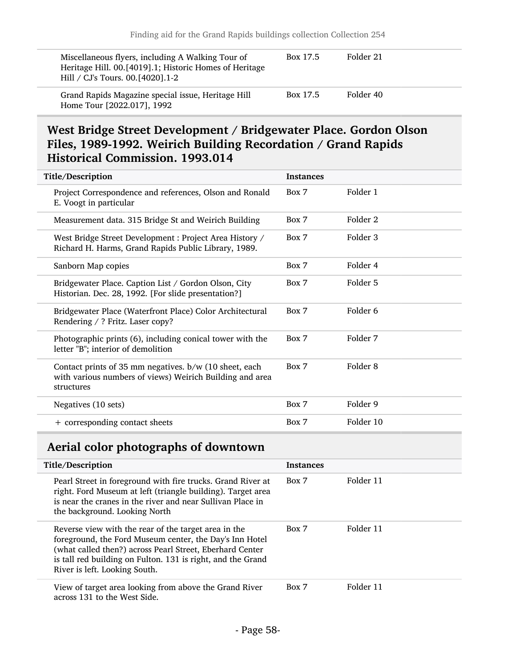| Miscellaneous flyers, including A Walking Tour of<br>Heritage Hill. 00.[4019].1; Historic Homes of Heritage<br>Hill / CJ's Tours. 00. [4020]. 1-2 | Box 17.5 | Folder 21 |
|---------------------------------------------------------------------------------------------------------------------------------------------------|----------|-----------|
| Grand Rapids Magazine special issue, Heritage Hill<br>Home Tour [2022.017], 1992                                                                  | Box 17.5 | Folder 40 |

### <span id="page-57-0"></span>West Bridge Street Development / Bridgewater Place. Gordon Olson Files, 1989-1992. Weirich Building Recordation / Grand Rapids Historical Commission. 1993.014

| Title/Description                                                                                                                | <b>Instances</b> |           |
|----------------------------------------------------------------------------------------------------------------------------------|------------------|-----------|
| Project Correspondence and references, Olson and Ronald<br>E. Voogt in particular                                                | Box 7            | Folder 1  |
| Measurement data. 315 Bridge St and Weirich Building                                                                             | Box 7            | Folder 2  |
| West Bridge Street Development : Project Area History /<br>Richard H. Harms, Grand Rapids Public Library, 1989.                  | Box 7            | Folder 3  |
| Sanborn Map copies                                                                                                               | Box 7            | Folder 4  |
| Bridgewater Place. Caption List / Gordon Olson, City<br>Historian. Dec. 28, 1992. [For slide presentation?]                      | Box 7            | Folder 5  |
| Bridgewater Place (Waterfront Place) Color Architectural<br>Rendering / ? Fritz. Laser copy?                                     | Box 7            | Folder 6  |
| Photographic prints (6), including conical tower with the<br>letter "B"; interior of demolition                                  | Box 7            | Folder 7  |
| Contact prints of 35 mm negatives. b/w (10 sheet, each<br>with various numbers of views) Weirich Building and area<br>structures | Box 7            | Folder 8  |
| Negatives (10 sets)                                                                                                              | Box 7            | Folder 9  |
| + corresponding contact sheets                                                                                                   | Box 7            | Folder 10 |

## <span id="page-57-1"></span>Aerial color photographs of downtown

| Title/Description                                                                                                                                                                                                                                                           | <b>Instances</b> |           |
|-----------------------------------------------------------------------------------------------------------------------------------------------------------------------------------------------------------------------------------------------------------------------------|------------------|-----------|
| Pearl Street in foreground with fire trucks. Grand River at<br>right. Ford Museum at left (triangle building). Target area<br>is near the cranes in the river and near Sullivan Place in<br>the background. Looking North                                                   | Box 7            | Folder 11 |
| Reverse view with the rear of the target area in the<br>foreground, the Ford Museum center, the Day's Inn Hotel<br>(what called then?) across Pearl Street, Eberhard Center<br>is tall red building on Fulton. 131 is right, and the Grand<br>River is left. Looking South. | Box 7            | Folder 11 |
| View of target area looking from above the Grand River<br>across 131 to the West Side.                                                                                                                                                                                      | Box 7            | Folder 11 |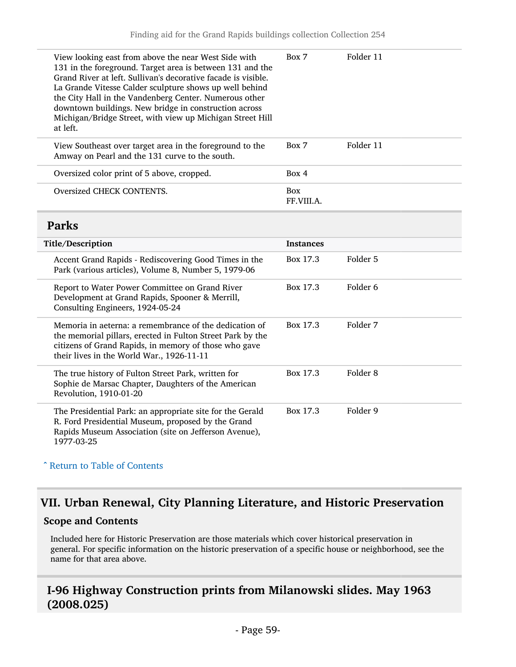<span id="page-58-0"></span>

| View looking east from above the near West Side with<br>131 in the foreground. Target area is between 131 and the<br>Grand River at left. Sullivan's decorative facade is visible.<br>La Grande Vitesse Calder sculpture shows up well behind<br>the City Hall in the Vandenberg Center. Numerous other<br>downtown buildings. New bridge in construction across<br>Michigan/Bridge Street, with view up Michigan Street Hill<br>at left. | Box 7                    | Folder 11           |
|-------------------------------------------------------------------------------------------------------------------------------------------------------------------------------------------------------------------------------------------------------------------------------------------------------------------------------------------------------------------------------------------------------------------------------------------|--------------------------|---------------------|
| View Southeast over target area in the foreground to the<br>Amway on Pearl and the 131 curve to the south.                                                                                                                                                                                                                                                                                                                                | Box 7                    | Folder 11           |
| Oversized color print of 5 above, cropped.                                                                                                                                                                                                                                                                                                                                                                                                | Box 4                    |                     |
| Oversized CHECK CONTENTS.                                                                                                                                                                                                                                                                                                                                                                                                                 | <b>Box</b><br>FF.VIII.A. |                     |
| <b>Parks</b>                                                                                                                                                                                                                                                                                                                                                                                                                              |                          |                     |
| Title/Description                                                                                                                                                                                                                                                                                                                                                                                                                         | <b>Instances</b>         |                     |
| Accent Grand Rapids - Rediscovering Good Times in the<br>Park (various articles), Volume 8, Number 5, 1979-06                                                                                                                                                                                                                                                                                                                             | Box 17.3                 | Folder 5            |
| Report to Water Power Committee on Grand River<br>Development at Grand Rapids, Spooner & Merrill,<br>Consulting Engineers, 1924-05-24                                                                                                                                                                                                                                                                                                     | Box 17.3                 | Folder <sub>6</sub> |
| Memoria in aeterna: a remembrance of the dedication of<br>the memorial pillars, erected in Fulton Street Park by the<br>citizens of Grand Rapids, in memory of those who gave<br>their lives in the World War., 1926-11-11                                                                                                                                                                                                                | Box 17.3                 | Folder 7            |
| The true history of Fulton Street Park, written for<br>Sophie de Marsac Chapter, Daughters of the American<br>Revolution, 1910-01-20                                                                                                                                                                                                                                                                                                      | Box 17.3                 | Folder <sub>8</sub> |
| The Presidential Park: an appropriate site for the Gerald<br>R. Ford Presidential Museum, proposed by the Grand<br>Rapids Museum Association (site on Jefferson Avenue),<br>1977-03-25                                                                                                                                                                                                                                                    | Box 17.3                 | Folder 9            |

#### ^ [Return to Table of Contents](#page-1-0)

## <span id="page-58-1"></span>VII. Urban Renewal, City Planning Literature, and Historic Preservation

#### Scope and Contents

Included here for Historic Preservation are those materials which cover historical preservation in general. For specific information on the historic preservation of a specific house or neighborhood, see the name for that area above.

### <span id="page-58-2"></span>I-96 Highway Construction prints from Milanowski slides. May 1963 (2008.025)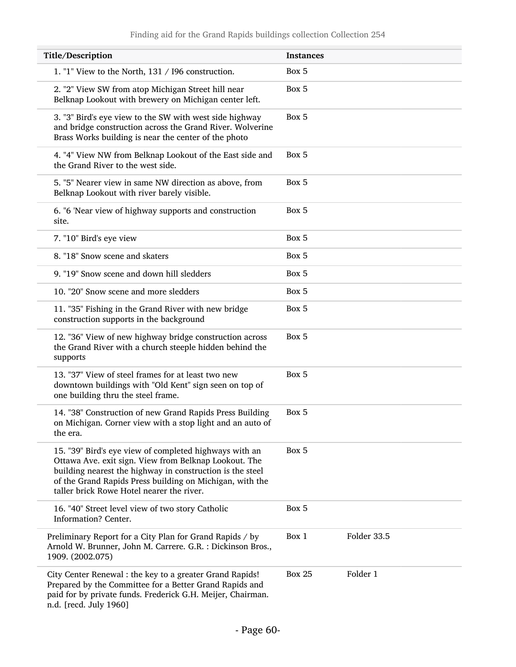| Title/Description                                                                                                                                                                                                                                                                     | <b>Instances</b>          |
|---------------------------------------------------------------------------------------------------------------------------------------------------------------------------------------------------------------------------------------------------------------------------------------|---------------------------|
| 1. "1" View to the North, 131 / 196 construction.                                                                                                                                                                                                                                     | Box 5                     |
| 2. "2" View SW from atop Michigan Street hill near<br>Belknap Lookout with brewery on Michigan center left.                                                                                                                                                                           | Box 5                     |
| 3. "3" Bird's eye view to the SW with west side highway<br>and bridge construction across the Grand River. Wolverine<br>Brass Works building is near the center of the photo                                                                                                          | Box 5                     |
| 4. "4" View NW from Belknap Lookout of the East side and<br>the Grand River to the west side.                                                                                                                                                                                         | Box 5                     |
| 5. "5" Nearer view in same NW direction as above, from<br>Belknap Lookout with river barely visible.                                                                                                                                                                                  | Box 5                     |
| 6. "6 'Near view of highway supports and construction<br>site.                                                                                                                                                                                                                        | Box 5                     |
| 7. "10" Bird's eye view                                                                                                                                                                                                                                                               | Box 5                     |
| 8. "18" Snow scene and skaters                                                                                                                                                                                                                                                        | Box 5                     |
| 9. "19" Snow scene and down hill sledders                                                                                                                                                                                                                                             | Box 5                     |
| 10. "20" Snow scene and more sledders                                                                                                                                                                                                                                                 | Box 5                     |
| 11. "35" Fishing in the Grand River with new bridge<br>construction supports in the background                                                                                                                                                                                        | Box 5                     |
| 12. "36" View of new highway bridge construction across<br>the Grand River with a church steeple hidden behind the<br>supports                                                                                                                                                        | Box 5                     |
| 13. "37" View of steel frames for at least two new<br>downtown buildings with "Old Kent" sign seen on top of<br>one building thru the steel frame.                                                                                                                                    | Box 5                     |
| 14. "38" Construction of new Grand Rapids Press Building<br>on Michigan. Corner view with a stop light and an auto of<br>the era.                                                                                                                                                     | Box 5                     |
| 15. "39" Bird's eye view of completed highways with an<br>Ottawa Ave. exit sign. View from Belknap Lookout. The<br>building nearest the highway in construction is the steel<br>of the Grand Rapids Press building on Michigan, with the<br>taller brick Rowe Hotel nearer the river. | Box 5                     |
| 16. "40" Street level view of two story Catholic<br>Information? Center.                                                                                                                                                                                                              | Box 5                     |
| Preliminary Report for a City Plan for Grand Rapids / by<br>Arnold W. Brunner, John M. Carrere. G.R. : Dickinson Bros.,<br>1909. (2002.075)                                                                                                                                           | Folder 33.5<br>Box 1      |
| City Center Renewal : the key to a greater Grand Rapids!<br>Prepared by the Committee for a Better Grand Rapids and<br>paid for by private funds. Frederick G.H. Meijer, Chairman.<br>n.d. [recd. July 1960]                                                                          | Folder 1<br><b>Box 25</b> |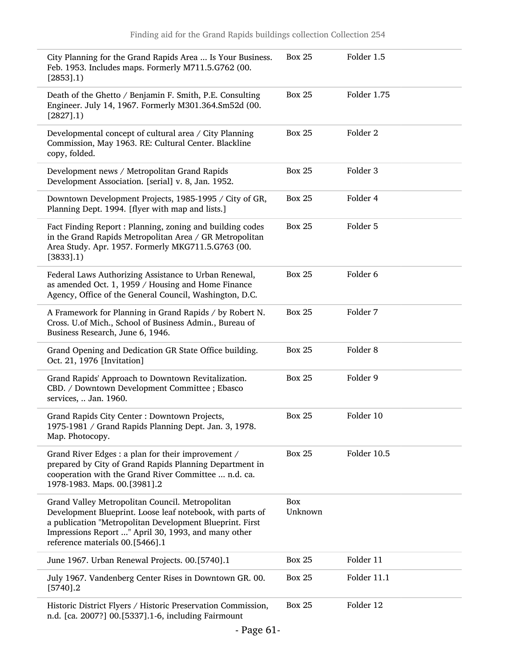| City Planning for the Grand Rapids Area  Is Your Business.<br>Feb. 1953. Includes maps. Formerly M711.5.G762 (00.<br>$[2853]$ .1)                                                                                                                                  | <b>Box 25</b>  | Folder 1.5          |
|--------------------------------------------------------------------------------------------------------------------------------------------------------------------------------------------------------------------------------------------------------------------|----------------|---------------------|
| Death of the Ghetto / Benjamin F. Smith, P.E. Consulting<br>Engineer. July 14, 1967. Formerly M301.364.Sm52d (00.<br>$[2827]$ .1)                                                                                                                                  | <b>Box 25</b>  | Folder 1.75         |
| Developmental concept of cultural area / City Planning<br>Commission, May 1963. RE: Cultural Center. Blackline<br>copy, folded.                                                                                                                                    | <b>Box 25</b>  | Folder <sub>2</sub> |
| Development news / Metropolitan Grand Rapids<br>Development Association. [serial] v. 8, Jan. 1952.                                                                                                                                                                 | <b>Box 25</b>  | Folder <sub>3</sub> |
| Downtown Development Projects, 1985-1995 / City of GR,<br>Planning Dept. 1994. [flyer with map and lists.]                                                                                                                                                         | <b>Box 25</b>  | Folder 4            |
| Fact Finding Report: Planning, zoning and building codes<br>in the Grand Rapids Metropolitan Area / GR Metropolitan<br>Area Study. Apr. 1957. Formerly MKG711.5.G763 (00.<br>$[3833]$ .1)                                                                          | <b>Box 25</b>  | Folder 5            |
| Federal Laws Authorizing Assistance to Urban Renewal,<br>as amended Oct. 1, 1959 / Housing and Home Finance<br>Agency, Office of the General Council, Washington, D.C.                                                                                             | <b>Box 25</b>  | Folder 6            |
| A Framework for Planning in Grand Rapids / by Robert N.<br>Cross. U.of Mich., School of Business Admin., Bureau of<br>Business Research, June 6, 1946.                                                                                                             | <b>Box 25</b>  | Folder 7            |
| Grand Opening and Dedication GR State Office building.<br>Oct. 21, 1976 [Invitation]                                                                                                                                                                               | <b>Box 25</b>  | Folder <sub>8</sub> |
| Grand Rapids' Approach to Downtown Revitalization.<br>CBD. / Downtown Development Committee ; Ebasco<br>services,  Jan. 1960.                                                                                                                                      | <b>Box 25</b>  | Folder 9            |
| Grand Rapids City Center : Downtown Projects,<br>1975-1981 / Grand Rapids Planning Dept. Jan. 3, 1978.<br>Map. Photocopy.                                                                                                                                          | <b>Box 25</b>  | Folder 10           |
| Grand River Edges : a plan for their improvement /<br>prepared by City of Grand Rapids Planning Department in<br>cooperation with the Grand River Committee  n.d. ca.<br>1978-1983. Maps. 00.[3981].2                                                              | <b>Box 25</b>  | Folder 10.5         |
| Grand Valley Metropolitan Council. Metropolitan<br>Development Blueprint. Loose leaf notebook, with parts of<br>a publication "Metropolitan Development Blueprint. First<br>Impressions Report " April 30, 1993, and many other<br>reference materials 00.[5466].1 | Box<br>Unknown |                     |
| June 1967. Urban Renewal Projects. 00.[5740].1                                                                                                                                                                                                                     | <b>Box 25</b>  | Folder 11           |
| July 1967. Vandenberg Center Rises in Downtown GR. 00.<br>$[5740]$ .2                                                                                                                                                                                              | <b>Box 25</b>  | Folder 11.1         |
| Historic District Flyers / Historic Preservation Commission,<br>n.d. [ca. 2007?] 00.[5337].1-6, including Fairmount                                                                                                                                                | <b>Box 25</b>  | Folder 12           |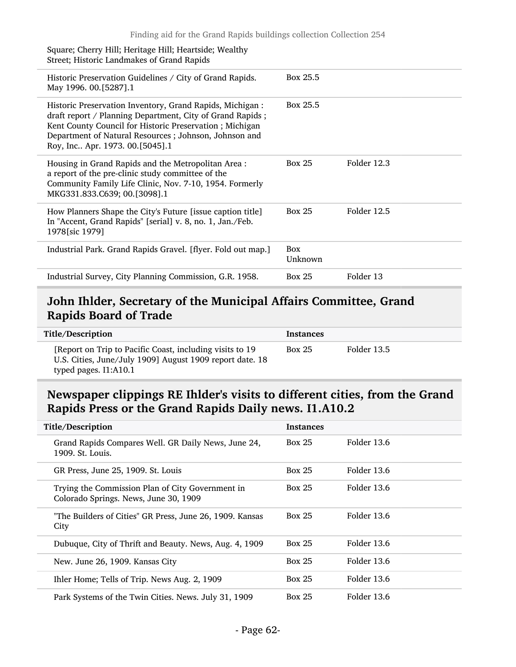| Square; Cherry Hill; Heritage Hill; Heartside; Wealthy<br>Street; Historic Landmakes of Grand Rapids                                                                                                                                                                         |                       |             |
|------------------------------------------------------------------------------------------------------------------------------------------------------------------------------------------------------------------------------------------------------------------------------|-----------------------|-------------|
| Historic Preservation Guidelines / City of Grand Rapids.<br>May 1996. 00.[5287].1                                                                                                                                                                                            | Box 25.5              |             |
| Historic Preservation Inventory, Grand Rapids, Michigan:<br>draft report / Planning Department, City of Grand Rapids;<br>Kent County Council for Historic Preservation; Michigan<br>Department of Natural Resources; Johnson, Johnson and<br>Roy, Inc Apr. 1973. 00.[5045].1 | Box 25.5              |             |
| Housing in Grand Rapids and the Metropolitan Area:<br>a report of the pre-clinic study committee of the<br>Community Family Life Clinic, Nov. 7-10, 1954. Formerly<br>MKG331.833.C639; 00.[3098].1                                                                           | <b>Box 25</b>         | Folder 12.3 |
| How Planners Shape the City's Future [issue caption title]<br>In "Accent, Grand Rapids" [serial] v. 8, no. 1, Jan./Feb.<br>1978 [sic 1979]                                                                                                                                   | <b>Box 25</b>         | Folder 12.5 |
| Industrial Park. Grand Rapids Gravel. [flyer. Fold out map.]                                                                                                                                                                                                                 | <b>Box</b><br>Unknown |             |
| Industrial Survey, City Planning Commission, G.R. 1958.                                                                                                                                                                                                                      | <b>Box 25</b>         | Folder 13   |

## <span id="page-61-0"></span>John Ihlder, Secretary of the Municipal Affairs Committee, Grand Rapids Board of Trade

| Title/Description                                                                                                                             | <b>Instances</b> |             |
|-----------------------------------------------------------------------------------------------------------------------------------------------|------------------|-------------|
| [Report on Trip to Pacific Coast, including visits to 19<br>U.S. Cities, June/July 1909] August 1909 report date. 18<br>typed pages. I1:A10.1 | <b>Box 25</b>    | Folder 13.5 |

## <span id="page-61-1"></span>Newspaper clippings RE Ihlder's visits to different cities, from the Grand Rapids Press or the Grand Rapids Daily news. I1.A10.2

| Title/Description                                                                         | <b>Instances</b> |             |  |
|-------------------------------------------------------------------------------------------|------------------|-------------|--|
| Grand Rapids Compares Well. GR Daily News, June 24,<br>1909. St. Louis.                   | <b>Box 25</b>    | Folder 13.6 |  |
| GR Press, June 25, 1909. St. Louis                                                        | <b>Box 25</b>    | Folder 13.6 |  |
| Trying the Commission Plan of City Government in<br>Colorado Springs. News, June 30, 1909 | <b>Box 25</b>    | Folder 13.6 |  |
| "The Builders of Cities" GR Press, June 26, 1909. Kansas<br>City                          | <b>Box 25</b>    | Folder 13.6 |  |
| Dubuque, City of Thrift and Beauty. News, Aug. 4, 1909                                    | <b>Box 25</b>    | Folder 13.6 |  |
| New. June 26, 1909. Kansas City                                                           | <b>Box 25</b>    | Folder 13.6 |  |
| Ihler Home; Tells of Trip. News Aug. 2, 1909                                              | <b>Box 25</b>    | Folder 13.6 |  |
| Park Systems of the Twin Cities. News. July 31, 1909                                      | <b>Box 25</b>    | Folder 13.6 |  |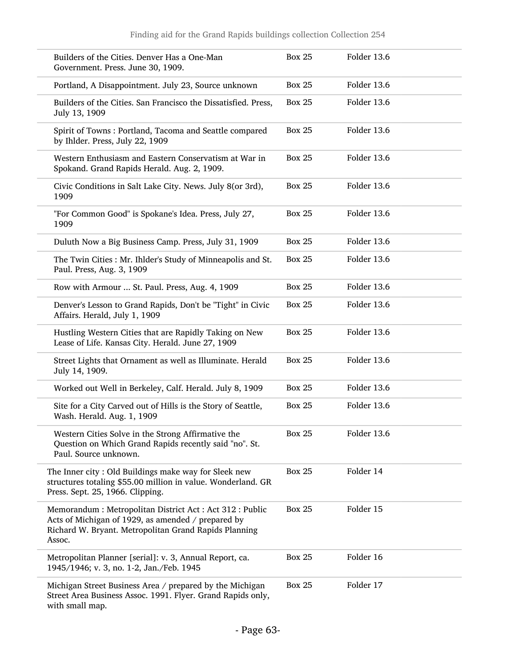| Builders of the Cities. Denver Has a One-Man<br>Government. Press. June 30, 1909.                                                                                               | <b>Box 25</b> | Folder 13.6 |
|---------------------------------------------------------------------------------------------------------------------------------------------------------------------------------|---------------|-------------|
| Portland, A Disappointment. July 23, Source unknown                                                                                                                             | <b>Box 25</b> | Folder 13.6 |
| Builders of the Cities. San Francisco the Dissatisfied. Press,<br>July 13, 1909                                                                                                 | <b>Box 25</b> | Folder 13.6 |
| Spirit of Towns: Portland, Tacoma and Seattle compared<br>by Ihlder. Press, July 22, 1909                                                                                       | <b>Box 25</b> | Folder 13.6 |
| Western Enthusiasm and Eastern Conservatism at War in<br>Spokand. Grand Rapids Herald. Aug. 2, 1909.                                                                            | <b>Box 25</b> | Folder 13.6 |
| Civic Conditions in Salt Lake City. News. July 8(or 3rd),<br>1909                                                                                                               | <b>Box 25</b> | Folder 13.6 |
| "For Common Good" is Spokane's Idea. Press, July 27,<br>1909                                                                                                                    | <b>Box 25</b> | Folder 13.6 |
| Duluth Now a Big Business Camp. Press, July 31, 1909                                                                                                                            | <b>Box 25</b> | Folder 13.6 |
| The Twin Cities: Mr. Ihlder's Study of Minneapolis and St.<br>Paul. Press, Aug. 3, 1909                                                                                         | <b>Box 25</b> | Folder 13.6 |
| Row with Armour  St. Paul. Press, Aug. 4, 1909                                                                                                                                  | <b>Box 25</b> | Folder 13.6 |
| Denver's Lesson to Grand Rapids, Don't be "Tight" in Civic<br>Affairs. Herald, July 1, 1909                                                                                     | <b>Box 25</b> | Folder 13.6 |
| Hustling Western Cities that are Rapidly Taking on New<br>Lease of Life. Kansas City. Herald. June 27, 1909                                                                     | <b>Box 25</b> | Folder 13.6 |
| Street Lights that Ornament as well as Illuminate. Herald<br>July 14, 1909.                                                                                                     | <b>Box 25</b> | Folder 13.6 |
| Worked out Well in Berkeley, Calf. Herald. July 8, 1909                                                                                                                         | <b>Box 25</b> | Folder 13.6 |
| Site for a City Carved out of Hills is the Story of Seattle,<br>Wash. Herald. Aug. 1, 1909                                                                                      | <b>Box 25</b> | Folder 13.6 |
| Western Cities Solve in the Strong Affirmative the<br>Question on Which Grand Rapids recently said "no". St.<br>Paul. Source unknown.                                           | <b>Box 25</b> | Folder 13.6 |
| The Inner city: Old Buildings make way for Sleek new<br>structures totaling \$55.00 million in value. Wonderland. GR<br>Press. Sept. 25, 1966. Clipping.                        | <b>Box 25</b> | Folder 14   |
| Memorandum: Metropolitan District Act: Act 312: Public<br>Acts of Michigan of 1929, as amended / prepared by<br>Richard W. Bryant. Metropolitan Grand Rapids Planning<br>Assoc. | <b>Box 25</b> | Folder 15   |
| Metropolitan Planner [serial]: v. 3, Annual Report, ca.<br>1945/1946; v. 3, no. 1-2, Jan./Feb. 1945                                                                             | <b>Box 25</b> | Folder 16   |
| Michigan Street Business Area / prepared by the Michigan<br>Street Area Business Assoc. 1991. Flyer. Grand Rapids only,<br>with small map.                                      | <b>Box 25</b> | Folder 17   |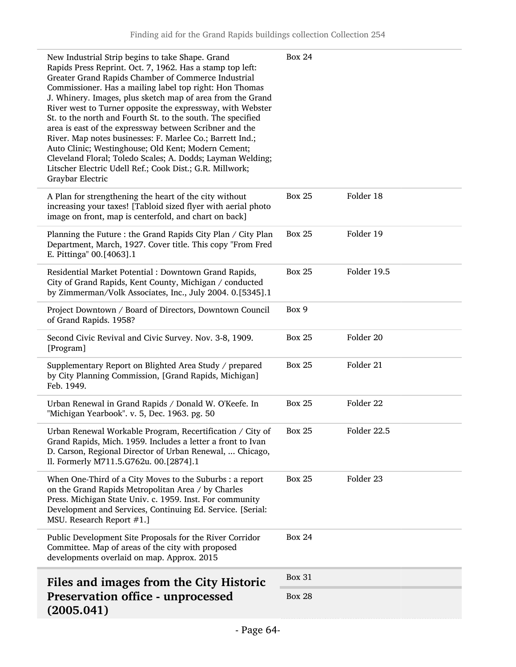<span id="page-63-0"></span>

| New Industrial Strip begins to take Shape. Grand<br>Rapids Press Reprint. Oct. 7, 1962. Has a stamp top left:<br>Greater Grand Rapids Chamber of Commerce Industrial<br>Commissioner. Has a mailing label top right: Hon Thomas<br>J. Whinery. Images, plus sketch map of area from the Grand<br>River west to Turner opposite the expressway, with Webster<br>St. to the north and Fourth St. to the south. The specified<br>area is east of the expressway between Scribner and the<br>River. Map notes businesses: F. Marlee Co.; Barrett Ind.;<br>Auto Clinic; Westinghouse; Old Kent; Modern Cement;<br>Cleveland Floral; Toledo Scales; A. Dodds; Layman Welding;<br>Litscher Electric Udell Ref.; Cook Dist.; G.R. Millwork;<br>Graybar Electric | <b>Box 24</b> |             |
|---------------------------------------------------------------------------------------------------------------------------------------------------------------------------------------------------------------------------------------------------------------------------------------------------------------------------------------------------------------------------------------------------------------------------------------------------------------------------------------------------------------------------------------------------------------------------------------------------------------------------------------------------------------------------------------------------------------------------------------------------------|---------------|-------------|
| A Plan for strengthening the heart of the city without<br>increasing your taxes! [Tabloid sized flyer with aerial photo<br>image on front, map is centerfold, and chart on back]                                                                                                                                                                                                                                                                                                                                                                                                                                                                                                                                                                        | <b>Box 25</b> | Folder 18   |
| Planning the Future : the Grand Rapids City Plan / City Plan<br>Department, March, 1927. Cover title. This copy "From Fred<br>E. Pittinga" 00.[4063].1                                                                                                                                                                                                                                                                                                                                                                                                                                                                                                                                                                                                  | <b>Box 25</b> | Folder 19   |
| Residential Market Potential : Downtown Grand Rapids,<br>City of Grand Rapids, Kent County, Michigan / conducted<br>by Zimmerman/Volk Associates, Inc., July 2004. 0.[5345].1                                                                                                                                                                                                                                                                                                                                                                                                                                                                                                                                                                           | <b>Box 25</b> | Folder 19.5 |
| Project Downtown / Board of Directors, Downtown Council<br>of Grand Rapids. 1958?                                                                                                                                                                                                                                                                                                                                                                                                                                                                                                                                                                                                                                                                       | Box 9         |             |
| Second Civic Revival and Civic Survey. Nov. 3-8, 1909.<br>[Program]                                                                                                                                                                                                                                                                                                                                                                                                                                                                                                                                                                                                                                                                                     | <b>Box 25</b> | Folder 20   |
| Supplementary Report on Blighted Area Study / prepared<br>by City Planning Commission, [Grand Rapids, Michigan]<br>Feb. 1949.                                                                                                                                                                                                                                                                                                                                                                                                                                                                                                                                                                                                                           | <b>Box 25</b> | Folder 21   |
| Urban Renewal in Grand Rapids / Donald W. O'Keefe. In<br>"Michigan Yearbook". v. 5, Dec. 1963. pg. 50                                                                                                                                                                                                                                                                                                                                                                                                                                                                                                                                                                                                                                                   | <b>Box 25</b> | Folder 22   |
| Urban Renewal Workable Program, Recertification / City of<br>Grand Rapids, Mich. 1959. Includes a letter a front to Ivan<br>D. Carson, Regional Director of Urban Renewal,  Chicago,<br>Il. Formerly M711.5.G762u. 00.[2874].1                                                                                                                                                                                                                                                                                                                                                                                                                                                                                                                          | <b>Box 25</b> | Folder 22.5 |
| When One-Third of a City Moves to the Suburbs : a report<br>on the Grand Rapids Metropolitan Area / by Charles<br>Press. Michigan State Univ. c. 1959. Inst. For community<br>Development and Services, Continuing Ed. Service. [Serial:<br>MSU. Research Report #1.]                                                                                                                                                                                                                                                                                                                                                                                                                                                                                   | <b>Box 25</b> | Folder 23   |
| Public Development Site Proposals for the River Corridor<br>Committee. Map of areas of the city with proposed<br>developments overlaid on map. Approx. 2015                                                                                                                                                                                                                                                                                                                                                                                                                                                                                                                                                                                             | <b>Box 24</b> |             |
| Files and images from the City Historic                                                                                                                                                                                                                                                                                                                                                                                                                                                                                                                                                                                                                                                                                                                 | <b>Box 31</b> |             |
| <b>Preservation office - unprocessed</b><br>(2005.041)                                                                                                                                                                                                                                                                                                                                                                                                                                                                                                                                                                                                                                                                                                  | <b>Box 28</b> |             |